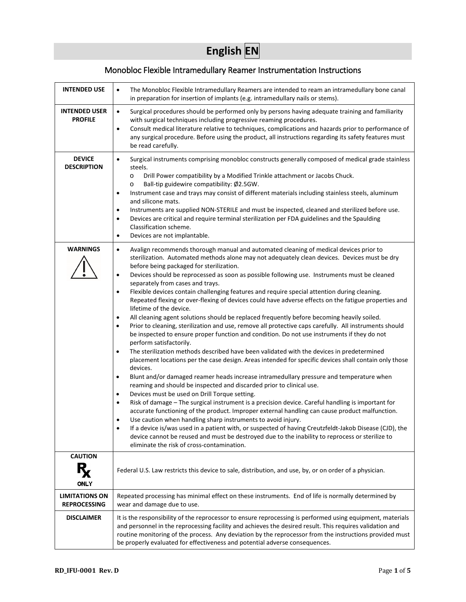# **English EN**

# Monobloc Flexible Intramedullary Reamer Instrumentation Instructions

| <b>INTENDED USE</b>                          | The Monobloc Flexible Intramedullary Reamers are intended to ream an intramedullary bone canal<br>$\bullet$<br>in preparation for insertion of implants (e.g. intramedullary nails or stems).                                                                                                                                                                                                                                                                                                                                                                                                                                                                                                                                                                                                                                                                                                                                                                                                                                                                                                                                                                                                                                                                                                                                                                                                                                                                                                                                                                                                                                                                                                                                                                                                                                                                                                                                                                                                                              |  |  |
|----------------------------------------------|----------------------------------------------------------------------------------------------------------------------------------------------------------------------------------------------------------------------------------------------------------------------------------------------------------------------------------------------------------------------------------------------------------------------------------------------------------------------------------------------------------------------------------------------------------------------------------------------------------------------------------------------------------------------------------------------------------------------------------------------------------------------------------------------------------------------------------------------------------------------------------------------------------------------------------------------------------------------------------------------------------------------------------------------------------------------------------------------------------------------------------------------------------------------------------------------------------------------------------------------------------------------------------------------------------------------------------------------------------------------------------------------------------------------------------------------------------------------------------------------------------------------------------------------------------------------------------------------------------------------------------------------------------------------------------------------------------------------------------------------------------------------------------------------------------------------------------------------------------------------------------------------------------------------------------------------------------------------------------------------------------------------------|--|--|
| <b>INTENDED USER</b><br><b>PROFILE</b>       | Surgical procedures should be performed only by persons having adequate training and familiarity<br>$\bullet$<br>with surgical techniques including progressive reaming procedures.<br>Consult medical literature relative to techniques, complications and hazards prior to performance of<br>$\bullet$<br>any surgical procedure. Before using the product, all instructions regarding its safety features must<br>be read carefully.                                                                                                                                                                                                                                                                                                                                                                                                                                                                                                                                                                                                                                                                                                                                                                                                                                                                                                                                                                                                                                                                                                                                                                                                                                                                                                                                                                                                                                                                                                                                                                                    |  |  |
| <b>DEVICE</b><br><b>DESCRIPTION</b>          | Surgical instruments comprising monobloc constructs generally composed of medical grade stainless<br>$\bullet$<br>steels.<br>Drill Power compatibility by a Modified Trinkle attachment or Jacobs Chuck.<br>$\circ$<br>Ball-tip guidewire compatibility: Ø2.5GW.<br>$\circ$<br>Instrument case and trays may consist of different materials including stainless steels, aluminum<br>$\bullet$<br>and silicone mats.<br>Instruments are supplied NON-STERILE and must be inspected, cleaned and sterilized before use.<br>٠<br>Devices are critical and require terminal sterilization per FDA guidelines and the Spaulding<br>$\bullet$<br>Classification scheme.<br>Devices are not implantable.<br>$\bullet$                                                                                                                                                                                                                                                                                                                                                                                                                                                                                                                                                                                                                                                                                                                                                                                                                                                                                                                                                                                                                                                                                                                                                                                                                                                                                                             |  |  |
| <b>WARNINGS</b>                              | Avalign recommends thorough manual and automated cleaning of medical devices prior to<br>$\bullet$<br>sterilization. Automated methods alone may not adequately clean devices. Devices must be dry<br>before being packaged for sterilization.<br>Devices should be reprocessed as soon as possible following use. Instruments must be cleaned<br>$\bullet$<br>separately from cases and trays.<br>Flexible devices contain challenging features and require special attention during cleaning.<br>Repeated flexing or over-flexing of devices could have adverse effects on the fatigue properties and<br>lifetime of the device.<br>All cleaning agent solutions should be replaced frequently before becoming heavily soiled.<br>$\bullet$<br>Prior to cleaning, sterilization and use, remove all protective caps carefully. All instruments should<br>$\bullet$<br>be inspected to ensure proper function and condition. Do not use instruments if they do not<br>perform satisfactorily.<br>The sterilization methods described have been validated with the devices in predetermined<br>$\bullet$<br>placement locations per the case design. Areas intended for specific devices shall contain only those<br>devices.<br>Blunt and/or damaged reamer heads increase intramedullary pressure and temperature when<br>$\bullet$<br>reaming and should be inspected and discarded prior to clinical use.<br>Devices must be used on Drill Torque setting.<br>$\bullet$<br>Risk of damage - The surgical instrument is a precision device. Careful handling is important for<br>$\bullet$<br>accurate functioning of the product. Improper external handling can cause product malfunction.<br>Use caution when handling sharp instruments to avoid injury.<br>If a device is/was used in a patient with, or suspected of having Creutzfeldt-Jakob Disease (CJD), the<br>device cannot be reused and must be destroyed due to the inability to reprocess or sterilize to<br>eliminate the risk of cross-contamination. |  |  |
| <b>CAUTION</b><br>R.<br><b>ONLY</b>          | Federal U.S. Law restricts this device to sale, distribution, and use, by, or on order of a physician.                                                                                                                                                                                                                                                                                                                                                                                                                                                                                                                                                                                                                                                                                                                                                                                                                                                                                                                                                                                                                                                                                                                                                                                                                                                                                                                                                                                                                                                                                                                                                                                                                                                                                                                                                                                                                                                                                                                     |  |  |
| <b>LIMITATIONS ON</b><br><b>REPROCESSING</b> | Repeated processing has minimal effect on these instruments. End of life is normally determined by<br>wear and damage due to use.                                                                                                                                                                                                                                                                                                                                                                                                                                                                                                                                                                                                                                                                                                                                                                                                                                                                                                                                                                                                                                                                                                                                                                                                                                                                                                                                                                                                                                                                                                                                                                                                                                                                                                                                                                                                                                                                                          |  |  |
| <b>DISCLAIMER</b>                            | It is the responsibility of the reprocessor to ensure reprocessing is performed using equipment, materials<br>and personnel in the reprocessing facility and achieves the desired result. This requires validation and<br>routine monitoring of the process. Any deviation by the reprocessor from the instructions provided must<br>be properly evaluated for effectiveness and potential adverse consequences.                                                                                                                                                                                                                                                                                                                                                                                                                                                                                                                                                                                                                                                                                                                                                                                                                                                                                                                                                                                                                                                                                                                                                                                                                                                                                                                                                                                                                                                                                                                                                                                                           |  |  |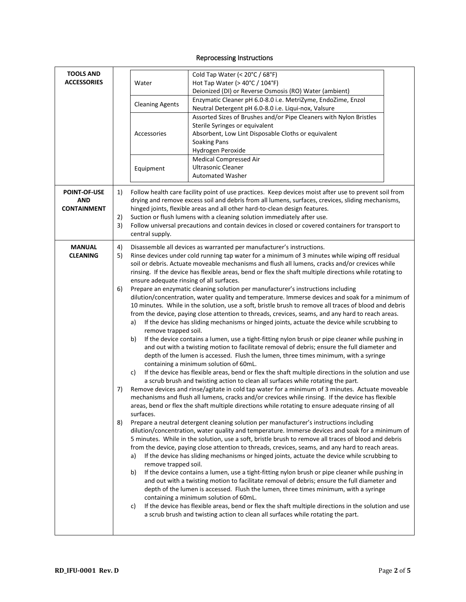## Reprocessing Instructions

| <b>TOOLS AND</b>    |    |                                                                                                        |                                                                                                                                                                                          |  |  |
|---------------------|----|--------------------------------------------------------------------------------------------------------|------------------------------------------------------------------------------------------------------------------------------------------------------------------------------------------|--|--|
| <b>ACCESSORIES</b>  |    |                                                                                                        | Cold Tap Water (< 20°C / 68°F)                                                                                                                                                           |  |  |
|                     |    | Water                                                                                                  | Hot Tap Water (> 40°C / 104°F)<br>Deionized (DI) or Reverse Osmosis (RO) Water (ambient)                                                                                                 |  |  |
|                     |    |                                                                                                        | Enzymatic Cleaner pH 6.0-8.0 i.e. MetriZyme, EndoZime, Enzol                                                                                                                             |  |  |
|                     |    | <b>Cleaning Agents</b>                                                                                 | Neutral Detergent pH 6.0-8.0 i.e. Liqui-nox, Valsure                                                                                                                                     |  |  |
|                     |    |                                                                                                        | Assorted Sizes of Brushes and/or Pipe Cleaners with Nylon Bristles                                                                                                                       |  |  |
|                     |    |                                                                                                        | Sterile Syringes or equivalent                                                                                                                                                           |  |  |
|                     |    | Accessories                                                                                            | Absorbent, Low Lint Disposable Cloths or equivalent                                                                                                                                      |  |  |
|                     |    |                                                                                                        | <b>Soaking Pans</b>                                                                                                                                                                      |  |  |
|                     |    |                                                                                                        | Hydrogen Peroxide                                                                                                                                                                        |  |  |
|                     |    |                                                                                                        | Medical Compressed Air                                                                                                                                                                   |  |  |
|                     |    | Equipment                                                                                              | <b>Ultrasonic Cleaner</b>                                                                                                                                                                |  |  |
|                     |    |                                                                                                        | <b>Automated Washer</b>                                                                                                                                                                  |  |  |
| <b>POINT-OF-USE</b> |    |                                                                                                        | Follow health care facility point of use practices. Keep devices moist after use to prevent soil from                                                                                    |  |  |
| <b>AND</b>          | 1) |                                                                                                        | drying and remove excess soil and debris from all lumens, surfaces, crevices, sliding mechanisms,                                                                                        |  |  |
| <b>CONTAINMENT</b>  |    |                                                                                                        | hinged joints, flexible areas and all other hard-to-clean design features.                                                                                                               |  |  |
|                     | 2) |                                                                                                        | Suction or flush lumens with a cleaning solution immediately after use.                                                                                                                  |  |  |
|                     | 3) |                                                                                                        | Follow universal precautions and contain devices in closed or covered containers for transport to                                                                                        |  |  |
|                     |    | central supply.                                                                                        |                                                                                                                                                                                          |  |  |
| <b>MANUAL</b>       | 4) |                                                                                                        | Disassemble all devices as warranted per manufacturer's instructions.                                                                                                                    |  |  |
| <b>CLEANING</b>     | 5) |                                                                                                        | Rinse devices under cold running tap water for a minimum of 3 minutes while wiping off residual                                                                                          |  |  |
|                     |    |                                                                                                        | soil or debris. Actuate moveable mechanisms and flush all lumens, cracks and/or crevices while                                                                                           |  |  |
|                     |    |                                                                                                        | rinsing. If the device has flexible areas, bend or flex the shaft multiple directions while rotating to                                                                                  |  |  |
|                     |    | ensure adequate rinsing of all surfaces.                                                               |                                                                                                                                                                                          |  |  |
|                     | 6) |                                                                                                        | Prepare an enzymatic cleaning solution per manufacturer's instructions including                                                                                                         |  |  |
|                     |    | dilution/concentration, water quality and temperature. Immerse devices and soak for a minimum of       |                                                                                                                                                                                          |  |  |
|                     |    |                                                                                                        | 10 minutes. While in the solution, use a soft, bristle brush to remove all traces of blood and debris                                                                                    |  |  |
|                     |    |                                                                                                        | from the device, paying close attention to threads, crevices, seams, and any hard to reach areas.                                                                                        |  |  |
|                     |    | a)                                                                                                     | If the device has sliding mechanisms or hinged joints, actuate the device while scrubbing to                                                                                             |  |  |
|                     |    | remove trapped soil.                                                                                   |                                                                                                                                                                                          |  |  |
|                     |    | If the device contains a lumen, use a tight-fitting nylon brush or pipe cleaner while pushing in<br>b) |                                                                                                                                                                                          |  |  |
|                     |    |                                                                                                        | and out with a twisting motion to facilitate removal of debris; ensure the full diameter and                                                                                             |  |  |
|                     |    |                                                                                                        | depth of the lumen is accessed. Flush the lumen, three times minimum, with a syringe                                                                                                     |  |  |
|                     |    |                                                                                                        | containing a minimum solution of 60mL.                                                                                                                                                   |  |  |
|                     |    | C)                                                                                                     | If the device has flexible areas, bend or flex the shaft multiple directions in the solution and use<br>a scrub brush and twisting action to clean all surfaces while rotating the part. |  |  |
|                     | 7) |                                                                                                        | Remove devices and rinse/agitate in cold tap water for a minimum of 3 minutes. Actuate moveable                                                                                          |  |  |
|                     |    |                                                                                                        | mechanisms and flush all lumens, cracks and/or crevices while rinsing. If the device has flexible                                                                                        |  |  |
|                     |    |                                                                                                        | areas, bend or flex the shaft multiple directions while rotating to ensure adequate rinsing of all                                                                                       |  |  |
|                     |    | surfaces.                                                                                              |                                                                                                                                                                                          |  |  |
|                     | 8) |                                                                                                        | Prepare a neutral detergent cleaning solution per manufacturer's instructions including                                                                                                  |  |  |
|                     |    |                                                                                                        | dilution/concentration, water quality and temperature. Immerse devices and soak for a minimum of                                                                                         |  |  |
|                     |    |                                                                                                        | 5 minutes. While in the solution, use a soft, bristle brush to remove all traces of blood and debris                                                                                     |  |  |
|                     |    |                                                                                                        | from the device, paying close attention to threads, crevices, seams, and any hard to reach areas.                                                                                        |  |  |
|                     |    | a)                                                                                                     | If the device has sliding mechanisms or hinged joints, actuate the device while scrubbing to                                                                                             |  |  |
|                     |    | remove trapped soil.                                                                                   |                                                                                                                                                                                          |  |  |
|                     |    | b)                                                                                                     | If the device contains a lumen, use a tight-fitting nylon brush or pipe cleaner while pushing in                                                                                         |  |  |
|                     |    |                                                                                                        | and out with a twisting motion to facilitate removal of debris; ensure the full diameter and<br>depth of the lumen is accessed. Flush the lumen, three times minimum, with a syringe     |  |  |
|                     |    |                                                                                                        | containing a minimum solution of 60mL.                                                                                                                                                   |  |  |
|                     |    | C)                                                                                                     | If the device has flexible areas, bend or flex the shaft multiple directions in the solution and use                                                                                     |  |  |
|                     |    |                                                                                                        | a scrub brush and twisting action to clean all surfaces while rotating the part.                                                                                                         |  |  |
|                     |    |                                                                                                        |                                                                                                                                                                                          |  |  |
|                     |    |                                                                                                        |                                                                                                                                                                                          |  |  |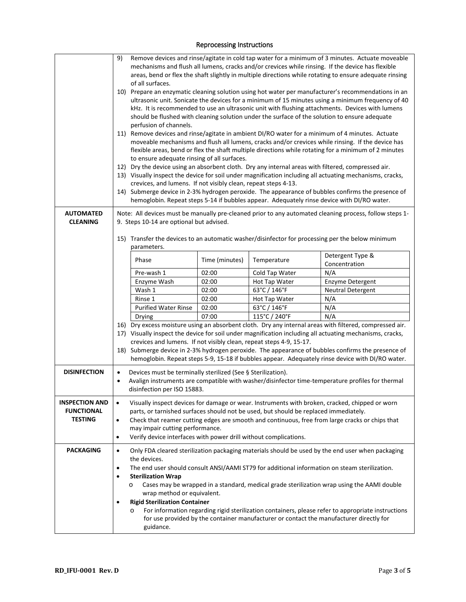### Reprocessing Instructions

|                                                              | Remove devices and rinse/agitate in cold tap water for a minimum of 3 minutes. Actuate moveable<br>9)<br>mechanisms and flush all lumens, cracks and/or crevices while rinsing. If the device has flexible<br>areas, bend or flex the shaft slightly in multiple directions while rotating to ensure adequate rinsing<br>of all surfaces.<br>10) Prepare an enzymatic cleaning solution using hot water per manufacturer's recommendations in an<br>ultrasonic unit. Sonicate the devices for a minimum of 15 minutes using a minimum frequency of 40<br>kHz. It is recommended to use an ultrasonic unit with flushing attachments. Devices with lumens<br>should be flushed with cleaning solution under the surface of the solution to ensure adequate<br>perfusion of channels.<br>11) Remove devices and rinse/agitate in ambient DI/RO water for a minimum of 4 minutes. Actuate<br>moveable mechanisms and flush all lumens, cracks and/or crevices while rinsing. If the device has<br>flexible areas, bend or flex the shaft multiple directions while rotating for a minimum of 2 minutes<br>to ensure adequate rinsing of all surfaces.<br>12) Dry the device using an absorbent cloth. Dry any internal areas with filtered, compressed air.<br>13) Visually inspect the device for soil under magnification including all actuating mechanisms, cracks,<br>crevices, and lumens. If not visibly clean, repeat steps 4-13.<br>14) Submerge device in 2-3% hydrogen peroxide. The appearance of bubbles confirms the presence of<br>hemoglobin. Repeat steps 5-14 if bubbles appear. Adequately rinse device with DI/RO water. |                                                                                                                                                                                                                                                                                                                                                                                                                                                                                                     |                |                |                                                                                                                                                                                                             |
|--------------------------------------------------------------|-------------------------------------------------------------------------------------------------------------------------------------------------------------------------------------------------------------------------------------------------------------------------------------------------------------------------------------------------------------------------------------------------------------------------------------------------------------------------------------------------------------------------------------------------------------------------------------------------------------------------------------------------------------------------------------------------------------------------------------------------------------------------------------------------------------------------------------------------------------------------------------------------------------------------------------------------------------------------------------------------------------------------------------------------------------------------------------------------------------------------------------------------------------------------------------------------------------------------------------------------------------------------------------------------------------------------------------------------------------------------------------------------------------------------------------------------------------------------------------------------------------------------------------------------------------------------------------------------------------------------------------------|-----------------------------------------------------------------------------------------------------------------------------------------------------------------------------------------------------------------------------------------------------------------------------------------------------------------------------------------------------------------------------------------------------------------------------------------------------------------------------------------------------|----------------|----------------|-------------------------------------------------------------------------------------------------------------------------------------------------------------------------------------------------------------|
| <b>AUTOMATED</b><br><b>CLEANING</b>                          |                                                                                                                                                                                                                                                                                                                                                                                                                                                                                                                                                                                                                                                                                                                                                                                                                                                                                                                                                                                                                                                                                                                                                                                                                                                                                                                                                                                                                                                                                                                                                                                                                                           | 9. Steps 10-14 are optional but advised.                                                                                                                                                                                                                                                                                                                                                                                                                                                            |                |                | Note: All devices must be manually pre-cleaned prior to any automated cleaning process, follow steps 1-<br>15) Transfer the devices to an automatic washer/disinfector for processing per the below minimum |
|                                                              |                                                                                                                                                                                                                                                                                                                                                                                                                                                                                                                                                                                                                                                                                                                                                                                                                                                                                                                                                                                                                                                                                                                                                                                                                                                                                                                                                                                                                                                                                                                                                                                                                                           | parameters.<br>Phase                                                                                                                                                                                                                                                                                                                                                                                                                                                                                | Time (minutes) | Temperature    | Detergent Type &                                                                                                                                                                                            |
|                                                              |                                                                                                                                                                                                                                                                                                                                                                                                                                                                                                                                                                                                                                                                                                                                                                                                                                                                                                                                                                                                                                                                                                                                                                                                                                                                                                                                                                                                                                                                                                                                                                                                                                           | Pre-wash 1                                                                                                                                                                                                                                                                                                                                                                                                                                                                                          | 02:00          | Cold Tap Water | Concentration<br>N/A                                                                                                                                                                                        |
|                                                              |                                                                                                                                                                                                                                                                                                                                                                                                                                                                                                                                                                                                                                                                                                                                                                                                                                                                                                                                                                                                                                                                                                                                                                                                                                                                                                                                                                                                                                                                                                                                                                                                                                           | Enzyme Wash                                                                                                                                                                                                                                                                                                                                                                                                                                                                                         | 02:00          | Hot Tap Water  | Enzyme Detergent                                                                                                                                                                                            |
|                                                              |                                                                                                                                                                                                                                                                                                                                                                                                                                                                                                                                                                                                                                                                                                                                                                                                                                                                                                                                                                                                                                                                                                                                                                                                                                                                                                                                                                                                                                                                                                                                                                                                                                           | Wash 1                                                                                                                                                                                                                                                                                                                                                                                                                                                                                              | 02:00          | 63°C / 146°F   | <b>Neutral Detergent</b>                                                                                                                                                                                    |
|                                                              |                                                                                                                                                                                                                                                                                                                                                                                                                                                                                                                                                                                                                                                                                                                                                                                                                                                                                                                                                                                                                                                                                                                                                                                                                                                                                                                                                                                                                                                                                                                                                                                                                                           | Rinse 1                                                                                                                                                                                                                                                                                                                                                                                                                                                                                             | 02:00          | Hot Tap Water  | N/A                                                                                                                                                                                                         |
|                                                              |                                                                                                                                                                                                                                                                                                                                                                                                                                                                                                                                                                                                                                                                                                                                                                                                                                                                                                                                                                                                                                                                                                                                                                                                                                                                                                                                                                                                                                                                                                                                                                                                                                           | <b>Purified Water Rinse</b>                                                                                                                                                                                                                                                                                                                                                                                                                                                                         | 02:00          | 63°C / 146°F   | N/A                                                                                                                                                                                                         |
|                                                              |                                                                                                                                                                                                                                                                                                                                                                                                                                                                                                                                                                                                                                                                                                                                                                                                                                                                                                                                                                                                                                                                                                                                                                                                                                                                                                                                                                                                                                                                                                                                                                                                                                           | Drying                                                                                                                                                                                                                                                                                                                                                                                                                                                                                              | 07:00          | 115°C / 240°F  | N/A                                                                                                                                                                                                         |
|                                                              |                                                                                                                                                                                                                                                                                                                                                                                                                                                                                                                                                                                                                                                                                                                                                                                                                                                                                                                                                                                                                                                                                                                                                                                                                                                                                                                                                                                                                                                                                                                                                                                                                                           | 16) Dry excess moisture using an absorbent cloth. Dry any internal areas with filtered, compressed air.<br>17) Visually inspect the device for soil under magnification including all actuating mechanisms, cracks,<br>crevices and lumens. If not visibly clean, repeat steps 4-9, 15-17.<br>18) Submerge device in 2-3% hydrogen peroxide. The appearance of bubbles confirms the presence of<br>hemoglobin. Repeat steps 5-9, 15-18 if bubbles appear. Adequately rinse device with DI/RO water. |                |                |                                                                                                                                                                                                             |
| <b>DISINFECTION</b>                                          | Devices must be terminally sterilized (See § Sterilization).<br>$\bullet$<br>Avalign instruments are compatible with washer/disinfector time-temperature profiles for thermal<br>$\bullet$<br>disinfection per ISO 15883.                                                                                                                                                                                                                                                                                                                                                                                                                                                                                                                                                                                                                                                                                                                                                                                                                                                                                                                                                                                                                                                                                                                                                                                                                                                                                                                                                                                                                 |                                                                                                                                                                                                                                                                                                                                                                                                                                                                                                     |                |                |                                                                                                                                                                                                             |
| <b>INSPECTION AND</b><br><b>FUNCTIONAL</b><br><b>TESTING</b> | Visually inspect devices for damage or wear. Instruments with broken, cracked, chipped or worn<br>$\bullet$<br>parts, or tarnished surfaces should not be used, but should be replaced immediately.<br>Check that reamer cutting edges are smooth and continuous, free from large cracks or chips that<br>$\bullet$<br>may impair cutting performance.<br>Verify device interfaces with power drill without complications.<br>$\bullet$                                                                                                                                                                                                                                                                                                                                                                                                                                                                                                                                                                                                                                                                                                                                                                                                                                                                                                                                                                                                                                                                                                                                                                                                   |                                                                                                                                                                                                                                                                                                                                                                                                                                                                                                     |                |                |                                                                                                                                                                                                             |
| <b>PACKAGING</b>                                             | Only FDA cleared sterilization packaging materials should be used by the end user when packaging<br>$\bullet$<br>the devices.<br>The end user should consult ANSI/AAMI ST79 for additional information on steam sterilization.<br>٠<br><b>Sterilization Wrap</b><br>٠<br>Cases may be wrapped in a standard, medical grade sterilization wrap using the AAMI double<br>$\circ$<br>wrap method or equivalent.<br><b>Rigid Sterilization Container</b><br>$\bullet$<br>For information regarding rigid sterilization containers, please refer to appropriate instructions<br>$\circ$<br>for use provided by the container manufacturer or contact the manufacturer directly for<br>guidance.                                                                                                                                                                                                                                                                                                                                                                                                                                                                                                                                                                                                                                                                                                                                                                                                                                                                                                                                                |                                                                                                                                                                                                                                                                                                                                                                                                                                                                                                     |                |                |                                                                                                                                                                                                             |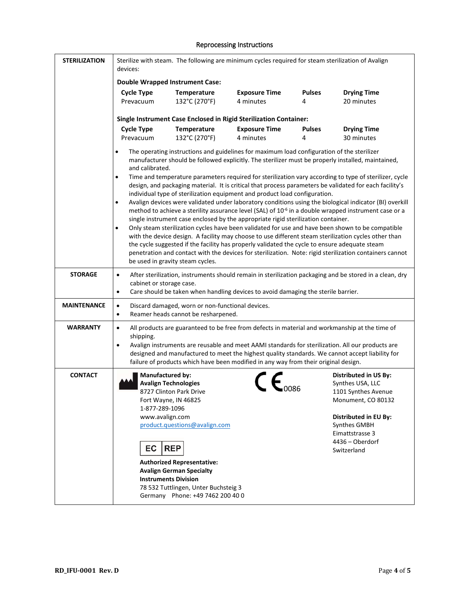### Reprocessing Instructions

| <b>STERILIZATION</b> | Sterilize with steam. The following are minimum cycles required for steam sterilization of Avalign<br>devices:                                           |                                                                                                                                                                                                                            |                                                                                                                                                                                                                                                                                                                                                                                              |                    |                                                                                                                                                                                                                                                                                                                     |
|----------------------|----------------------------------------------------------------------------------------------------------------------------------------------------------|----------------------------------------------------------------------------------------------------------------------------------------------------------------------------------------------------------------------------|----------------------------------------------------------------------------------------------------------------------------------------------------------------------------------------------------------------------------------------------------------------------------------------------------------------------------------------------------------------------------------------------|--------------------|---------------------------------------------------------------------------------------------------------------------------------------------------------------------------------------------------------------------------------------------------------------------------------------------------------------------|
|                      | <b>Double Wrapped Instrument Case:</b>                                                                                                                   |                                                                                                                                                                                                                            |                                                                                                                                                                                                                                                                                                                                                                                              |                    |                                                                                                                                                                                                                                                                                                                     |
|                      | <b>Cycle Type</b><br>Prevacuum                                                                                                                           | <b>Temperature</b><br>132°C (270°F)                                                                                                                                                                                        | <b>Exposure Time</b><br>4 minutes                                                                                                                                                                                                                                                                                                                                                            | <b>Pulses</b><br>4 | <b>Drying Time</b><br>20 minutes                                                                                                                                                                                                                                                                                    |
|                      |                                                                                                                                                          |                                                                                                                                                                                                                            | Single Instrument Case Enclosed in Rigid Sterilization Container:                                                                                                                                                                                                                                                                                                                            |                    |                                                                                                                                                                                                                                                                                                                     |
|                      | <b>Cycle Type</b><br>Prevacuum                                                                                                                           | <b>Temperature</b><br>132°C (270°F)                                                                                                                                                                                        | <b>Exposure Time</b><br>4 minutes                                                                                                                                                                                                                                                                                                                                                            | <b>Pulses</b><br>4 | <b>Drying Time</b><br>30 minutes                                                                                                                                                                                                                                                                                    |
|                      | $\bullet$<br>and calibrated.                                                                                                                             |                                                                                                                                                                                                                            | The operating instructions and guidelines for maximum load configuration of the sterilizer<br>manufacturer should be followed explicitly. The sterilizer must be properly installed, maintained,                                                                                                                                                                                             |                    |                                                                                                                                                                                                                                                                                                                     |
|                      | $\bullet$                                                                                                                                                |                                                                                                                                                                                                                            | individual type of sterilization equipment and product load configuration.                                                                                                                                                                                                                                                                                                                   |                    | Time and temperature parameters required for sterilization vary according to type of sterilizer, cycle<br>design, and packaging material. It is critical that process parameters be validated for each facility's                                                                                                   |
|                      | $\bullet$                                                                                                                                                |                                                                                                                                                                                                                            | single instrument case enclosed by the appropriate rigid sterilization container.                                                                                                                                                                                                                                                                                                            |                    | Avalign devices were validated under laboratory conditions using the biological indicator (BI) overkill<br>method to achieve a sterility assurance level (SAL) of 10 <sup>-6</sup> in a double wrapped instrument case or a                                                                                         |
|                      | $\bullet$                                                                                                                                                | be used in gravity steam cycles.                                                                                                                                                                                           | the cycle suggested if the facility has properly validated the cycle to ensure adequate steam                                                                                                                                                                                                                                                                                                |                    | Only steam sterilization cycles have been validated for use and have been shown to be compatible<br>with the device design. A facility may choose to use different steam sterilization cycles other than<br>penetration and contact with the devices for sterilization. Note: rigid sterilization containers cannot |
| <b>STORAGE</b>       | $\bullet$<br>cabinet or storage case.<br>$\bullet$                                                                                                       |                                                                                                                                                                                                                            | Care should be taken when handling devices to avoid damaging the sterile barrier.                                                                                                                                                                                                                                                                                                            |                    | After sterilization, instruments should remain in sterilization packaging and be stored in a clean, dry                                                                                                                                                                                                             |
| <b>MAINTENANCE</b>   | $\bullet$<br>$\bullet$                                                                                                                                   | Discard damaged, worn or non-functional devices.<br>Reamer heads cannot be resharpened.                                                                                                                                    |                                                                                                                                                                                                                                                                                                                                                                                              |                    |                                                                                                                                                                                                                                                                                                                     |
| <b>WARRANTY</b>      | $\bullet$<br>shipping.<br>$\bullet$                                                                                                                      |                                                                                                                                                                                                                            | All products are guaranteed to be free from defects in material and workmanship at the time of<br>Avalign instruments are reusable and meet AAMI standards for sterilization. All our products are<br>designed and manufactured to meet the highest quality standards. We cannot accept liability for<br>failure of products which have been modified in any way from their original design. |                    |                                                                                                                                                                                                                                                                                                                     |
| <b>CONTACT</b>       | <b>Manufactured by:</b><br><b>Avalign Technologies</b><br>Fort Wayne, IN 46825<br>1-877-289-1096<br>www.avalign.com<br>EC<br><b>Instruments Division</b> | 8727 Clinton Park Drive<br>product.questions@avalign.com<br><b>REP</b><br><b>Authorized Representative:</b><br><b>Avalign German Specialty</b><br>78 532 Tuttlingen, Unter Buchsteig 3<br>Germany Phone: +49 7462 200 40 0 |                                                                                                                                                                                                                                                                                                                                                                                              |                    | <b>Distributed in US By:</b><br>Synthes USA, LLC<br>1101 Synthes Avenue<br>Monument, CO 80132<br><b>Distributed in EU By:</b><br>Synthes GMBH<br>Eimattstrasse 3<br>4436 - Oberdorf<br>Switzerland                                                                                                                  |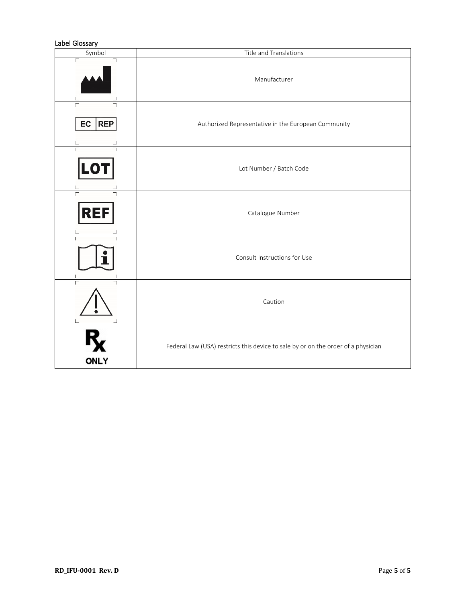### Label Glossary

| Symbol                       | Title and Translations                                                            |
|------------------------------|-----------------------------------------------------------------------------------|
| Г                            | Manufacturer                                                                      |
| $\Gamma$<br>EC<br><b>REP</b> | Authorized Representative in the European Community                               |
| <b>LOT</b>                   | Lot Number / Batch Code                                                           |
| <b>REF</b>                   | Catalogue Number                                                                  |
| Г                            | Consult Instructions for Use                                                      |
| Г                            | Caution                                                                           |
| <b>ONLY</b>                  | Federal Law (USA) restricts this device to sale by or on the order of a physician |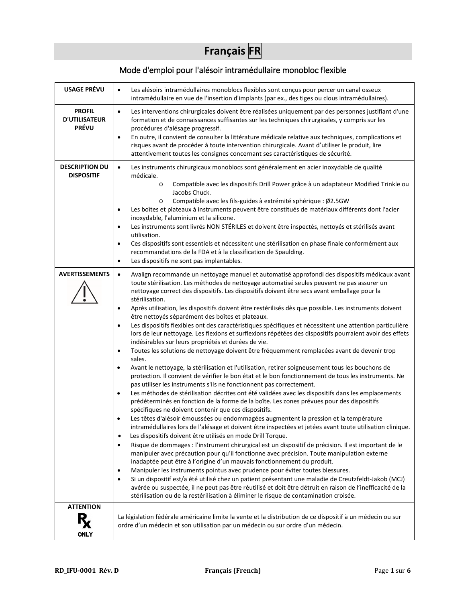# **Français FR**

# Mode d'emploi pour l'alésoir intramédullaire monobloc flexible

| <b>USAGE PRÉVU</b>                                    | Les alésoirs intramédullaires monoblocs flexibles sont conçus pour percer un canal osseux<br>$\bullet$<br>intramédullaire en vue de l'insertion d'implants (par ex., des tiges ou clous intramédullaires).                                                                                                                                                                                                                                                                                                                                                                                                                                                                                                                                                                                                                                                                                                                                                                                                                                                                                                                                                                                                                                                                                                                                                                                                                                                                                                                                                                                                                                                                                                                                                                                                                                                                                                                                                                                                                                                                                                                                                                                                                                                                                                                                                                                                                                                                                               |
|-------------------------------------------------------|----------------------------------------------------------------------------------------------------------------------------------------------------------------------------------------------------------------------------------------------------------------------------------------------------------------------------------------------------------------------------------------------------------------------------------------------------------------------------------------------------------------------------------------------------------------------------------------------------------------------------------------------------------------------------------------------------------------------------------------------------------------------------------------------------------------------------------------------------------------------------------------------------------------------------------------------------------------------------------------------------------------------------------------------------------------------------------------------------------------------------------------------------------------------------------------------------------------------------------------------------------------------------------------------------------------------------------------------------------------------------------------------------------------------------------------------------------------------------------------------------------------------------------------------------------------------------------------------------------------------------------------------------------------------------------------------------------------------------------------------------------------------------------------------------------------------------------------------------------------------------------------------------------------------------------------------------------------------------------------------------------------------------------------------------------------------------------------------------------------------------------------------------------------------------------------------------------------------------------------------------------------------------------------------------------------------------------------------------------------------------------------------------------------------------------------------------------------------------------------------------------|
| <b>PROFIL</b><br><b>D'UTILISATEUR</b><br><b>PRÉVU</b> | $\bullet$<br>Les interventions chirurgicales doivent être réalisées uniquement par des personnes justifiant d'une<br>formation et de connaissances suffisantes sur les techniques chirurgicales, y compris sur les<br>procédures d'alésage progressif.<br>En outre, il convient de consulter la littérature médicale relative aux techniques, complications et<br>$\bullet$<br>risques avant de procéder à toute intervention chirurgicale. Avant d'utiliser le produit, lire<br>attentivement toutes les consignes concernant ses caractéristiques de sécurité.                                                                                                                                                                                                                                                                                                                                                                                                                                                                                                                                                                                                                                                                                                                                                                                                                                                                                                                                                                                                                                                                                                                                                                                                                                                                                                                                                                                                                                                                                                                                                                                                                                                                                                                                                                                                                                                                                                                                         |
| <b>DESCRIPTION DU</b><br><b>DISPOSITIF</b>            | $\bullet$<br>Les instruments chirurgicaux monoblocs sont généralement en acier inoxydable de qualité<br>médicale.<br>Compatible avec les dispositifs Drill Power grâce à un adaptateur Modified Trinkle ou<br>$\circ$<br>Jacobs Chuck.<br>Compatible avec les fils-guides à extrémité sphérique : Ø2.5GW<br>$\circ$<br>Les boîtes et plateaux à instruments peuvent être constitués de matériaux différents dont l'acier<br>$\bullet$<br>inoxydable, l'aluminium et la silicone.<br>Les instruments sont livrés NON STÉRILES et doivent être inspectés, nettoyés et stérilisés avant<br>$\bullet$<br>utilisation.<br>Ces dispositifs sont essentiels et nécessitent une stérilisation en phase finale conformément aux<br>$\bullet$<br>recommandations de la FDA et à la classification de Spaulding.<br>Les dispositifs ne sont pas implantables.<br>$\bullet$                                                                                                                                                                                                                                                                                                                                                                                                                                                                                                                                                                                                                                                                                                                                                                                                                                                                                                                                                                                                                                                                                                                                                                                                                                                                                                                                                                                                                                                                                                                                                                                                                                          |
| <b>AVERTISSEMENTS</b>                                 | Avalign recommande un nettoyage manuel et automatisé approfondi des dispositifs médicaux avant<br>$\bullet$<br>toute stérilisation. Les méthodes de nettoyage automatisé seules peuvent ne pas assurer un<br>nettoyage correct des dispositifs. Les dispositifs doivent être secs avant emballage pour la<br>stérilisation.<br>Après utilisation, les dispositifs doivent être restérilisés dès que possible. Les instruments doivent<br>$\bullet$<br>être nettoyés séparément des boîtes et plateaux.<br>Les dispositifs flexibles ont des caractéristiques spécifiques et nécessitent une attention particulière<br>$\bullet$<br>lors de leur nettoyage. Les flexions et surflexions répétées des dispositifs pourraient avoir des effets<br>indésirables sur leurs propriétés et durées de vie.<br>Toutes les solutions de nettoyage doivent être fréquemment remplacées avant de devenir trop<br>$\bullet$<br>sales.<br>Avant le nettoyage, la stérilisation et l'utilisation, retirer soigneusement tous les bouchons de<br>$\bullet$<br>protection. Il convient de vérifier le bon état et le bon fonctionnement de tous les instruments. Ne<br>pas utiliser les instruments s'ils ne fonctionnent pas correctement.<br>Les méthodes de stérilisation décrites ont été validées avec les dispositifs dans les emplacements<br>٠<br>prédéterminés en fonction de la forme de la boîte. Les zones prévues pour des dispositifs<br>spécifiques ne doivent contenir que ces dispositifs.<br>Les têtes d'alésoir émoussées ou endommagées augmentent la pression et la température<br>$\bullet$<br>intramédullaires lors de l'alésage et doivent être inspectées et jetées avant toute utilisation clinique.<br>Les dispositifs doivent être utilisés en mode Drill Torque.<br>$\bullet$<br>Risque de dommages : l'instrument chirurgical est un dispositif de précision. Il est important de le<br>$\bullet$<br>manipuler avec précaution pour qu'il fonctionne avec précision. Toute manipulation externe<br>inadaptée peut être à l'origine d'un mauvais fonctionnement du produit.<br>Manipuler les instruments pointus avec prudence pour éviter toutes blessures.<br>٠<br>Si un dispositif est/a été utilisé chez un patient présentant une maladie de Creutzfeldt-Jakob (MCJ)<br>$\bullet$<br>avérée ou suspectée, il ne peut pas être réutilisé et doit être détruit en raison de l'inefficacité de la<br>stérilisation ou de la restérilisation à éliminer le risque de contamination croisée. |
| <b>ATTENTION</b><br><b>ONLY</b>                       | La législation fédérale américaine limite la vente et la distribution de ce dispositif à un médecin ou sur<br>ordre d'un médecin et son utilisation par un médecin ou sur ordre d'un médecin.                                                                                                                                                                                                                                                                                                                                                                                                                                                                                                                                                                                                                                                                                                                                                                                                                                                                                                                                                                                                                                                                                                                                                                                                                                                                                                                                                                                                                                                                                                                                                                                                                                                                                                                                                                                                                                                                                                                                                                                                                                                                                                                                                                                                                                                                                                            |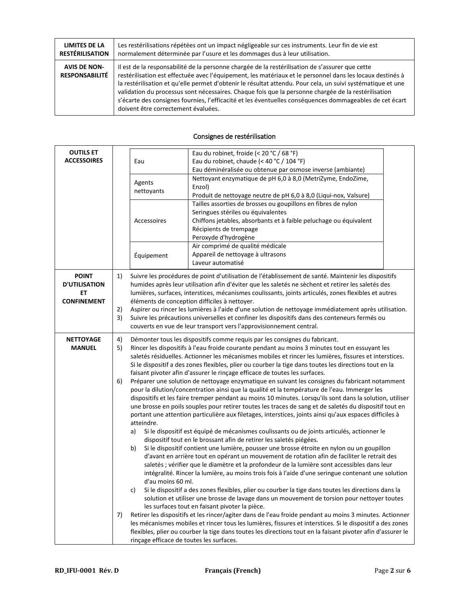| <b>LIMITES DE LA</b>                         | Les restérilisations répétées ont un impact négligeable sur ces instruments. Leur fin de vie est                                                                                                                                                                                                                                                                                                                                                                                                                                                                                     |
|----------------------------------------------|--------------------------------------------------------------------------------------------------------------------------------------------------------------------------------------------------------------------------------------------------------------------------------------------------------------------------------------------------------------------------------------------------------------------------------------------------------------------------------------------------------------------------------------------------------------------------------------|
| <b>RESTÉRILISATION</b>                       | normalement déterminée par l'usure et les dommages dus à leur utilisation.                                                                                                                                                                                                                                                                                                                                                                                                                                                                                                           |
| <b>AVIS DE NON-</b><br><b>RESPONSABILITÉ</b> | Il est de la responsabilité de la personne chargée de la restérilisation de s'assurer que cette<br>restérilisation est effectuée avec l'équipement, les matériaux et le personnel dans les locaux destinés à<br>la restérilisation et qu'elle permet d'obtenir le résultat attendu. Pour cela, un suivi systématique et une<br>validation du processus sont nécessaires. Chaque fois que la personne chargée de la restérilisation<br>s'écarte des consignes fournies, l'efficacité et les éventuelles conséquences dommageables de cet écart<br>doivent être correctement évaluées. |

| <b>OUTILS ET</b><br><b>ACCESSOIRES</b> |    | Eau                                      | Eau du robinet, froide (< 20 °C / 68 °F)<br>Eau du robinet, chaude (< 40 °C / 104 °F)<br>Eau déminéralisée ou obtenue par osmose inverse (ambiante) |  |
|----------------------------------------|----|------------------------------------------|-----------------------------------------------------------------------------------------------------------------------------------------------------|--|
|                                        |    |                                          |                                                                                                                                                     |  |
|                                        |    | Agents                                   | Nettoyant enzymatique de pH 6,0 à 8,0 (MetriZyme, EndoZime,                                                                                         |  |
|                                        |    | nettoyants                               | Enzol)                                                                                                                                              |  |
|                                        |    |                                          | Produit de nettoyage neutre de pH 6,0 à 8,0 (Liqui-nox, Valsure)                                                                                    |  |
|                                        |    |                                          | Tailles assorties de brosses ou goupillons en fibres de nylon                                                                                       |  |
|                                        |    |                                          | Seringues stériles ou équivalentes                                                                                                                  |  |
|                                        |    | Accessoires                              | Chiffons jetables, absorbants et à faible peluchage ou équivalent                                                                                   |  |
|                                        |    |                                          | Récipients de trempage                                                                                                                              |  |
|                                        |    |                                          | Peroxyde d'hydrogène                                                                                                                                |  |
|                                        |    |                                          | Air comprimé de qualité médicale                                                                                                                    |  |
|                                        |    | Équipement                               | Appareil de nettoyage à ultrasons                                                                                                                   |  |
|                                        |    |                                          | Laveur automatisé                                                                                                                                   |  |
|                                        |    |                                          |                                                                                                                                                     |  |
| <b>POINT</b>                           | 1) |                                          | Suivre les procédures de point d'utilisation de l'établissement de santé. Maintenir les dispositifs                                                 |  |
| <b>D'UTILISATION</b>                   |    |                                          | humides après leur utilisation afin d'éviter que les saletés ne sèchent et retirer les saletés des                                                  |  |
| EТ                                     |    |                                          | lumières, surfaces, interstices, mécanismes coulissants, joints articulés, zones flexibles et autres                                                |  |
| <b>CONFINEMENT</b>                     |    |                                          | éléments de conception difficiles à nettoyer.                                                                                                       |  |
|                                        | 2) |                                          | Aspirer ou rincer les lumières à l'aide d'une solution de nettoyage immédiatement après utilisation.                                                |  |
|                                        | 3) |                                          | Suivre les précautions universelles et confiner les dispositifs dans des conteneurs fermés ou                                                       |  |
|                                        |    |                                          | couverts en vue de leur transport vers l'approvisionnement central.                                                                                 |  |
| <b>NETTOYAGE</b>                       | 4) |                                          | Démonter tous les dispositifs comme requis par les consignes du fabricant.                                                                          |  |
| <b>MANUEL</b>                          | 5) |                                          | Rincer les dispositifs à l'eau froide courante pendant au moins 3 minutes tout en essuyant les                                                      |  |
|                                        |    |                                          | saletés résiduelles. Actionner les mécanismes mobiles et rincer les lumières, fissures et interstices.                                              |  |
|                                        |    |                                          | Si le dispositif a des zones flexibles, plier ou courber la tige dans toutes les directions tout en la                                              |  |
|                                        |    |                                          | faisant pivoter afin d'assurer le rinçage efficace de toutes les surfaces.                                                                          |  |
|                                        | 6) |                                          | Préparer une solution de nettoyage enzymatique en suivant les consignes du fabricant notamment                                                      |  |
|                                        |    |                                          | pour la dilution/concentration ainsi que la qualité et la température de l'eau. Immerger les                                                        |  |
|                                        |    |                                          | dispositifs et les faire tremper pendant au moins 10 minutes. Lorsqu'ils sont dans la solution, utiliser                                            |  |
|                                        |    |                                          | une brosse en poils souples pour retirer toutes les traces de sang et de saletés du dispositif tout en                                              |  |
|                                        |    |                                          |                                                                                                                                                     |  |
|                                        |    | atteindre.                               | portant une attention particulière aux filetages, interstices, joints ainsi qu'aux espaces difficiles à                                             |  |
|                                        |    |                                          |                                                                                                                                                     |  |
|                                        |    | a)                                       | Si le dispositif est équipé de mécanismes coulissants ou de joints articulés, actionner le                                                          |  |
|                                        |    |                                          | dispositif tout en le brossant afin de retirer les saletés piégées.                                                                                 |  |
|                                        |    | b)                                       | Si le dispositif contient une lumière, pousser une brosse étroite en nylon ou un goupillon                                                          |  |
|                                        |    |                                          | d'avant en arrière tout en opérant un mouvement de rotation afin de faciliter le retrait des                                                        |  |
|                                        |    |                                          | saletés ; vérifier que le diamètre et la profondeur de la lumière sont accessibles dans leur                                                        |  |
|                                        |    |                                          | intégralité. Rincer la lumière, au moins trois fois à l'aide d'une seringue contenant une solution                                                  |  |
|                                        |    | d'au moins 60 ml.                        |                                                                                                                                                     |  |
|                                        |    | c)                                       | Si le dispositif a des zones flexibles, plier ou courber la tige dans toutes les directions dans la                                                 |  |
|                                        |    |                                          | solution et utiliser une brosse de lavage dans un mouvement de torsion pour nettoyer toutes                                                         |  |
|                                        |    |                                          | les surfaces tout en faisant pivoter la pièce.                                                                                                      |  |
|                                        | 7) |                                          | Retirer les dispositifs et les rincer/agiter dans de l'eau froide pendant au moins 3 minutes. Actionner                                             |  |
|                                        |    |                                          | les mécanismes mobiles et rincer tous les lumières, fissures et interstices. Si le dispositif a des zones                                           |  |
|                                        |    |                                          | flexibles, plier ou courber la tige dans toutes les directions tout en la faisant pivoter afin d'assurer le                                         |  |
|                                        |    | rinçage efficace de toutes les surfaces. |                                                                                                                                                     |  |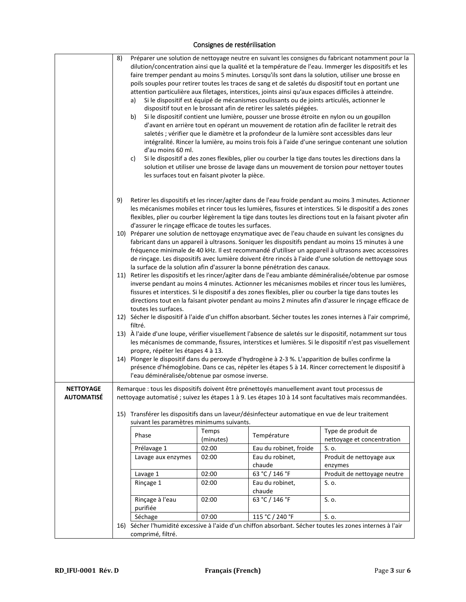|                                       | 8)<br>a)<br>b)<br>c)                                                                                                                                                                                                                                                                                                                                      | d'au moins 60 ml.<br>les surfaces tout en faisant pivoter la pièce.                                                                                                                                                                                                                                                                                                                                                                                                                                                        |                    | Si le dispositif est équipé de mécanismes coulissants ou de joints articulés, actionner le<br>dispositif tout en le brossant afin de retirer les saletés piégées. | Préparer une solution de nettoyage neutre en suivant les consignes du fabricant notamment pour la<br>dilution/concentration ainsi que la qualité et la température de l'eau. Immerger les dispositifs et les<br>faire tremper pendant au moins 5 minutes. Lorsqu'ils sont dans la solution, utiliser une brosse en<br>poils souples pour retirer toutes les traces de sang et de saletés du dispositif tout en portant une<br>attention particulière aux filetages, interstices, joints ainsi qu'aux espaces difficiles à atteindre.<br>Si le dispositif contient une lumière, pousser une brosse étroite en nylon ou un goupillon<br>d'avant en arrière tout en opérant un mouvement de rotation afin de faciliter le retrait des<br>saletés ; vérifier que le diamètre et la profondeur de la lumière sont accessibles dans leur<br>intégralité. Rincer la lumière, au moins trois fois à l'aide d'une seringue contenant une solution<br>Si le dispositif a des zones flexibles, plier ou courber la tige dans toutes les directions dans la<br>solution et utiliser une brosse de lavage dans un mouvement de torsion pour nettoyer toutes                                                                                                                                                                          |
|---------------------------------------|-----------------------------------------------------------------------------------------------------------------------------------------------------------------------------------------------------------------------------------------------------------------------------------------------------------------------------------------------------------|----------------------------------------------------------------------------------------------------------------------------------------------------------------------------------------------------------------------------------------------------------------------------------------------------------------------------------------------------------------------------------------------------------------------------------------------------------------------------------------------------------------------------|--------------------|-------------------------------------------------------------------------------------------------------------------------------------------------------------------|-------------------------------------------------------------------------------------------------------------------------------------------------------------------------------------------------------------------------------------------------------------------------------------------------------------------------------------------------------------------------------------------------------------------------------------------------------------------------------------------------------------------------------------------------------------------------------------------------------------------------------------------------------------------------------------------------------------------------------------------------------------------------------------------------------------------------------------------------------------------------------------------------------------------------------------------------------------------------------------------------------------------------------------------------------------------------------------------------------------------------------------------------------------------------------------------------------------------------------------------------------------------------------------------------------------------------|
|                                       | 9)<br>filtré.                                                                                                                                                                                                                                                                                                                                             | d'assurer le rinçage efficace de toutes les surfaces.<br>toutes les surfaces.                                                                                                                                                                                                                                                                                                                                                                                                                                              |                    | la surface de la solution afin d'assurer la bonne pénétration des canaux.                                                                                         | Retirer les dispositifs et les rincer/agiter dans de l'eau froide pendant au moins 3 minutes. Actionner<br>les mécanismes mobiles et rincer tous les lumières, fissures et interstices. Si le dispositif a des zones<br>flexibles, plier ou courber légèrement la tige dans toutes les directions tout en la faisant pivoter afin<br>10) Préparer une solution de nettoyage enzymatique avec de l'eau chaude en suivant les consignes du<br>fabricant dans un appareil à ultrasons. Soniquer les dispositifs pendant au moins 15 minutes à une<br>fréquence minimale de 40 kHz. Il est recommandé d'utiliser un appareil à ultrasons avec accessoires<br>de rinçage. Les dispositifs avec lumière doivent être rincés à l'aide d'une solution de nettoyage sous<br>11) Retirer les dispositifs et les rincer/agiter dans de l'eau ambiante déminéralisée/obtenue par osmose<br>inverse pendant au moins 4 minutes. Actionner les mécanismes mobiles et rincer tous les lumières,<br>fissures et interstices. Si le dispositif a des zones flexibles, plier ou courber la tige dans toutes les<br>directions tout en la faisant pivoter pendant au moins 2 minutes afin d'assurer le rinçage efficace de<br>12) Sécher le dispositif à l'aide d'un chiffon absorbant. Sécher toutes les zones internes à l'air comprimé, |
|                                       |                                                                                                                                                                                                                                                                                                                                                           | 13) À l'aide d'une loupe, vérifier visuellement l'absence de saletés sur le dispositif, notamment sur tous<br>les mécanismes de commande, fissures, interstices et lumières. Si le dispositif n'est pas visuellement<br>propre, répéter les étapes 4 à 13.<br>14) Plonger le dispositif dans du peroxyde d'hydrogène à 2-3 %. L'apparition de bulles confirme la<br>présence d'hémoglobine. Dans ce cas, répéter les étapes 5 à 14. Rincer correctement le dispositif à<br>l'eau déminéralisée/obtenue par osmose inverse. |                    |                                                                                                                                                                   |                                                                                                                                                                                                                                                                                                                                                                                                                                                                                                                                                                                                                                                                                                                                                                                                                                                                                                                                                                                                                                                                                                                                                                                                                                                                                                                         |
| <b>NETTOYAGE</b><br><b>AUTOMATISÉ</b> | Remarque : tous les dispositifs doivent être prénettoyés manuellement avant tout processus de<br>nettoyage automatisé ; suivez les étapes 1 à 9. Les étapes 10 à 14 sont facultatives mais recommandées.<br>15) Transférer les dispositifs dans un laveur/désinfecteur automatique en vue de leur traitement<br>suivant les paramètres minimums suivants. |                                                                                                                                                                                                                                                                                                                                                                                                                                                                                                                            |                    |                                                                                                                                                                   |                                                                                                                                                                                                                                                                                                                                                                                                                                                                                                                                                                                                                                                                                                                                                                                                                                                                                                                                                                                                                                                                                                                                                                                                                                                                                                                         |
|                                       |                                                                                                                                                                                                                                                                                                                                                           | Phase                                                                                                                                                                                                                                                                                                                                                                                                                                                                                                                      | Temps<br>(minutes) | Température                                                                                                                                                       | Type de produit de<br>nettoyage et concentration                                                                                                                                                                                                                                                                                                                                                                                                                                                                                                                                                                                                                                                                                                                                                                                                                                                                                                                                                                                                                                                                                                                                                                                                                                                                        |
|                                       |                                                                                                                                                                                                                                                                                                                                                           | Prélavage 1                                                                                                                                                                                                                                                                                                                                                                                                                                                                                                                | 02:00              | Eau du robinet, froide                                                                                                                                            | S. o.                                                                                                                                                                                                                                                                                                                                                                                                                                                                                                                                                                                                                                                                                                                                                                                                                                                                                                                                                                                                                                                                                                                                                                                                                                                                                                                   |
|                                       |                                                                                                                                                                                                                                                                                                                                                           | Lavage aux enzymes                                                                                                                                                                                                                                                                                                                                                                                                                                                                                                         | 02:00              | Eau du robinet,<br>chaude                                                                                                                                         | Produit de nettoyage aux<br>enzymes                                                                                                                                                                                                                                                                                                                                                                                                                                                                                                                                                                                                                                                                                                                                                                                                                                                                                                                                                                                                                                                                                                                                                                                                                                                                                     |
|                                       |                                                                                                                                                                                                                                                                                                                                                           | Lavage 1                                                                                                                                                                                                                                                                                                                                                                                                                                                                                                                   | 02:00              | 63 °C / 146 °F                                                                                                                                                    | Produit de nettoyage neutre                                                                                                                                                                                                                                                                                                                                                                                                                                                                                                                                                                                                                                                                                                                                                                                                                                                                                                                                                                                                                                                                                                                                                                                                                                                                                             |
|                                       |                                                                                                                                                                                                                                                                                                                                                           | Rinçage 1                                                                                                                                                                                                                                                                                                                                                                                                                                                                                                                  | 02:00              | Eau du robinet,                                                                                                                                                   | S. o.                                                                                                                                                                                                                                                                                                                                                                                                                                                                                                                                                                                                                                                                                                                                                                                                                                                                                                                                                                                                                                                                                                                                                                                                                                                                                                                   |
|                                       |                                                                                                                                                                                                                                                                                                                                                           | Rinçage à l'eau<br>purifiée                                                                                                                                                                                                                                                                                                                                                                                                                                                                                                | 02:00              | chaude<br>63 °C / 146 °F                                                                                                                                          | S. o.                                                                                                                                                                                                                                                                                                                                                                                                                                                                                                                                                                                                                                                                                                                                                                                                                                                                                                                                                                                                                                                                                                                                                                                                                                                                                                                   |
|                                       |                                                                                                                                                                                                                                                                                                                                                           | Séchage                                                                                                                                                                                                                                                                                                                                                                                                                                                                                                                    | 07:00              | 115 °C / 240 °F                                                                                                                                                   | S. o.                                                                                                                                                                                                                                                                                                                                                                                                                                                                                                                                                                                                                                                                                                                                                                                                                                                                                                                                                                                                                                                                                                                                                                                                                                                                                                                   |
|                                       |                                                                                                                                                                                                                                                                                                                                                           |                                                                                                                                                                                                                                                                                                                                                                                                                                                                                                                            |                    |                                                                                                                                                                   | 16) Sécher l'humidité excessive à l'aide d'un chiffon absorbant. Sécher toutes les zones internes à l'air                                                                                                                                                                                                                                                                                                                                                                                                                                                                                                                                                                                                                                                                                                                                                                                                                                                                                                                                                                                                                                                                                                                                                                                                               |
|                                       | comprimé, filtré.                                                                                                                                                                                                                                                                                                                                         |                                                                                                                                                                                                                                                                                                                                                                                                                                                                                                                            |                    |                                                                                                                                                                   |                                                                                                                                                                                                                                                                                                                                                                                                                                                                                                                                                                                                                                                                                                                                                                                                                                                                                                                                                                                                                                                                                                                                                                                                                                                                                                                         |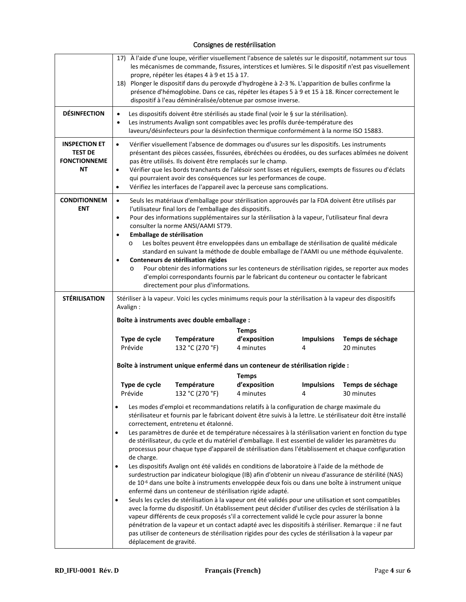|                                                                     |                                                                                                                                                                                                                                                                                                                                                                                                                                                                                                                                                                                                                                                                                                                                                                                                                                                                                     | propre, répéter les étapes 4 à 9 et 15 à 17.<br>18) Plonger le dispositif dans du peroxyde d'hydrogène à 2-3 %. L'apparition de bulles confirme la<br>dispositif à l'eau déminéralisée/obtenue par osmose inverse.                                                                                                                                                                                                                                                                                                                                                                                             |                                           |                        | 17) À l'aide d'une loupe, vérifier visuellement l'absence de saletés sur le dispositif, notamment sur tous<br>les mécanismes de commande, fissures, interstices et lumières. Si le dispositif n'est pas visuellement<br>présence d'hémoglobine. Dans ce cas, répéter les étapes 5 à 9 et 15 à 18. Rincer correctement le                                                                                                                                                                                                                                                                                                                                                                                                                                                                                                                                                            |
|---------------------------------------------------------------------|-------------------------------------------------------------------------------------------------------------------------------------------------------------------------------------------------------------------------------------------------------------------------------------------------------------------------------------------------------------------------------------------------------------------------------------------------------------------------------------------------------------------------------------------------------------------------------------------------------------------------------------------------------------------------------------------------------------------------------------------------------------------------------------------------------------------------------------------------------------------------------------|----------------------------------------------------------------------------------------------------------------------------------------------------------------------------------------------------------------------------------------------------------------------------------------------------------------------------------------------------------------------------------------------------------------------------------------------------------------------------------------------------------------------------------------------------------------------------------------------------------------|-------------------------------------------|------------------------|-------------------------------------------------------------------------------------------------------------------------------------------------------------------------------------------------------------------------------------------------------------------------------------------------------------------------------------------------------------------------------------------------------------------------------------------------------------------------------------------------------------------------------------------------------------------------------------------------------------------------------------------------------------------------------------------------------------------------------------------------------------------------------------------------------------------------------------------------------------------------------------|
| <b>DÉSINFECTION</b>                                                 | $\bullet$<br>٠                                                                                                                                                                                                                                                                                                                                                                                                                                                                                                                                                                                                                                                                                                                                                                                                                                                                      | Les dispositifs doivent être stérilisés au stade final (voir le § sur la stérilisation).<br>Les instruments Avalign sont compatibles avec les profils durée-température des<br>laveurs/désinfecteurs pour la désinfection thermique conformément à la norme ISO 15883.                                                                                                                                                                                                                                                                                                                                         |                                           |                        |                                                                                                                                                                                                                                                                                                                                                                                                                                                                                                                                                                                                                                                                                                                                                                                                                                                                                     |
| <b>INSPECTION ET</b><br><b>TEST DE</b><br><b>FONCTIONNEME</b><br>ΝT | $\bullet$<br>$\bullet$<br>$\bullet$                                                                                                                                                                                                                                                                                                                                                                                                                                                                                                                                                                                                                                                                                                                                                                                                                                                 | Vérifier visuellement l'absence de dommages ou d'usures sur les dispositifs. Les instruments<br>présentant des pièces cassées, fissurées, ébréchées ou érodées, ou des surfaces abîmées ne doivent<br>pas être utilisés. Ils doivent être remplacés sur le champ.<br>Vérifier que les bords tranchants de l'alésoir sont lisses et réguliers, exempts de fissures ou d'éclats<br>qui pourraient avoir des conséquences sur les performances de coupe.<br>Vérifiez les interfaces de l'appareil avec la perceuse sans complications.                                                                            |                                           |                        |                                                                                                                                                                                                                                                                                                                                                                                                                                                                                                                                                                                                                                                                                                                                                                                                                                                                                     |
| <b>CONDITIONNEM</b><br><b>ENT</b>                                   | Seuls les matériaux d'emballage pour stérilisation approuvés par la FDA doivent être utilisés par<br>$\bullet$<br>l'utilisateur final lors de l'emballage des dispositifs.<br>Pour des informations supplémentaires sur la stérilisation à la vapeur, l'utilisateur final devra<br>$\bullet$<br>consulter la norme ANSI/AAMI ST79.<br>Emballage de stérilisation<br>$\bullet$<br>Les boîtes peuvent être enveloppées dans un emballage de stérilisation de qualité médicale<br>O<br>standard en suivant la méthode de double emballage de l'AAMI ou une méthode équivalente.<br>Conteneurs de stérilisation rigides<br>$\bullet$<br>Pour obtenir des informations sur les conteneurs de stérilisation rigides, se reporter aux modes<br>$\circ$<br>d'emploi correspondants fournis par le fabricant du conteneur ou contacter le fabricant<br>directement pour plus d'informations. |                                                                                                                                                                                                                                                                                                                                                                                                                                                                                                                                                                                                                |                                           |                        |                                                                                                                                                                                                                                                                                                                                                                                                                                                                                                                                                                                                                                                                                                                                                                                                                                                                                     |
| <b>STÉRILISATION</b>                                                | Avalign:                                                                                                                                                                                                                                                                                                                                                                                                                                                                                                                                                                                                                                                                                                                                                                                                                                                                            | Stériliser à la vapeur. Voici les cycles minimums requis pour la stérilisation à la vapeur des dispositifs                                                                                                                                                                                                                                                                                                                                                                                                                                                                                                     |                                           |                        |                                                                                                                                                                                                                                                                                                                                                                                                                                                                                                                                                                                                                                                                                                                                                                                                                                                                                     |
|                                                                     |                                                                                                                                                                                                                                                                                                                                                                                                                                                                                                                                                                                                                                                                                                                                                                                                                                                                                     | Boîte à instruments avec double emballage :                                                                                                                                                                                                                                                                                                                                                                                                                                                                                                                                                                    |                                           |                        |                                                                                                                                                                                                                                                                                                                                                                                                                                                                                                                                                                                                                                                                                                                                                                                                                                                                                     |
|                                                                     | Type de cycle<br>Prévide                                                                                                                                                                                                                                                                                                                                                                                                                                                                                                                                                                                                                                                                                                                                                                                                                                                            | Température<br>132 °C (270 °F)                                                                                                                                                                                                                                                                                                                                                                                                                                                                                                                                                                                 | <b>Temps</b><br>d'exposition<br>4 minutes | <b>Impulsions</b><br>4 | Temps de séchage<br>20 minutes                                                                                                                                                                                                                                                                                                                                                                                                                                                                                                                                                                                                                                                                                                                                                                                                                                                      |
|                                                                     |                                                                                                                                                                                                                                                                                                                                                                                                                                                                                                                                                                                                                                                                                                                                                                                                                                                                                     | Boîte à instrument unique enfermé dans un conteneur de stérilisation rigide :                                                                                                                                                                                                                                                                                                                                                                                                                                                                                                                                  | <b>Temps</b>                              |                        |                                                                                                                                                                                                                                                                                                                                                                                                                                                                                                                                                                                                                                                                                                                                                                                                                                                                                     |
|                                                                     | Type de cycle<br>Prévide                                                                                                                                                                                                                                                                                                                                                                                                                                                                                                                                                                                                                                                                                                                                                                                                                                                            | Température<br>132 °C (270 °F)                                                                                                                                                                                                                                                                                                                                                                                                                                                                                                                                                                                 | d'exposition<br>4 minutes                 | <b>Impulsions</b><br>4 | Temps de séchage<br>30 minutes                                                                                                                                                                                                                                                                                                                                                                                                                                                                                                                                                                                                                                                                                                                                                                                                                                                      |
|                                                                     | $\bullet$<br>$\bullet$<br>de charge.<br>$\bullet$<br>$\bullet$<br>déplacement de gravité.                                                                                                                                                                                                                                                                                                                                                                                                                                                                                                                                                                                                                                                                                                                                                                                           | Les modes d'emploi et recommandations relatifs à la configuration de charge maximale du<br>correctement, entretenu et étalonné.<br>de stérilisateur, du cycle et du matériel d'emballage. Il est essentiel de valider les paramètres du<br>Les dispositifs Avalign ont été validés en conditions de laboratoire à l'aide de la méthode de<br>enfermé dans un conteneur de stérilisation rigide adapté.<br>vapeur différents de ceux proposés s'il a correctement validé le cycle pour assurer la bonne<br>pas utiliser de conteneurs de stérilisation rigides pour des cycles de stérilisation à la vapeur par |                                           |                        | stérilisateur et fournis par le fabricant doivent être suivis à la lettre. Le stérilisateur doit être installé<br>Les paramètres de durée et de température nécessaires à la stérilisation varient en fonction du type<br>processus pour chaque type d'appareil de stérilisation dans l'établissement et chaque configuration<br>surdestruction par indicateur biologique (IB) afin d'obtenir un niveau d'assurance de stérilité (NAS)<br>de 10 <sup>-6</sup> dans une boîte à instruments enveloppée deux fois ou dans une boîte à instrument unique<br>Seuls les cycles de stérilisation à la vapeur ont été validés pour une utilisation et sont compatibles<br>avec la forme du dispositif. Un établissement peut décider d'utiliser des cycles de stérilisation à la<br>pénétration de la vapeur et un contact adapté avec les dispositifs à stériliser. Remarque : il ne faut |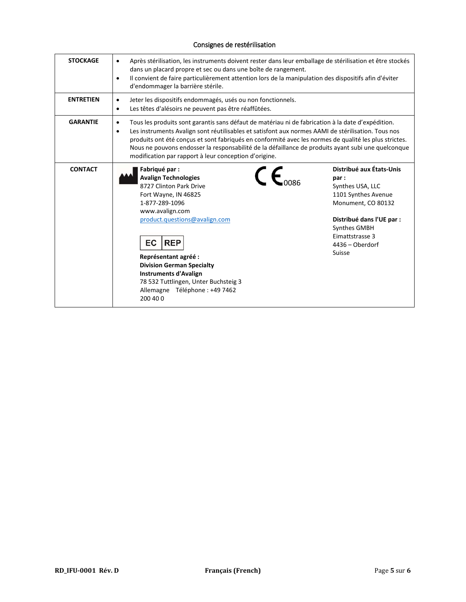| <b>STOCKAGE</b>  | Après stérilisation, les instruments doivent rester dans leur emballage de stérilisation et être stockés<br>$\bullet$<br>dans un placard propre et sec ou dans une boîte de rangement.<br>Il convient de faire particulièrement attention lors de la manipulation des dispositifs afin d'éviter<br>$\bullet$<br>d'endommager la barrière stérile.                                                                                                                                                 |                                                                                                                                                                                                |  |
|------------------|---------------------------------------------------------------------------------------------------------------------------------------------------------------------------------------------------------------------------------------------------------------------------------------------------------------------------------------------------------------------------------------------------------------------------------------------------------------------------------------------------|------------------------------------------------------------------------------------------------------------------------------------------------------------------------------------------------|--|
| <b>ENTRETIEN</b> | Jeter les dispositifs endommagés, usés ou non fonctionnels.<br>$\bullet$<br>Les têtes d'alésoirs ne peuvent pas être réaffûtées.<br>$\bullet$                                                                                                                                                                                                                                                                                                                                                     |                                                                                                                                                                                                |  |
| <b>GARANTIE</b>  | Tous les produits sont garantis sans défaut de matériau ni de fabrication à la date d'expédition.<br>$\bullet$<br>Les instruments Avalign sont réutilisables et satisfont aux normes AAMI de stérilisation. Tous nos<br>٠<br>produits ont été conçus et sont fabriqués en conformité avec les normes de qualité les plus strictes.<br>Nous ne pouvons endosser la responsabilité de la défaillance de produits ayant subi une quelconque<br>modification par rapport à leur conception d'origine. |                                                                                                                                                                                                |  |
| <b>CONTACT</b>   | Fabriqué par :<br><b>Avalign Technologies</b><br>8727 Clinton Park Drive<br>Fort Wayne, IN 46825<br>1-877-289-1096<br>www.avalign.com<br>product.questions@avalign.com<br><b>EC</b><br><b>REP</b><br>Représentant agréé :<br><b>Division German Specialty</b><br><b>Instruments d'Avalign</b><br>78 532 Tuttlingen, Unter Buchsteig 3<br>Allemagne Téléphone : +49 7462<br>200 40 0                                                                                                               | Distribué aux États-Unis<br>par:<br>Synthes USA, LLC<br>1101 Synthes Avenue<br>Monument, CO 80132<br>Distribué dans l'UE par :<br>Synthes GMBH<br>Eimattstrasse 3<br>4436 - Oberdorf<br>Suisse |  |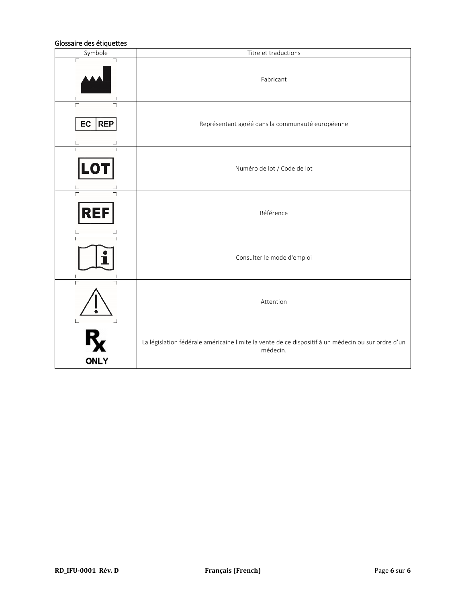### Glossaire des étiquettes

| Symbole          | Titre et traductions                                                                                           |
|------------------|----------------------------------------------------------------------------------------------------------------|
| Г                | Fabricant                                                                                                      |
| EC<br><b>REP</b> | Représentant agréé dans la communauté européenne                                                               |
| LO'              | Numéro de lot / Code de lot                                                                                    |
| REI              | Référence                                                                                                      |
|                  | Consulter le mode d'emploi                                                                                     |
|                  | Attention                                                                                                      |
| <b>ONLY</b>      | La législation fédérale américaine limite la vente de ce dispositif à un médecin ou sur ordre d'un<br>médecin. |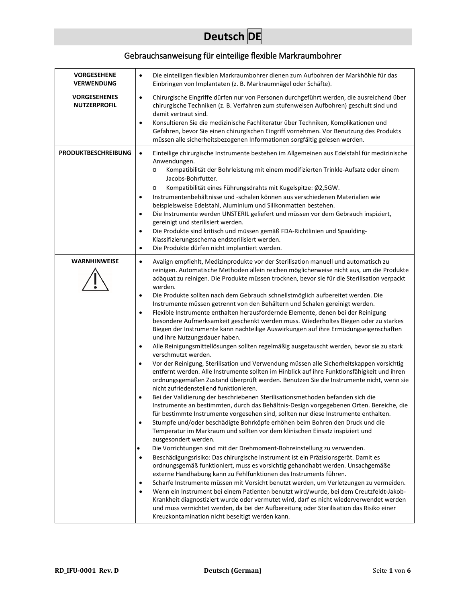# **Deutsch DE**

# Gebrauchsanweisung für einteilige flexible Markraumbohrer

| <b>VORGESEHENE</b><br><b>VERWENDUNG</b>    | Die einteiligen flexiblen Markraumbohrer dienen zum Aufbohren der Markhöhle für das<br>$\bullet$<br>Einbringen von Implantaten (z. B. Markraumnägel oder Schäfte).                                                                                                                                                                                                                                                                                                                                                                                                                                                                                                                                                                                                                                                                                                                                                                                                                                                                                                                                                                                                                                                                                                                                                                                                                                                                                                                                                                                                                                                                                                                                                                                                                                                                                                                                                                                                                                                                                                                                                                                                                                                                                                                                                                                                                                                                                                                                                                                                               |
|--------------------------------------------|----------------------------------------------------------------------------------------------------------------------------------------------------------------------------------------------------------------------------------------------------------------------------------------------------------------------------------------------------------------------------------------------------------------------------------------------------------------------------------------------------------------------------------------------------------------------------------------------------------------------------------------------------------------------------------------------------------------------------------------------------------------------------------------------------------------------------------------------------------------------------------------------------------------------------------------------------------------------------------------------------------------------------------------------------------------------------------------------------------------------------------------------------------------------------------------------------------------------------------------------------------------------------------------------------------------------------------------------------------------------------------------------------------------------------------------------------------------------------------------------------------------------------------------------------------------------------------------------------------------------------------------------------------------------------------------------------------------------------------------------------------------------------------------------------------------------------------------------------------------------------------------------------------------------------------------------------------------------------------------------------------------------------------------------------------------------------------------------------------------------------------------------------------------------------------------------------------------------------------------------------------------------------------------------------------------------------------------------------------------------------------------------------------------------------------------------------------------------------------------------------------------------------------------------------------------------------------|
| <b>VORGESEHENES</b><br><b>NUTZERPROFIL</b> | $\bullet$<br>Chirurgische Eingriffe dürfen nur von Personen durchgeführt werden, die ausreichend über<br>chirurgische Techniken (z. B. Verfahren zum stufenweisen Aufbohren) geschult sind und<br>damit vertraut sind.<br>Konsultieren Sie die medizinische Fachliteratur über Techniken, Komplikationen und<br>$\bullet$<br>Gefahren, bevor Sie einen chirurgischen Eingriff vornehmen. Vor Benutzung des Produkts<br>müssen alle sicherheitsbezogenen Informationen sorgfältig gelesen werden.                                                                                                                                                                                                                                                                                                                                                                                                                                                                                                                                                                                                                                                                                                                                                                                                                                                                                                                                                                                                                                                                                                                                                                                                                                                                                                                                                                                                                                                                                                                                                                                                                                                                                                                                                                                                                                                                                                                                                                                                                                                                                 |
| <b>PRODUKTBESCHREIBUNG</b>                 | Einteilige chirurgische Instrumente bestehen im Allgemeinen aus Edelstahl für medizinische<br>$\bullet$<br>Anwendungen.<br>Kompatibilität der Bohrleistung mit einem modifizierten Trinkle-Aufsatz oder einem<br>$\circ$<br>Jacobs-Bohrfutter.<br>Kompatibilität eines Führungsdrahts mit Kugelspitze: Ø2,5GW.<br>$\circ$<br>Instrumentenbehältnisse und -schalen können aus verschiedenen Materialien wie<br>$\bullet$<br>beispielsweise Edelstahl, Aluminium und Silikonmatten bestehen.<br>Die Instrumente werden UNSTERIL geliefert und müssen vor dem Gebrauch inspiziert,<br>$\bullet$<br>gereinigt und sterilisiert werden.<br>Die Produkte sind kritisch und müssen gemäß FDA-Richtlinien und Spaulding-<br>$\bullet$<br>Klassifizierungsschema endsterilisiert werden.<br>Die Produkte dürfen nicht implantiert werden.<br>$\bullet$                                                                                                                                                                                                                                                                                                                                                                                                                                                                                                                                                                                                                                                                                                                                                                                                                                                                                                                                                                                                                                                                                                                                                                                                                                                                                                                                                                                                                                                                                                                                                                                                                                                                                                                                    |
| <b>WARNHINWEISE</b>                        | Avalign empfiehlt, Medizinprodukte vor der Sterilisation manuell und automatisch zu<br>$\bullet$<br>reinigen. Automatische Methoden allein reichen möglicherweise nicht aus, um die Produkte<br>adäquat zu reinigen. Die Produkte müssen trocknen, bevor sie für die Sterilisation verpackt<br>werden.<br>Die Produkte sollten nach dem Gebrauch schnellstmöglich aufbereitet werden. Die<br>$\bullet$<br>Instrumente müssen getrennt von den Behältern und Schalen gereinigt werden.<br>Flexible Instrumente enthalten herausfordernde Elemente, denen bei der Reinigung<br>$\bullet$<br>besondere Aufmerksamkeit geschenkt werden muss. Wiederholtes Biegen oder zu starkes<br>Biegen der Instrumente kann nachteilige Auswirkungen auf ihre Ermüdungseigenschaften<br>und ihre Nutzungsdauer haben.<br>Alle Reinigungsmittellösungen sollten regelmäßig ausgetauscht werden, bevor sie zu stark<br>$\bullet$<br>verschmutzt werden.<br>Vor der Reinigung, Sterilisation und Verwendung müssen alle Sicherheitskappen vorsichtig<br>$\bullet$<br>entfernt werden. Alle Instrumente sollten im Hinblick auf ihre Funktionsfähigkeit und ihren<br>ordnungsgemäßen Zustand überprüft werden. Benutzen Sie die Instrumente nicht, wenn sie<br>nicht zufriedenstellend funktionieren.<br>Bei der Validierung der beschriebenen Sterilisationsmethoden befanden sich die<br>$\bullet$<br>Instrumente an bestimmten, durch das Behältnis-Design vorgegebenen Orten. Bereiche, die<br>für bestimmte Instrumente vorgesehen sind, sollten nur diese Instrumente enthalten.<br>Stumpfe und/oder beschädigte Bohrköpfe erhöhen beim Bohren den Druck und die<br>$\bullet$<br>Temperatur im Markraum und sollten vor dem klinischen Einsatz inspiziert und<br>ausgesondert werden.<br>Die Vorrichtungen sind mit der Drehmoment-Bohreinstellung zu verwenden.<br>$\bullet$<br>Beschädigungsrisiko: Das chirurgische Instrument ist ein Präzisionsgerät. Damit es<br>$\bullet$<br>ordnungsgemäß funktioniert, muss es vorsichtig gehandhabt werden. Unsachgemäße<br>externe Handhabung kann zu Fehlfunktionen des Instruments führen.<br>Scharfe Instrumente müssen mit Vorsicht benutzt werden, um Verletzungen zu vermeiden.<br>$\bullet$<br>Wenn ein Instrument bei einem Patienten benutzt wird/wurde, bei dem Creutzfeldt-Jakob-<br>$\bullet$<br>Krankheit diagnostiziert wurde oder vermutet wird, darf es nicht wiederverwendet werden<br>und muss vernichtet werden, da bei der Aufbereitung oder Sterilisation das Risiko einer<br>Kreuzkontamination nicht beseitigt werden kann. |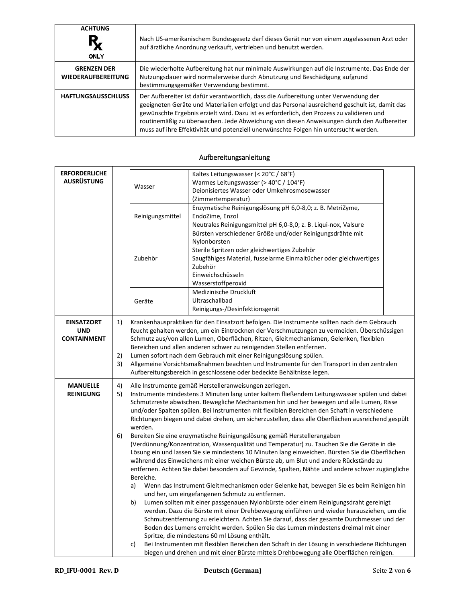| <b>ACHTUNG</b><br><b>ONLY</b>                   | Nach US-amerikanischem Bundesgesetz darf dieses Gerät nur von einem zugelassenen Arzt oder<br>auf ärztliche Anordnung verkauft, vertrieben und benutzt werden.                                                                                                                                                                                                                                                                                                          |
|-------------------------------------------------|-------------------------------------------------------------------------------------------------------------------------------------------------------------------------------------------------------------------------------------------------------------------------------------------------------------------------------------------------------------------------------------------------------------------------------------------------------------------------|
| <b>GRENZEN DER</b><br><b>WIEDERAUFBEREITUNG</b> | Die wiederholte Aufbereitung hat nur minimale Auswirkungen auf die Instrumente. Das Ende der<br>Nutzungsdauer wird normalerweise durch Abnutzung und Beschädigung aufgrund<br>bestimmungsgemäßer Verwendung bestimmt.                                                                                                                                                                                                                                                   |
| <b>HAFTUNGSAUSSCHLUSS</b>                       | Der Aufbereiter ist dafür verantwortlich, dass die Aufbereitung unter Verwendung der<br>geeigneten Geräte und Materialien erfolgt und das Personal ausreichend geschult ist, damit das<br>gewünschte Ergebnis erzielt wird. Dazu ist es erforderlich, den Prozess zu validieren und<br>routinemäßig zu überwachen. Jede Abweichung von diesen Anweisungen durch den Aufbereiter<br>muss auf ihre Effektivität und potenziell unerwünschte Folgen hin untersucht werden. |

#### **ERFORDERLICHE AUSRÜSTUNG** Wasser Kaltes Leitungswasser (< 20°C / 68°F) Warmes Leitungswasser (> 40°C / 104°F) Deionisiertes Wasser oder Umkehrosmosewasser (Zimmertemperatur) Reinigungsmittel Enzymatische Reinigungslösung pH 6,0-8,0; z. B. MetriZyme, EndoZime, Enzol Neutrales Reinigungsmittel pH 6,0-8,0; z. B. Liqui-nox, Valsure Zubehör Bürsten verschiedener Größe und/oder Reinigungsdrähte mit Nylonborsten Sterile Spritzen oder gleichwertiges Zubehör Saugfähiges Material, fusselarme Einmaltücher oder gleichwertiges Zubehör Einweichschüsseln Wasserstoffperoxid Geräte Medizinische Druckluft Ultraschallbad Reinigungs-/Desinfektionsgerät **EINSATZORT UND CONTAINMENT** 1) Krankenhauspraktiken für den Einsatzort befolgen. Die Instrumente sollten nach dem Gebrauch feucht gehalten werden, um ein Eintrocknen der Verschmutzungen zu vermeiden. Überschüssigen Schmutz aus/von allen Lumen, Oberflächen, Ritzen, Gleitmechanismen, Gelenken, flexiblen Bereichen und allen anderen schwer zu reinigenden Stellen entfernen. 2) Lumen sofort nach dem Gebrauch mit einer Reinigungslösung spülen. 3) Allgemeine Vorsichtsmaßnahmen beachten und Instrumente für den Transport in den zentralen Aufbereitungsbereich in geschlossene oder bedeckte Behältnisse legen. **MANUELLE REINIGUNG** 4) Alle Instrumente gemäß Herstelleranweisungen zerlegen. 5) Instrumente mindestens 3 Minuten lang unter kaltem fließendem Leitungswasser spülen und dabei Schmutzreste abwischen. Bewegliche Mechanismen hin und her bewegen und alle Lumen, Risse und/oder Spalten spülen. Bei Instrumenten mit flexiblen Bereichen den Schaft in verschiedene Richtungen biegen und dabei drehen, um sicherzustellen, dass alle Oberflächen ausreichend gespült werden. 6) Bereiten Sie eine enzymatische Reinigungslösung gemäß Herstellerangaben (Verdünnung/Konzentration, Wasserqualität und Temperatur) zu. Tauchen Sie die Geräte in die Lösung ein und lassen Sie sie mindestens 10 Minuten lang einweichen. Bürsten Sie die Oberflächen während des Einweichens mit einer weichen Bürste ab, um Blut und andere Rückstände zu entfernen. Achten Sie dabei besonders auf Gewinde, Spalten, Nähte und andere schwer zugängliche Bereiche. a) Wenn das Instrument Gleitmechanismen oder Gelenke hat, bewegen Sie es beim Reinigen hin und her, um eingefangenen Schmutz zu entfernen. b) Lumen sollten mit einer passgenauen Nylonbürste oder einem Reinigungsdraht gereinigt werden. Dazu die Bürste mit einer Drehbewegung einführen und wieder herausziehen, um die Schmutzentfernung zu erleichtern. Achten Sie darauf, dass der gesamte Durchmesser und der

#### Aufbereitungsanleitung

Boden des Lumens erreicht werden. Spülen Sie das Lumen mindestens dreimal mit einer

Spritze, die mindestens 60 ml Lösung enthält.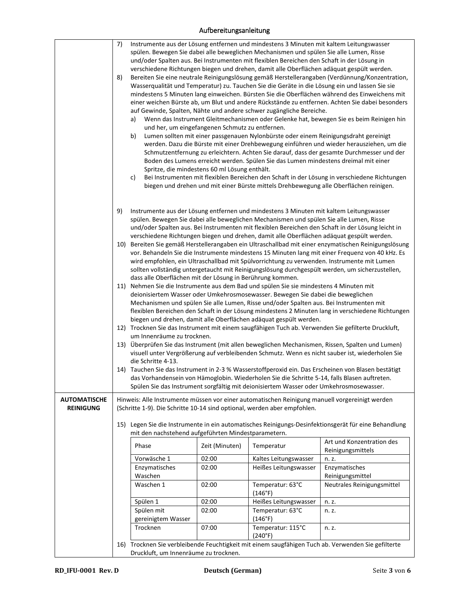## Aufbereitungsanleitung

|                                         | 7)<br>8)<br>a)<br>b)<br>c)                                                                                                                                                 | Instrumente aus der Lösung entfernen und mindestens 3 Minuten mit kaltem Leitungswasser<br>spülen. Bewegen Sie dabei alle beweglichen Mechanismen und spülen Sie alle Lumen, Risse<br>und/oder Spalten aus. Bei Instrumenten mit flexiblen Bereichen den Schaft in der Lösung in<br>verschiedene Richtungen biegen und drehen, damit alle Oberflächen adäquat gespült werden.<br>Bereiten Sie eine neutrale Reinigungslösung gemäß Herstellerangaben (Verdünnung/Konzentration,<br>Wasserqualität und Temperatur) zu. Tauchen Sie die Geräte in die Lösung ein und lassen Sie sie<br>mindestens 5 Minuten lang einweichen. Bürsten Sie die Oberflächen während des Einweichens mit<br>einer weichen Bürste ab, um Blut und andere Rückstände zu entfernen. Achten Sie dabei besonders<br>auf Gewinde, Spalten, Nähte und andere schwer zugängliche Bereiche.<br>Wenn das Instrument Gleitmechanismen oder Gelenke hat, bewegen Sie es beim Reinigen hin<br>und her, um eingefangenen Schmutz zu entfernen.<br>Lumen sollten mit einer passgenauen Nylonbürste oder einem Reinigungsdraht gereinigt<br>werden. Dazu die Bürste mit einer Drehbewegung einführen und wieder herausziehen, um die<br>Schmutzentfernung zu erleichtern. Achten Sie darauf, dass der gesamte Durchmesser und der<br>Boden des Lumens erreicht werden. Spülen Sie das Lumen mindestens dreimal mit einer<br>Spritze, die mindestens 60 ml Lösung enthält.<br>Bei Instrumenten mit flexiblen Bereichen den Schaft in der Lösung in verschiedene Richtungen<br>biegen und drehen und mit einer Bürste mittels Drehbewegung alle Oberflächen reinigen. |                                                                                                                                                                                    |                                                                                                                                                                                                                                                                                                       |  |  |  |
|-----------------------------------------|----------------------------------------------------------------------------------------------------------------------------------------------------------------------------|-------------------------------------------------------------------------------------------------------------------------------------------------------------------------------------------------------------------------------------------------------------------------------------------------------------------------------------------------------------------------------------------------------------------------------------------------------------------------------------------------------------------------------------------------------------------------------------------------------------------------------------------------------------------------------------------------------------------------------------------------------------------------------------------------------------------------------------------------------------------------------------------------------------------------------------------------------------------------------------------------------------------------------------------------------------------------------------------------------------------------------------------------------------------------------------------------------------------------------------------------------------------------------------------------------------------------------------------------------------------------------------------------------------------------------------------------------------------------------------------------------------------------------------------------------------------------------------------------------------------------------|------------------------------------------------------------------------------------------------------------------------------------------------------------------------------------|-------------------------------------------------------------------------------------------------------------------------------------------------------------------------------------------------------------------------------------------------------------------------------------------------------|--|--|--|
|                                         | 9)                                                                                                                                                                         |                                                                                                                                                                                                                                                                                                                                                                                                                                                                                                                                                                                                                                                                                                                                                                                                                                                                                                                                                                                                                                                                                                                                                                                                                                                                                                                                                                                                                                                                                                                                                                                                                               | Instrumente aus der Lösung entfernen und mindestens 3 Minuten mit kaltem Leitungswasser<br>spülen. Bewegen Sie dabei alle beweglichen Mechanismen und spülen Sie alle Lumen, Risse | und/oder Spalten aus. Bei Instrumenten mit flexiblen Bereichen den Schaft in der Lösung leicht in                                                                                                                                                                                                     |  |  |  |
|                                         |                                                                                                                                                                            |                                                                                                                                                                                                                                                                                                                                                                                                                                                                                                                                                                                                                                                                                                                                                                                                                                                                                                                                                                                                                                                                                                                                                                                                                                                                                                                                                                                                                                                                                                                                                                                                                               | verschiedene Richtungen biegen und drehen, damit alle Oberflächen adäquat gespült werden.                                                                                          | 10) Bereiten Sie gemäß Herstellerangaben ein Ultraschallbad mit einer enzymatischen Reinigungslösung<br>vor. Behandeln Sie die Instrumente mindestens 15 Minuten lang mit einer Frequenz von 40 kHz. Es<br>wird empfohlen, ein Ultraschallbad mit Spülvorrichtung zu verwenden. Instrumente mit Lumen |  |  |  |
|                                         |                                                                                                                                                                            | sollten vollständig untergetaucht mit Reinigungslösung durchgespült werden, um sicherzustellen,<br>dass alle Oberflächen mit der Lösung in Berührung kommen.<br>11) Nehmen Sie die Instrumente aus dem Bad und spülen Sie sie mindestens 4 Minuten mit<br>deionisiertem Wasser oder Umkehrosmosewasser. Bewegen Sie dabei die beweglichen<br>Mechanismen und spülen Sie alle Lumen, Risse und/oder Spalten aus. Bei Instrumenten mit<br>flexiblen Bereichen den Schaft in der Lösung mindestens 2 Minuten lang in verschiedene Richtungen                                                                                                                                                                                                                                                                                                                                                                                                                                                                                                                                                                                                                                                                                                                                                                                                                                                                                                                                                                                                                                                                                     |                                                                                                                                                                                    |                                                                                                                                                                                                                                                                                                       |  |  |  |
|                                         |                                                                                                                                                                            | biegen und drehen, damit alle Oberflächen adäquat gespült werden.<br>12) Trocknen Sie das Instrument mit einem saugfähigen Tuch ab. Verwenden Sie gefilterte Druckluft,<br>um Innenräume zu trocknen.                                                                                                                                                                                                                                                                                                                                                                                                                                                                                                                                                                                                                                                                                                                                                                                                                                                                                                                                                                                                                                                                                                                                                                                                                                                                                                                                                                                                                         |                                                                                                                                                                                    |                                                                                                                                                                                                                                                                                                       |  |  |  |
|                                         |                                                                                                                                                                            | 13) Überprüfen Sie das Instrument (mit allen beweglichen Mechanismen, Rissen, Spalten und Lumen)<br>visuell unter Vergrößerung auf verbleibenden Schmutz. Wenn es nicht sauber ist, wiederholen Sie<br>die Schritte 4-13.                                                                                                                                                                                                                                                                                                                                                                                                                                                                                                                                                                                                                                                                                                                                                                                                                                                                                                                                                                                                                                                                                                                                                                                                                                                                                                                                                                                                     |                                                                                                                                                                                    |                                                                                                                                                                                                                                                                                                       |  |  |  |
|                                         |                                                                                                                                                                            | 14) Tauchen Sie das Instrument in 2-3 % Wasserstoffperoxid ein. Das Erscheinen von Blasen bestätigt<br>das Vorhandensein von Hämoglobin. Wiederholen Sie die Schritte 5-14, falls Blasen auftreten.<br>Spülen Sie das Instrument sorgfältig mit deionisiertem Wasser oder Umkehrosmosewasser.                                                                                                                                                                                                                                                                                                                                                                                                                                                                                                                                                                                                                                                                                                                                                                                                                                                                                                                                                                                                                                                                                                                                                                                                                                                                                                                                 |                                                                                                                                                                                    |                                                                                                                                                                                                                                                                                                       |  |  |  |
| <b>AUTOMATISCHE</b><br><b>REINIGUNG</b> | Hinweis: Alle Instrumente müssen vor einer automatischen Reinigung manuell vorgereinigt werden<br>(Schritte 1-9). Die Schritte 10-14 sind optional, werden aber empfohlen. |                                                                                                                                                                                                                                                                                                                                                                                                                                                                                                                                                                                                                                                                                                                                                                                                                                                                                                                                                                                                                                                                                                                                                                                                                                                                                                                                                                                                                                                                                                                                                                                                                               |                                                                                                                                                                                    |                                                                                                                                                                                                                                                                                                       |  |  |  |
|                                         | 15) Legen Sie die Instrumente in ein automatisches Reinigungs-Desinfektionsgerät für eine Behandlung<br>mit den nachstehend aufgeführten Mindestparametern.                |                                                                                                                                                                                                                                                                                                                                                                                                                                                                                                                                                                                                                                                                                                                                                                                                                                                                                                                                                                                                                                                                                                                                                                                                                                                                                                                                                                                                                                                                                                                                                                                                                               |                                                                                                                                                                                    |                                                                                                                                                                                                                                                                                                       |  |  |  |
|                                         | Phase                                                                                                                                                                      | Zeit (Minuten)                                                                                                                                                                                                                                                                                                                                                                                                                                                                                                                                                                                                                                                                                                                                                                                                                                                                                                                                                                                                                                                                                                                                                                                                                                                                                                                                                                                                                                                                                                                                                                                                                | Temperatur                                                                                                                                                                         | Art und Konzentration des<br>Reinigungsmittels                                                                                                                                                                                                                                                        |  |  |  |
|                                         | Vorwäsche 1                                                                                                                                                                | 02:00                                                                                                                                                                                                                                                                                                                                                                                                                                                                                                                                                                                                                                                                                                                                                                                                                                                                                                                                                                                                                                                                                                                                                                                                                                                                                                                                                                                                                                                                                                                                                                                                                         | Kaltes Leitungswasser                                                                                                                                                              | n. z.                                                                                                                                                                                                                                                                                                 |  |  |  |
|                                         | Enzymatisches<br>Waschen                                                                                                                                                   | 02:00                                                                                                                                                                                                                                                                                                                                                                                                                                                                                                                                                                                                                                                                                                                                                                                                                                                                                                                                                                                                                                                                                                                                                                                                                                                                                                                                                                                                                                                                                                                                                                                                                         | Heißes Leitungswasser                                                                                                                                                              | Enzymatisches<br>Reinigungsmittel                                                                                                                                                                                                                                                                     |  |  |  |
|                                         | Waschen 1                                                                                                                                                                  | 02:00                                                                                                                                                                                                                                                                                                                                                                                                                                                                                                                                                                                                                                                                                                                                                                                                                                                                                                                                                                                                                                                                                                                                                                                                                                                                                                                                                                                                                                                                                                                                                                                                                         | Temperatur: 63°C<br>(146°F)                                                                                                                                                        | Neutrales Reinigungsmittel                                                                                                                                                                                                                                                                            |  |  |  |
|                                         | Spülen 1                                                                                                                                                                   | 02:00                                                                                                                                                                                                                                                                                                                                                                                                                                                                                                                                                                                                                                                                                                                                                                                                                                                                                                                                                                                                                                                                                                                                                                                                                                                                                                                                                                                                                                                                                                                                                                                                                         | Heißes Leitungswasser                                                                                                                                                              | n. z.                                                                                                                                                                                                                                                                                                 |  |  |  |
|                                         | Spülen mit<br>gereinigtem Wasser                                                                                                                                           | 02:00                                                                                                                                                                                                                                                                                                                                                                                                                                                                                                                                                                                                                                                                                                                                                                                                                                                                                                                                                                                                                                                                                                                                                                                                                                                                                                                                                                                                                                                                                                                                                                                                                         | Temperatur: 63°C<br>(146°F)                                                                                                                                                        | n. z.                                                                                                                                                                                                                                                                                                 |  |  |  |
|                                         | Trocknen                                                                                                                                                                   | Temperatur: 115°C<br>07:00<br>n. z.                                                                                                                                                                                                                                                                                                                                                                                                                                                                                                                                                                                                                                                                                                                                                                                                                                                                                                                                                                                                                                                                                                                                                                                                                                                                                                                                                                                                                                                                                                                                                                                           |                                                                                                                                                                                    |                                                                                                                                                                                                                                                                                                       |  |  |  |
|                                         | (240°F)<br>16) Trocknen Sie verbleibende Feuchtigkeit mit einem saugfähigen Tuch ab. Verwenden Sie gefilterte<br>Druckluft, um Innenräume zu trocknen.                     |                                                                                                                                                                                                                                                                                                                                                                                                                                                                                                                                                                                                                                                                                                                                                                                                                                                                                                                                                                                                                                                                                                                                                                                                                                                                                                                                                                                                                                                                                                                                                                                                                               |                                                                                                                                                                                    |                                                                                                                                                                                                                                                                                                       |  |  |  |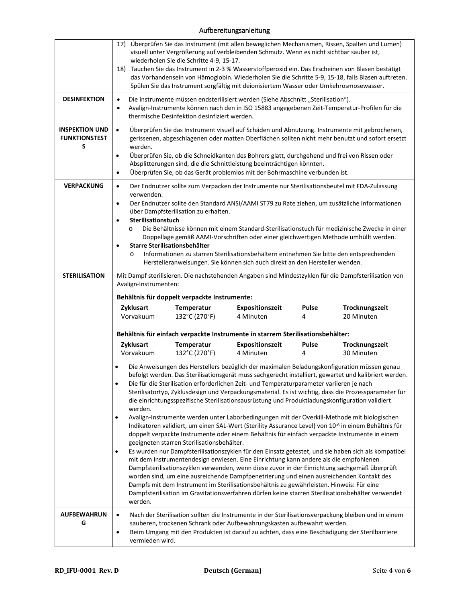## Aufbereitungsanleitung

|                                                    | 17) Überprüfen Sie das Instrument (mit allen beweglichen Mechanismen, Rissen, Spalten und Lumen)<br>visuell unter Vergrößerung auf verbleibenden Schmutz. Wenn es nicht sichtbar sauber ist,<br>wiederholen Sie die Schritte 4-9, 15-17.<br>18) Tauchen Sie das Instrument in 2-3 % Wasserstoffperoxid ein. Das Erscheinen von Blasen bestätigt<br>das Vorhandensein von Hämoglobin. Wiederholen Sie die Schritte 5-9, 15-18, falls Blasen auftreten.<br>Spülen Sie das Instrument sorgfältig mit deionisiertem Wasser oder Umkehrosmosewasser.                                                                                                                                                                                                                                                                                                                                                                                                                                                                                                                                                                                                                                                                                                                                                                                                                                                                                                                                                                                       |  |  |  |  |
|----------------------------------------------------|---------------------------------------------------------------------------------------------------------------------------------------------------------------------------------------------------------------------------------------------------------------------------------------------------------------------------------------------------------------------------------------------------------------------------------------------------------------------------------------------------------------------------------------------------------------------------------------------------------------------------------------------------------------------------------------------------------------------------------------------------------------------------------------------------------------------------------------------------------------------------------------------------------------------------------------------------------------------------------------------------------------------------------------------------------------------------------------------------------------------------------------------------------------------------------------------------------------------------------------------------------------------------------------------------------------------------------------------------------------------------------------------------------------------------------------------------------------------------------------------------------------------------------------|--|--|--|--|
| <b>DESINFEKTION</b>                                | Die Instrumente müssen endsterilisiert werden (Siehe Abschnitt "Sterilisation").<br>$\bullet$<br>Avalign-Instrumente können nach den in ISO 15883 angegebenen Zeit-Temperatur-Profilen für die<br>$\bullet$<br>thermische Desinfektion desinfiziert werden.                                                                                                                                                                                                                                                                                                                                                                                                                                                                                                                                                                                                                                                                                                                                                                                                                                                                                                                                                                                                                                                                                                                                                                                                                                                                           |  |  |  |  |
| <b>INSPEKTION UND</b><br><b>FUNKTIONSTEST</b><br>S | Überprüfen Sie das Instrument visuell auf Schäden und Abnutzung. Instrumente mit gebrochenen,<br>$\bullet$<br>gerissenen, abgeschlagenen oder matten Oberflächen sollten nicht mehr benutzt und sofort ersetzt<br>werden.<br>Überprüfen Sie, ob die Schneidkanten des Bohrers glatt, durchgehend und frei von Rissen oder<br>$\bullet$<br>Absplitterungen sind, die die Schnittleistung beeinträchtigen könnten.<br>Überprüfen Sie, ob das Gerät problemlos mit der Bohrmaschine verbunden ist.<br>$\bullet$                                                                                                                                                                                                                                                                                                                                                                                                                                                                                                                                                                                                                                                                                                                                                                                                                                                                                                                                                                                                                          |  |  |  |  |
| <b>VERPACKUNG</b>                                  | Der Endnutzer sollte zum Verpacken der Instrumente nur Sterilisationsbeutel mit FDA-Zulassung<br>$\bullet$<br>verwenden.<br>Der Endnutzer sollte den Standard ANSI/AAMI ST79 zu Rate ziehen, um zusätzliche Informationen<br>$\bullet$<br>über Dampfsterilisation zu erhalten.<br>Sterilisationstuch<br>$\bullet$<br>Die Behältnisse können mit einem Standard-Sterilisationstuch für medizinische Zwecke in einer<br>$\circ$<br>Doppellage gemäß AAMI-Vorschriften oder einer gleichwertigen Methode umhüllt werden.<br>Starre Sterilisationsbehälter<br>$\bullet$<br>Informationen zu starren Sterilisationsbehältern entnehmen Sie bitte den entsprechenden<br>O<br>Herstelleranweisungen. Sie können sich auch direkt an den Hersteller wenden.                                                                                                                                                                                                                                                                                                                                                                                                                                                                                                                                                                                                                                                                                                                                                                                   |  |  |  |  |
| <b>STERILISATION</b>                               | Mit Dampf sterilisieren. Die nachstehenden Angaben sind Mindestzyklen für die Dampfsterilisation von<br>Avalign-Instrumenten:<br>Behältnis für doppelt verpackte Instrumente:<br>Zyklusart<br><b>Pulse</b><br>Temperatur<br><b>Expositionszeit</b><br>Trocknungszeit<br>Vorvakuum<br>132°C (270°F)<br>4 Minuten<br>20 Minuten<br>4                                                                                                                                                                                                                                                                                                                                                                                                                                                                                                                                                                                                                                                                                                                                                                                                                                                                                                                                                                                                                                                                                                                                                                                                    |  |  |  |  |
|                                                    | Behältnis für einfach verpackte Instrumente in starrem Sterilisationsbehälter:<br>Zyklusart<br>Expositionszeit<br><b>Pulse</b><br>Trocknungszeit<br>Temperatur<br>132°C (270°F)<br>Vorvakuum<br>4 Minuten<br>30 Minuten<br>4                                                                                                                                                                                                                                                                                                                                                                                                                                                                                                                                                                                                                                                                                                                                                                                                                                                                                                                                                                                                                                                                                                                                                                                                                                                                                                          |  |  |  |  |
|                                                    | Die Anweisungen des Herstellers bezüglich der maximalen Beladungskonfiguration müssen genau<br>befolgt werden. Das Sterilisationsgerät muss sachgerecht installiert, gewartet und kalibriert werden.<br>Die für die Sterilisation erforderlichen Zeit- und Temperaturparameter variieren je nach<br>$\bullet$<br>Sterilisatortyp, Zyklusdesign und Verpackungsmaterial. Es ist wichtig, dass die Prozessparameter für<br>die einrichtungsspezifische Sterilisationsausrüstung und Produktladungskonfiguration validiert<br>werden.<br>Avalign-Instrumente werden unter Laborbedingungen mit der Overkill-Methode mit biologischen<br>$\bullet$<br>Indikatoren validiert, um einen SAL-Wert (Sterility Assurance Level) von 10 <sup>-6</sup> in einem Behältnis für<br>doppelt verpackte Instrumente oder einem Behältnis für einfach verpackte Instrumente in einem<br>geeigneten starren Sterilisationsbehälter.<br>Es wurden nur Dampfsterilisationszyklen für den Einsatz getestet, und sie haben sich als kompatibel<br>$\bullet$<br>mit dem Instrumentendesign erwiesen. Eine Einrichtung kann andere als die empfohlenen<br>Dampfsterilisationszyklen verwenden, wenn diese zuvor in der Einrichtung sachgemäß überprüft<br>worden sind, um eine ausreichende Dampfpenetrierung und einen ausreichenden Kontakt des<br>Dampfs mit dem Instrument im Sterilisationsbehältnis zu gewährleisten. Hinweis: Für eine<br>Dampfsterilisation im Gravitationsverfahren dürfen keine starren Sterilisationsbehälter verwendet<br>werden. |  |  |  |  |
| <b>AUFBEWAHRUN</b><br>G                            | Nach der Sterilisation sollten die Instrumente in der Sterilisationsverpackung bleiben und in einem<br>$\bullet$<br>sauberen, trockenen Schrank oder Aufbewahrungskasten aufbewahrt werden.<br>Beim Umgang mit den Produkten ist darauf zu achten, dass eine Beschädigung der Sterilbarriere<br>$\bullet$<br>vermieden wird.                                                                                                                                                                                                                                                                                                                                                                                                                                                                                                                                                                                                                                                                                                                                                                                                                                                                                                                                                                                                                                                                                                                                                                                                          |  |  |  |  |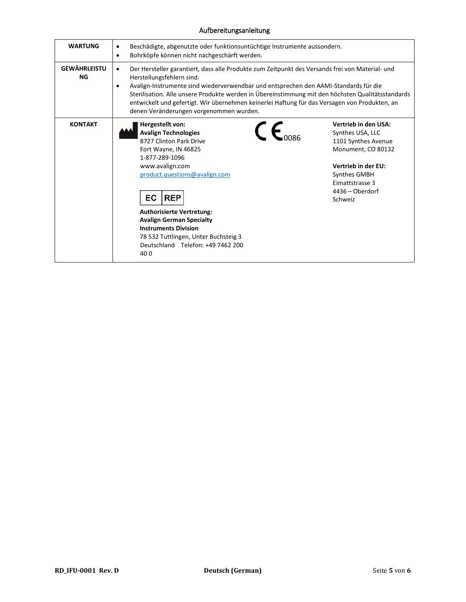## Aufbereitungsanleitung

| <b>WARTUNG</b>                   | Beschädigte, abgenutzte oder funktionsuntüchtige Instrumente aussondern.<br>٠<br>Bohrköpfe können nicht nachgeschärft werden.<br>$\bullet$                                                                                                                                                                                                                                                                                                                                                      |                                                                                                                                                                                      |  |  |
|----------------------------------|-------------------------------------------------------------------------------------------------------------------------------------------------------------------------------------------------------------------------------------------------------------------------------------------------------------------------------------------------------------------------------------------------------------------------------------------------------------------------------------------------|--------------------------------------------------------------------------------------------------------------------------------------------------------------------------------------|--|--|
| <b>GEWÄHRLEISTU</b><br><b>NG</b> | Der Hersteller garantiert, dass alle Produkte zum Zeitpunkt des Versands frei von Material- und<br>$\bullet$<br>Herstellungsfehlern sind.<br>Avalign-Instrumente sind wiederverwendbar und entsprechen den AAMI-Standards für die<br>$\bullet$<br>Sterilisation. Alle unsere Produkte werden in Übereinstimmung mit den höchsten Qualitätsstandards<br>entwickelt und gefertigt. Wir übernehmen keinerlei Haftung für das Versagen von Produkten, an<br>denen Veränderungen vorgenommen wurden. |                                                                                                                                                                                      |  |  |
| <b>KONTAKT</b>                   | Hergestellt von:<br>$\mathsf{c}_{\mathsf{c}}$<br><b>Avalign Technologies</b><br>8727 Clinton Park Drive<br>Fort Wayne, IN 46825<br>1-877-289-1096<br>www.avalign.com<br>product.questions@avalign.com<br>EC<br><b>REP</b><br><b>Authorisierte Vertretung:</b><br><b>Avalign German Specialty</b><br><b>Instruments Division</b><br>78 532 Tuttlingen, Unter Buchsteig 3<br>Deutschland Telefon: +49 7462 200<br>400                                                                             | Vertrieb in den USA:<br>Synthes USA, LLC<br>1101 Synthes Avenue<br>Monument, CO 80132<br><b>Vertrieb in der EU:</b><br>Synthes GMBH<br>Eimattstrasse 3<br>4436 - Oberdorf<br>Schweiz |  |  |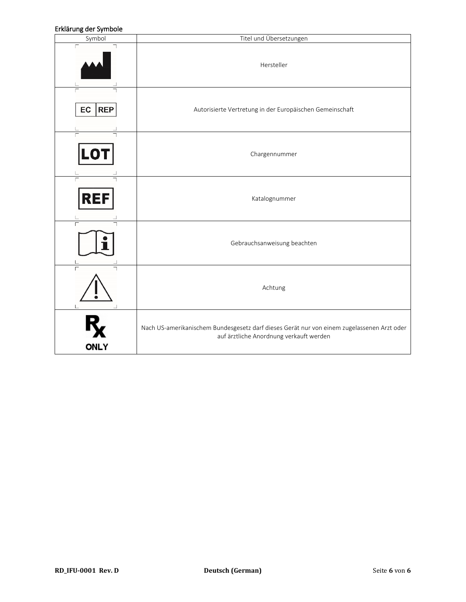### Erklärung der Symbole

| בו מסו סווך סיכו לאוווגיטוכ<br>Symbol | Titel und Übersetzungen                                                                                                               |
|---------------------------------------|---------------------------------------------------------------------------------------------------------------------------------------|
| $\Gamma$                              | Hersteller                                                                                                                            |
| EC<br><b>REP</b>                      | Autorisierte Vertretung in der Europäischen Gemeinschaft                                                                              |
| LO1                                   | Chargennummer                                                                                                                         |
| $\overline{\Gamma}$<br><b>REF</b>     | Katalognummer                                                                                                                         |
|                                       | Gebrauchsanweisung beachten                                                                                                           |
|                                       | Achtung                                                                                                                               |
| <b>ONLY</b>                           | Nach US-amerikanischem Bundesgesetz darf dieses Gerät nur von einem zugelassenen Arzt oder<br>auf ärztliche Anordnung verkauft werden |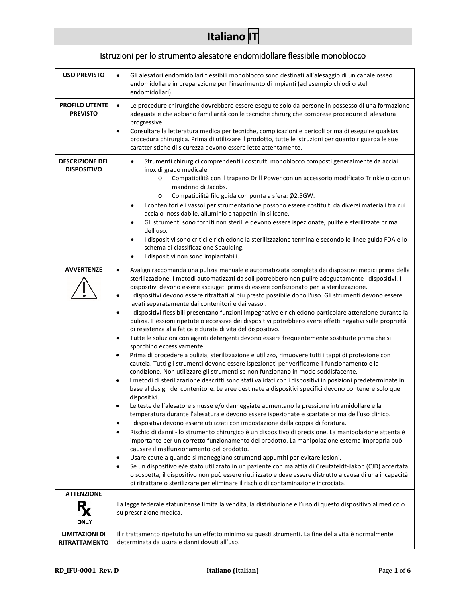# **Italiano IT**

# Istruzioni per lo strumento alesatore endomidollare flessibile monoblocco

| <b>USO PREVISTO</b>                          | Gli alesatori endomidollari flessibili monoblocco sono destinati all'alesaggio di un canale osseo<br>$\bullet$<br>endomidollare in preparazione per l'inserimento di impianti (ad esempio chiodi o steli<br>endomidollari).                                                                                                                                                                                                                                                                                                                                                                                                                                                                                                                                                                                                                                                                                                                                                                                                                                                                                                                                                                                                                                                                                                                                                                                                                                                                                                                                                                                                                                                                                                                                                                                                                                                                                                                                                                                                                                                                                                                                                                                                                                                                                                                                                                                                                                                        |  |  |
|----------------------------------------------|------------------------------------------------------------------------------------------------------------------------------------------------------------------------------------------------------------------------------------------------------------------------------------------------------------------------------------------------------------------------------------------------------------------------------------------------------------------------------------------------------------------------------------------------------------------------------------------------------------------------------------------------------------------------------------------------------------------------------------------------------------------------------------------------------------------------------------------------------------------------------------------------------------------------------------------------------------------------------------------------------------------------------------------------------------------------------------------------------------------------------------------------------------------------------------------------------------------------------------------------------------------------------------------------------------------------------------------------------------------------------------------------------------------------------------------------------------------------------------------------------------------------------------------------------------------------------------------------------------------------------------------------------------------------------------------------------------------------------------------------------------------------------------------------------------------------------------------------------------------------------------------------------------------------------------------------------------------------------------------------------------------------------------------------------------------------------------------------------------------------------------------------------------------------------------------------------------------------------------------------------------------------------------------------------------------------------------------------------------------------------------------------------------------------------------------------------------------------------------|--|--|
| <b>PROFILO UTENTE</b><br><b>PREVISTO</b>     | $\bullet$<br>Le procedure chirurgiche dovrebbero essere eseguite solo da persone in possesso di una formazione<br>adeguata e che abbiano familiarità con le tecniche chirurgiche comprese procedure di alesatura<br>progressive.<br>Consultare la letteratura medica per tecniche, complicazioni e pericoli prima di eseguire qualsiasi<br>٠<br>procedura chirurgica. Prima di utilizzare il prodotto, tutte le istruzioni per quanto riguarda le sue<br>caratteristiche di sicurezza devono essere lette attentamente.                                                                                                                                                                                                                                                                                                                                                                                                                                                                                                                                                                                                                                                                                                                                                                                                                                                                                                                                                                                                                                                                                                                                                                                                                                                                                                                                                                                                                                                                                                                                                                                                                                                                                                                                                                                                                                                                                                                                                            |  |  |
| <b>DESCRIZIONE DEL</b><br><b>DISPOSITIVO</b> | Strumenti chirurgici comprendenti i costrutti monoblocco composti generalmente da acciai<br>$\bullet$<br>inox di grado medicale.<br>Compatibilità con il trapano Drill Power con un accessorio modificato Trinkle o con un<br>$\circ$<br>mandrino di Jacobs.<br>Compatibilità filo guida con punta a sfera: Ø2.5GW.<br>$\circ$<br>I contenitori e i vassoi per strumentazione possono essere costituiti da diversi materiali tra cui<br>acciaio inossidabile, alluminio e tappetini in silicone.<br>Gli strumenti sono forniti non sterili e devono essere ispezionate, pulite e sterilizzate prima<br>dell'uso.<br>I dispositivi sono critici e richiedono la sterilizzazione terminale secondo le linee guida FDA e lo<br>٠<br>schema di classificazione Spaulding.<br>I dispositivi non sono impiantabili.<br>$\bullet$                                                                                                                                                                                                                                                                                                                                                                                                                                                                                                                                                                                                                                                                                                                                                                                                                                                                                                                                                                                                                                                                                                                                                                                                                                                                                                                                                                                                                                                                                                                                                                                                                                                         |  |  |
| <b>AVVERTENZE</b>                            | Avalign raccomanda una pulizia manuale e automatizzata completa dei dispositivi medici prima della<br>$\bullet$<br>sterilizzazione. I metodi automatizzati da soli potrebbero non pulire adeguatamente i dispositivi. I<br>dispositivi devono essere asciugati prima di essere confezionato per la sterilizzazione.<br>I dispositivi devono essere ritrattati al più presto possibile dopo l'uso. Gli strumenti devono essere<br>$\bullet$<br>lavati separatamente dai contenitori e dai vassoi.<br>I dispositivi flessibili presentano funzioni impegnative e richiedono particolare attenzione durante la<br>$\bullet$<br>pulizia. Flessioni ripetute o eccessive dei dispositivi potrebbero avere effetti negativi sulle proprietà<br>di resistenza alla fatica e durata di vita del dispositivo.<br>Tutte le soluzioni con agenti detergenti devono essere frequentemente sostituite prima che si<br>$\bullet$<br>sporchino eccessivamente.<br>Prima di procedere a pulizia, sterilizzazione e utilizzo, rimuovere tutti i tappi di protezione con<br>$\bullet$<br>cautela. Tutti gli strumenti devono essere ispezionati per verificarne il funzionamento e la<br>condizione. Non utilizzare gli strumenti se non funzionano in modo soddisfacente.<br>I metodi di sterilizzazione descritti sono stati validati con i dispositivi in posizioni predeterminate in<br>$\bullet$<br>base al design del contenitore. Le aree destinate a dispositivi specifici devono contenere solo quei<br>dispositivi.<br>Le teste dell'alesatore smusse e/o danneggiate aumentano la pressione intramidollare e la<br>temperatura durante l'alesatura e devono essere ispezionate e scartate prima dell'uso clinico.<br>I dispositivi devono essere utilizzati con impostazione della coppia di foratura.<br>Rischio di danni - lo strumento chirurgico è un dispositivo di precisione. La manipolazione attenta è<br>٠<br>importante per un corretto funzionamento del prodotto. La manipolazione esterna impropria può<br>causare il malfunzionamento del prodotto.<br>Usare cautela quando si maneggiano strumenti appuntiti per evitare lesioni.<br>$\bullet$<br>Se un dispositivo è/è stato utilizzato in un paziente con malattia di Creutzfeldt-Jakob (CJD) accertata<br>$\bullet$<br>o sospetta, il dispositivo non può essere riutilizzato e deve essere distrutto a causa di una incapacità<br>di ritrattare o sterilizzare per eliminare il rischio di contaminazione incrociata. |  |  |
| <b>ATTENZIONE</b><br>R<br>ONLY               | La legge federale statunitense limita la vendita, la distribuzione e l'uso di questo dispositivo al medico o<br>su prescrizione medica.                                                                                                                                                                                                                                                                                                                                                                                                                                                                                                                                                                                                                                                                                                                                                                                                                                                                                                                                                                                                                                                                                                                                                                                                                                                                                                                                                                                                                                                                                                                                                                                                                                                                                                                                                                                                                                                                                                                                                                                                                                                                                                                                                                                                                                                                                                                                            |  |  |
| LIMITAZIONI DI<br>RITRATTAMENTO              | Il ritrattamento ripetuto ha un effetto minimo su questi strumenti. La fine della vita è normalmente<br>determinata da usura e danni dovuti all'uso.                                                                                                                                                                                                                                                                                                                                                                                                                                                                                                                                                                                                                                                                                                                                                                                                                                                                                                                                                                                                                                                                                                                                                                                                                                                                                                                                                                                                                                                                                                                                                                                                                                                                                                                                                                                                                                                                                                                                                                                                                                                                                                                                                                                                                                                                                                                               |  |  |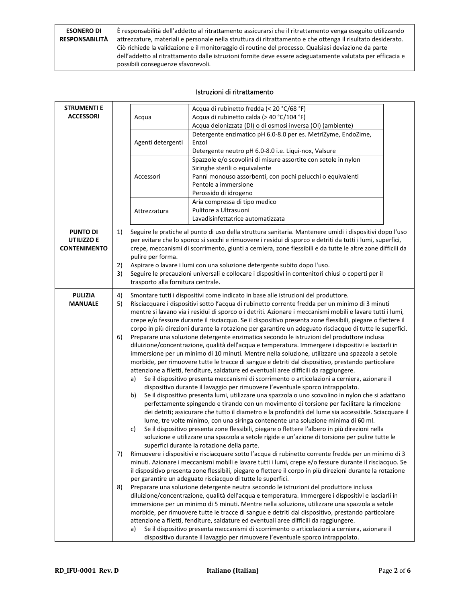| <b>ESONERO DI</b>     | È responsabilità dell'addetto al ritrattamento assicurarsi che il ritrattamento venga eseguito utilizzando  |
|-----------------------|-------------------------------------------------------------------------------------------------------------|
| <b>RESPONSABILITÀ</b> | attrezzature, materiali e personale nella struttura di ritrattamento e che ottenga il risultato desiderato. |
|                       | Ciò richiede la validazione e il monitoraggio di routine del processo. Qualsiasi deviazione da parte        |
|                       | dell'addetto al ritrattamento dalle istruzioni fornite deve essere adeguatamente valutata per efficacia e   |
|                       | possibili conseguenze sfavorevoli.                                                                          |

### Istruzioni di ritrattamento

| <b>STRUMENTI E</b><br><b>ACCESSORI</b>               |                            | Acqua<br>Agenti detergenti<br>Accessori<br>Attrezzatura                                                                                                                                                                                                                                                                                                                                                                                                                                                                                                                                                                                                                                                                                                                                                                                                                                                                                                                                                                                                                                                                                                                                                                                                                                                                                                                                                                                                                                                                                                                                                                                                                                                                                                                                                                                                                                                                                                                                                                                                                                                                                                                                                                                                                                                                                                                                                                                                                                                                                                                                                                                                                                                                                                                                                                                                                                             | Acqua di rubinetto fredda (< 20 °C/68 °F)<br>Acqua di rubinetto calda (> 40 °C/104 °F)<br>Acqua deionizzata (DI) o di osmosi inversa (OI) (ambiente)<br>Detergente enzimatico pH 6.0-8.0 per es. MetriZyme, EndoZime,<br>Enzol<br>Detergente neutro pH 6.0-8.0 i.e. Liqui-nox, Valsure<br>Spazzole e/o scovolini di misure assortite con setole in nylon<br>Siringhe sterili o equivalente<br>Panni monouso assorbenti, con pochi pelucchi o equivalenti<br>Pentole a immersione<br>Perossido di idrogeno<br>Aria compressa di tipo medico<br>Pulitore a Ultrasuoni |  |
|------------------------------------------------------|----------------------------|-----------------------------------------------------------------------------------------------------------------------------------------------------------------------------------------------------------------------------------------------------------------------------------------------------------------------------------------------------------------------------------------------------------------------------------------------------------------------------------------------------------------------------------------------------------------------------------------------------------------------------------------------------------------------------------------------------------------------------------------------------------------------------------------------------------------------------------------------------------------------------------------------------------------------------------------------------------------------------------------------------------------------------------------------------------------------------------------------------------------------------------------------------------------------------------------------------------------------------------------------------------------------------------------------------------------------------------------------------------------------------------------------------------------------------------------------------------------------------------------------------------------------------------------------------------------------------------------------------------------------------------------------------------------------------------------------------------------------------------------------------------------------------------------------------------------------------------------------------------------------------------------------------------------------------------------------------------------------------------------------------------------------------------------------------------------------------------------------------------------------------------------------------------------------------------------------------------------------------------------------------------------------------------------------------------------------------------------------------------------------------------------------------------------------------------------------------------------------------------------------------------------------------------------------------------------------------------------------------------------------------------------------------------------------------------------------------------------------------------------------------------------------------------------------------------------------------------------------------------------------------------------------------|---------------------------------------------------------------------------------------------------------------------------------------------------------------------------------------------------------------------------------------------------------------------------------------------------------------------------------------------------------------------------------------------------------------------------------------------------------------------------------------------------------------------------------------------------------------------|--|
| <b>PUNTO DI</b><br>UTILIZZO E<br><b>CONTENIMENTO</b> | 1)<br>2)<br>3)             | Lavadisinfettatrice automatizzata<br>Seguire le pratiche al punto di uso della struttura sanitaria. Mantenere umidi i dispositivi dopo l'uso<br>per evitare che lo sporco si secchi e rimuovere i residui di sporco e detriti da tutti i lumi, superfici,<br>crepe, meccanismi di scorrimento, giunti a cerniera, zone flessibili e da tutte le altre zone difficili da<br>pulire per forma.<br>Aspirare o lavare i lumi con una soluzione detergente subito dopo l'uso.<br>Seguire le precauzioni universali e collocare i dispositivi in contenitori chiusi o coperti per il<br>trasporto alla fornitura centrale.                                                                                                                                                                                                                                                                                                                                                                                                                                                                                                                                                                                                                                                                                                                                                                                                                                                                                                                                                                                                                                                                                                                                                                                                                                                                                                                                                                                                                                                                                                                                                                                                                                                                                                                                                                                                                                                                                                                                                                                                                                                                                                                                                                                                                                                                                |                                                                                                                                                                                                                                                                                                                                                                                                                                                                                                                                                                     |  |
| <b>PULIZIA</b><br><b>MANUALE</b>                     | 4)<br>5)<br>6)<br>7)<br>8) | Smontare tutti i dispositivi come indicato in base alle istruzioni del produttore.<br>Risciacquare i dispositivi sotto l'acqua di rubinetto corrente fredda per un minimo di 3 minuti<br>mentre si lavano via i residui di sporco o i detriti. Azionare i meccanismi mobili e lavare tutti i lumi,<br>crepe e/o fessure durante il risciacquo. Se il dispositivo presenta zone flessibili, piegare o flettere il<br>corpo in più direzioni durante la rotazione per garantire un adeguato risciacquo di tutte le superfici.<br>Preparare una soluzione detergente enzimatica secondo le istruzioni del produttore inclusa<br>diluizione/concentrazione, qualità dell'acqua e temperatura. Immergere i dispositivi e lasciarli in<br>immersione per un minimo di 10 minuti. Mentre nella soluzione, utilizzare una spazzola a setole<br>morbide, per rimuovere tutte le tracce di sangue e detriti dal dispositivo, prestando particolare<br>attenzione a filetti, fenditure, saldature ed eventuali aree difficili da raggiungere.<br>Se il dispositivo presenta meccanismi di scorrimento o articolazioni a cerniera, azionare il<br>a)<br>dispositivo durante il lavaggio per rimuovere l'eventuale sporco intrappolato.<br>Se il dispositivo presenta lumi, utilizzare una spazzola o uno scovolino in nylon che si adattano<br>b)<br>perfettamente spingendo e tirando con un movimento di torsione per facilitare la rimozione<br>dei detriti; assicurare che tutto il diametro e la profondità del lume sia accessibile. Sciacquare il<br>lume, tre volte minimo, con una siringa contenente una soluzione minima di 60 ml.<br>Se il dispositivo presenta zone flessibili, piegare o flettere l'albero in più direzioni nella<br>c)<br>soluzione e utilizzare una spazzola a setole rigide e un'azione di torsione per pulire tutte le<br>superfici durante la rotazione della parte.<br>Rimuovere i dispositivi e risciacquare sotto l'acqua di rubinetto corrente fredda per un minimo di 3<br>minuti. Azionare i meccanismi mobili e lavare tutti i lumi, crepe e/o fessure durante il risciacquo. Se<br>il dispositivo presenta zone flessibili, piegare o flettere il corpo in più direzioni durante la rotazione<br>per garantire un adeguato risciacquo di tutte le superfici.<br>Preparare una soluzione detergente neutra secondo le istruzioni del produttore inclusa<br>diluizione/concentrazione, qualità dell'acqua e temperatura. Immergere i dispositivi e lasciarli in<br>immersione per un minimo di 5 minuti. Mentre nella soluzione, utilizzare una spazzola a setole<br>morbide, per rimuovere tutte le tracce di sangue e detriti dal dispositivo, prestando particolare<br>attenzione a filetti, fenditure, saldature ed eventuali aree difficili da raggiungere.<br>Se il dispositivo presenta meccanismi di scorrimento o articolazioni a cerniera, azionare il<br>a) |                                                                                                                                                                                                                                                                                                                                                                                                                                                                                                                                                                     |  |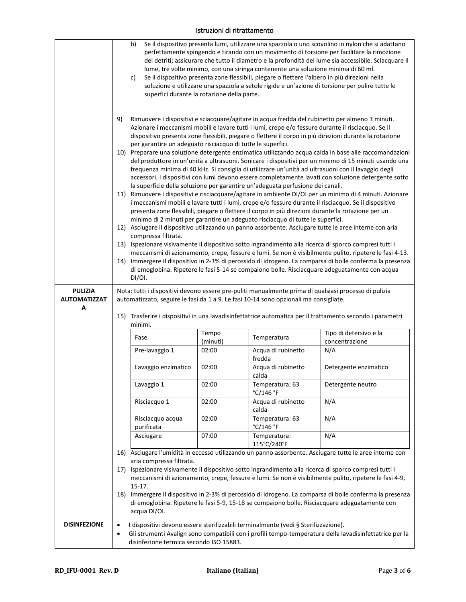### Istruzioni di ritrattamento

|                                            | b)<br>Se il dispositivo presenta lumi, utilizzare una spazzola o uno scovolino in nylon che si adattano<br>perfettamente spingendo e tirando con un movimento di torsione per facilitare la rimozione<br>dei detriti; assicurare che tutto il diametro e la profondità del lume sia accessibile. Sciacquare il<br>lume, tre volte minimo, con una siringa contenente una soluzione minima di 60 ml.<br>Se il dispositivo presenta zone flessibili, piegare o flettere l'albero in più direzioni nella<br>c)<br>soluzione e utilizzare una spazzola a setole rigide e un'azione di torsione per pulire tutte le<br>superfici durante la rotazione della parte.<br>9)<br>Rimuovere i dispositivi e sciacquare/agitare in acqua fredda del rubinetto per almeno 3 minuti.<br>Azionare i meccanismi mobili e lavare tutti i lumi, crepe e/o fessure durante il risciacquo. Se il<br>dispositivo presenta zone flessibili, piegare o flettere il corpo in più direzioni durante la rotazione |                                                                                                                                                                                                                                                                                                                                                                                                                                                                                                                                                                                |                                                                                |                                                                                                                                                                                                                                                                                                                         |  |
|--------------------------------------------|-----------------------------------------------------------------------------------------------------------------------------------------------------------------------------------------------------------------------------------------------------------------------------------------------------------------------------------------------------------------------------------------------------------------------------------------------------------------------------------------------------------------------------------------------------------------------------------------------------------------------------------------------------------------------------------------------------------------------------------------------------------------------------------------------------------------------------------------------------------------------------------------------------------------------------------------------------------------------------------------|--------------------------------------------------------------------------------------------------------------------------------------------------------------------------------------------------------------------------------------------------------------------------------------------------------------------------------------------------------------------------------------------------------------------------------------------------------------------------------------------------------------------------------------------------------------------------------|--------------------------------------------------------------------------------|-------------------------------------------------------------------------------------------------------------------------------------------------------------------------------------------------------------------------------------------------------------------------------------------------------------------------|--|
|                                            |                                                                                                                                                                                                                                                                                                                                                                                                                                                                                                                                                                                                                                                                                                                                                                                                                                                                                                                                                                                         | per garantire un adeguato risciacquo di tutte le superfici.<br>10) Preparare una soluzione detergente enzimatica utilizzando acqua calda in base alle raccomandazioni<br>del produttore in un'unità a ultrasuoni. Sonicare i dispositivi per un minimo di 15 minuti usando una<br>frequenza minima di 40 kHz. Si consiglia di utilizzare un'unità ad ultrasuoni con il lavaggio degli<br>accessori. I dispositivi con lumi devono essere completamente lavati con soluzione detergente sotto<br>la superficie della soluzione per garantire un'adeguata perfusione dei canali. |                                                                                |                                                                                                                                                                                                                                                                                                                         |  |
|                                            |                                                                                                                                                                                                                                                                                                                                                                                                                                                                                                                                                                                                                                                                                                                                                                                                                                                                                                                                                                                         |                                                                                                                                                                                                                                                                                                                                                                                                                                                                                                                                                                                | minimo di 2 minuti per garantire un adeguato risciacquo di tutte le superfici. | 11) Rimuovere i dispositivi e risciacquare/agitare in ambiente DI/OI per un minimo di 4 minuti. Azionare<br>i meccanismi mobili e lavare tutti i lumi, crepe e/o fessure durante il risciacquo. Se il dispositivo<br>presenta zone flessibili, piegare o flettere il corpo in più direzioni durante la rotazione per un |  |
|                                            | compressa filtrata.                                                                                                                                                                                                                                                                                                                                                                                                                                                                                                                                                                                                                                                                                                                                                                                                                                                                                                                                                                     |                                                                                                                                                                                                                                                                                                                                                                                                                                                                                                                                                                                |                                                                                | 12) Asciugare il dispositivo utilizzando un panno assorbente. Asciugare tutte le aree interne con aria                                                                                                                                                                                                                  |  |
|                                            |                                                                                                                                                                                                                                                                                                                                                                                                                                                                                                                                                                                                                                                                                                                                                                                                                                                                                                                                                                                         |                                                                                                                                                                                                                                                                                                                                                                                                                                                                                                                                                                                |                                                                                | 13) Ispezionare visivamente il dispositivo sotto ingrandimento alla ricerca di sporco compresi tutti i                                                                                                                                                                                                                  |  |
|                                            | DI/OI.                                                                                                                                                                                                                                                                                                                                                                                                                                                                                                                                                                                                                                                                                                                                                                                                                                                                                                                                                                                  |                                                                                                                                                                                                                                                                                                                                                                                                                                                                                                                                                                                |                                                                                | meccanismi di azionamento, crepe, fessure e lumi. Se non è visibilmente pulito, ripetere le fasi 4-13.<br>14) Immergere il dispositivo in 2-3% di perossido di idrogeno. La comparsa di bolle conferma la presenza<br>di emoglobina. Ripetere le fasi 5-14 se compaiono bolle. Risciacquare adeguatamente con acqua     |  |
| <b>PULIZIA</b><br><b>AUTOMATIZZAT</b><br>А | Nota: tutti i dispositivi devono essere pre-puliti manualmente prima di qualsiasi processo di pulizia<br>automatizzato, seguire le fasi da 1 a 9. Le fasi 10-14 sono opzionali ma consigliate.<br>15) Trasferire i dispositivi in una lavadisinfettatrice automatica per il trattamento secondo i parametri                                                                                                                                                                                                                                                                                                                                                                                                                                                                                                                                                                                                                                                                             |                                                                                                                                                                                                                                                                                                                                                                                                                                                                                                                                                                                |                                                                                |                                                                                                                                                                                                                                                                                                                         |  |
|                                            | minimi.                                                                                                                                                                                                                                                                                                                                                                                                                                                                                                                                                                                                                                                                                                                                                                                                                                                                                                                                                                                 |                                                                                                                                                                                                                                                                                                                                                                                                                                                                                                                                                                                |                                                                                |                                                                                                                                                                                                                                                                                                                         |  |
|                                            | Fase                                                                                                                                                                                                                                                                                                                                                                                                                                                                                                                                                                                                                                                                                                                                                                                                                                                                                                                                                                                    | Tempo<br>(minuti)                                                                                                                                                                                                                                                                                                                                                                                                                                                                                                                                                              | Temperatura                                                                    | Tipo di detersivo e la<br>concentrazione                                                                                                                                                                                                                                                                                |  |
|                                            | Pre-lavaggio 1                                                                                                                                                                                                                                                                                                                                                                                                                                                                                                                                                                                                                                                                                                                                                                                                                                                                                                                                                                          | 02:00                                                                                                                                                                                                                                                                                                                                                                                                                                                                                                                                                                          | Acqua di rubinetto<br>fredda                                                   | N/A                                                                                                                                                                                                                                                                                                                     |  |
|                                            | Lavaggio enzimatico                                                                                                                                                                                                                                                                                                                                                                                                                                                                                                                                                                                                                                                                                                                                                                                                                                                                                                                                                                     | 02:00                                                                                                                                                                                                                                                                                                                                                                                                                                                                                                                                                                          | Acqua di rubinetto<br>calda                                                    | Detergente enzimatico                                                                                                                                                                                                                                                                                                   |  |
|                                            | Lavaggio 1                                                                                                                                                                                                                                                                                                                                                                                                                                                                                                                                                                                                                                                                                                                                                                                                                                                                                                                                                                              | 02:00                                                                                                                                                                                                                                                                                                                                                                                                                                                                                                                                                                          | Temperatura: 63<br>°C/146 °F                                                   | Detergente neutro                                                                                                                                                                                                                                                                                                       |  |
|                                            | Risciacquo 1                                                                                                                                                                                                                                                                                                                                                                                                                                                                                                                                                                                                                                                                                                                                                                                                                                                                                                                                                                            | 02:00                                                                                                                                                                                                                                                                                                                                                                                                                                                                                                                                                                          | Acqua di rubinetto<br>calda                                                    | N/A                                                                                                                                                                                                                                                                                                                     |  |
|                                            | Risciacquo acqua<br>purificata                                                                                                                                                                                                                                                                                                                                                                                                                                                                                                                                                                                                                                                                                                                                                                                                                                                                                                                                                          | 02:00                                                                                                                                                                                                                                                                                                                                                                                                                                                                                                                                                                          | Temperatura: 63<br>°C/146 °F                                                   | N/A                                                                                                                                                                                                                                                                                                                     |  |
|                                            | Asciugare                                                                                                                                                                                                                                                                                                                                                                                                                                                                                                                                                                                                                                                                                                                                                                                                                                                                                                                                                                               | 07:00                                                                                                                                                                                                                                                                                                                                                                                                                                                                                                                                                                          | Temperatura:<br>115°C/240°F                                                    | N/A                                                                                                                                                                                                                                                                                                                     |  |
|                                            |                                                                                                                                                                                                                                                                                                                                                                                                                                                                                                                                                                                                                                                                                                                                                                                                                                                                                                                                                                                         |                                                                                                                                                                                                                                                                                                                                                                                                                                                                                                                                                                                |                                                                                | 16) Asciugare l'umidità in eccesso utilizzando un panno assorbente. Asciugare tutte le aree interne con                                                                                                                                                                                                                 |  |
|                                            | aria compressa filtrata.<br>17)<br>$15-17.$                                                                                                                                                                                                                                                                                                                                                                                                                                                                                                                                                                                                                                                                                                                                                                                                                                                                                                                                             |                                                                                                                                                                                                                                                                                                                                                                                                                                                                                                                                                                                |                                                                                | Ispezionare visivamente il dispositivo sotto ingrandimento alla ricerca di sporco compresi tutti i<br>meccanismi di azionamento, crepe, fessure e lumi. Se non è visibilmente pulito, ripetere le fasi 4-9,                                                                                                             |  |
|                                            | acqua DI/OI.                                                                                                                                                                                                                                                                                                                                                                                                                                                                                                                                                                                                                                                                                                                                                                                                                                                                                                                                                                            |                                                                                                                                                                                                                                                                                                                                                                                                                                                                                                                                                                                |                                                                                | 18) Immergere il dispositivo in 2-3% di perossido di idrogeno. La comparsa di bolle conferma la presenza<br>di emoglobina. Ripetere le fasi 5-9, 15-18 se compaiono bolle. Risciacquare adeguatamente con                                                                                                               |  |
| <b>DISINFEZIONE</b>                        | I dispositivi devono essere sterilizzabili terminalmente (vedi § Sterilizzazione).<br>$\bullet$<br>Gli strumenti Avalign sono compatibili con i profili tempo-temperatura della lavadisinfettatrice per la<br>$\bullet$<br>disinfezione termica secondo ISO 15883.                                                                                                                                                                                                                                                                                                                                                                                                                                                                                                                                                                                                                                                                                                                      |                                                                                                                                                                                                                                                                                                                                                                                                                                                                                                                                                                                |                                                                                |                                                                                                                                                                                                                                                                                                                         |  |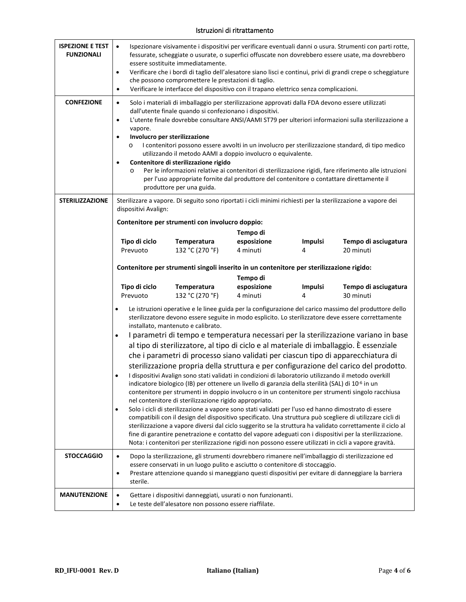### Istruzioni di ritrattamento

| <b>ISPEZIONE E TEST</b><br><b>FUNZIONALI</b> | Ispezionare visivamente i dispositivi per verificare eventuali danni o usura. Strumenti con parti rotte,<br>$\bullet$<br>fessurate, scheggiate o usurate, o superfici offuscate non dovrebbero essere usate, ma dovrebbero<br>essere sostituite immediatamente.<br>Verificare che i bordi di taglio dell'alesatore siano lisci e continui, privi di grandi crepe o scheggiature<br>٠<br>che possono compromettere le prestazioni di taglio.<br>Verificare le interfacce del dispositivo con il trapano elettrico senza complicazioni.<br>$\bullet$                                                                                                                                                                                                                                                                                |                                                                                                                                                                |                         |                     |                                                                                                                                                                                                                    |  |
|----------------------------------------------|-----------------------------------------------------------------------------------------------------------------------------------------------------------------------------------------------------------------------------------------------------------------------------------------------------------------------------------------------------------------------------------------------------------------------------------------------------------------------------------------------------------------------------------------------------------------------------------------------------------------------------------------------------------------------------------------------------------------------------------------------------------------------------------------------------------------------------------|----------------------------------------------------------------------------------------------------------------------------------------------------------------|-------------------------|---------------------|--------------------------------------------------------------------------------------------------------------------------------------------------------------------------------------------------------------------|--|
| <b>CONFEZIONE</b>                            | Solo i materiali di imballaggio per sterilizzazione approvati dalla FDA devono essere utilizzati<br>$\bullet$<br>dall'utente finale quando si confezionano i dispositivi.<br>L'utente finale dovrebbe consultare ANSI/AAMI ST79 per ulteriori informazioni sulla sterilizzazione a<br>$\bullet$<br>vapore.<br>Involucro per sterilizzazione<br>$\bullet$<br>I contenitori possono essere avvolti in un involucro per sterilizzazione standard, di tipo medico<br>$\circ$<br>utilizzando il metodo AAMI a doppio involucro o equivalente.<br>Contenitore di sterilizzazione rigido<br>Per le informazioni relative ai contenitori di sterilizzazione rigidi, fare riferimento alle istruzioni<br>$\circ$<br>per l'uso appropriate fornite dal produttore del contenitore o contattare direttamente il<br>produttore per una guida. |                                                                                                                                                                |                         |                     |                                                                                                                                                                                                                    |  |
| <b>STERILIZZAZIONE</b>                       | dispositivi Avalign:                                                                                                                                                                                                                                                                                                                                                                                                                                                                                                                                                                                                                                                                                                                                                                                                              |                                                                                                                                                                |                         |                     | Sterilizzare a vapore. Di seguito sono riportati i cicli minimi richiesti per la sterilizzazione a vapore dei                                                                                                      |  |
|                                              |                                                                                                                                                                                                                                                                                                                                                                                                                                                                                                                                                                                                                                                                                                                                                                                                                                   | Contenitore per strumenti con involucro doppio:                                                                                                                |                         |                     |                                                                                                                                                                                                                    |  |
|                                              |                                                                                                                                                                                                                                                                                                                                                                                                                                                                                                                                                                                                                                                                                                                                                                                                                                   |                                                                                                                                                                | Tempo di                |                     |                                                                                                                                                                                                                    |  |
|                                              | Tipo di ciclo                                                                                                                                                                                                                                                                                                                                                                                                                                                                                                                                                                                                                                                                                                                                                                                                                     | <b>Temperatura</b>                                                                                                                                             | esposizione             | <b>Impulsi</b>      | Tempo di asciugatura                                                                                                                                                                                               |  |
|                                              | Prevuoto                                                                                                                                                                                                                                                                                                                                                                                                                                                                                                                                                                                                                                                                                                                                                                                                                          | 132 °C (270 °F)                                                                                                                                                | 4 minuti                | 4                   | 20 minuti                                                                                                                                                                                                          |  |
|                                              |                                                                                                                                                                                                                                                                                                                                                                                                                                                                                                                                                                                                                                                                                                                                                                                                                                   | Contenitore per strumenti singoli inserito in un contenitore per sterilizzazione rigido:                                                                       |                         |                     |                                                                                                                                                                                                                    |  |
|                                              |                                                                                                                                                                                                                                                                                                                                                                                                                                                                                                                                                                                                                                                                                                                                                                                                                                   |                                                                                                                                                                | Tempo di                |                     |                                                                                                                                                                                                                    |  |
|                                              | Tipo di ciclo<br>Prevuoto                                                                                                                                                                                                                                                                                                                                                                                                                                                                                                                                                                                                                                                                                                                                                                                                         | <b>Temperatura</b><br>132 °C (270 °F)                                                                                                                          | esposizione<br>4 minuti | <b>Impulsi</b><br>4 | Tempo di asciugatura<br>30 minuti                                                                                                                                                                                  |  |
|                                              | ٠                                                                                                                                                                                                                                                                                                                                                                                                                                                                                                                                                                                                                                                                                                                                                                                                                                 | installato, mantenuto e calibrato.                                                                                                                             |                         |                     | Le istruzioni operative e le linee guida per la configurazione del carico massimo del produttore dello<br>sterilizzatore devono essere seguite in modo esplicito. Lo sterilizzatore deve essere correttamente      |  |
|                                              |                                                                                                                                                                                                                                                                                                                                                                                                                                                                                                                                                                                                                                                                                                                                                                                                                                   |                                                                                                                                                                |                         |                     | I parametri di tempo e temperatura necessari per la sterilizzazione variano in base                                                                                                                                |  |
|                                              |                                                                                                                                                                                                                                                                                                                                                                                                                                                                                                                                                                                                                                                                                                                                                                                                                                   | al tipo di sterilizzatore, al tipo di ciclo e al materiale di imballaggio. È essenziale                                                                        |                         |                     |                                                                                                                                                                                                                    |  |
|                                              |                                                                                                                                                                                                                                                                                                                                                                                                                                                                                                                                                                                                                                                                                                                                                                                                                                   |                                                                                                                                                                |                         |                     | che i parametri di processo siano validati per ciascun tipo di apparecchiatura di                                                                                                                                  |  |
|                                              | sterilizzazione propria della struttura e per configurazione del carico del prodotto.                                                                                                                                                                                                                                                                                                                                                                                                                                                                                                                                                                                                                                                                                                                                             |                                                                                                                                                                |                         |                     |                                                                                                                                                                                                                    |  |
|                                              | I dispositivi Avalign sono stati validati in condizioni di laboratorio utilizzando il metodo overkill<br>indicatore biologico (IB) per ottenere un livello di garanzia della sterilità (SAL) di 10 <sup>-6</sup> in un                                                                                                                                                                                                                                                                                                                                                                                                                                                                                                                                                                                                            |                                                                                                                                                                |                         |                     |                                                                                                                                                                                                                    |  |
|                                              | contenitore per strumenti in doppio involucro o in un contenitore per strumenti singolo racchiusa                                                                                                                                                                                                                                                                                                                                                                                                                                                                                                                                                                                                                                                                                                                                 |                                                                                                                                                                |                         |                     |                                                                                                                                                                                                                    |  |
|                                              | ٠                                                                                                                                                                                                                                                                                                                                                                                                                                                                                                                                                                                                                                                                                                                                                                                                                                 | nel contenitore di sterilizzazione rigido appropriato.<br>Solo i cicli di sterilizzazione a vapore sono stati validati per l'uso ed hanno dimostrato di essere |                         |                     |                                                                                                                                                                                                                    |  |
|                                              |                                                                                                                                                                                                                                                                                                                                                                                                                                                                                                                                                                                                                                                                                                                                                                                                                                   |                                                                                                                                                                |                         |                     | compatibili con il design del dispositivo specificato. Una struttura può scegliere di utilizzare cicli di                                                                                                          |  |
|                                              |                                                                                                                                                                                                                                                                                                                                                                                                                                                                                                                                                                                                                                                                                                                                                                                                                                   |                                                                                                                                                                |                         |                     | sterilizzazione a vapore diversi dal ciclo suggerito se la struttura ha validato correttamente il ciclo al                                                                                                         |  |
|                                              |                                                                                                                                                                                                                                                                                                                                                                                                                                                                                                                                                                                                                                                                                                                                                                                                                                   |                                                                                                                                                                |                         |                     | fine di garantire penetrazione e contatto del vapore adeguati con i dispositivi per la sterilizzazione.<br>Nota: i contenitori per sterilizzazione rigidi non possono essere utilizzati in cicli a vapore gravità. |  |
| <b>STOCCAGGIO</b>                            |                                                                                                                                                                                                                                                                                                                                                                                                                                                                                                                                                                                                                                                                                                                                                                                                                                   |                                                                                                                                                                |                         |                     |                                                                                                                                                                                                                    |  |
|                                              | Dopo la sterilizzazione, gli strumenti dovrebbero rimanere nell'imballaggio di sterilizzazione ed<br>$\bullet$<br>essere conservati in un luogo pulito e asciutto o contenitore di stoccaggio.<br>Prestare attenzione quando si maneggiano questi dispositivi per evitare di danneggiare la barriera<br>٠<br>sterile.                                                                                                                                                                                                                                                                                                                                                                                                                                                                                                             |                                                                                                                                                                |                         |                     |                                                                                                                                                                                                                    |  |
| <b>MANUTENZIONE</b>                          | Gettare i dispositivi danneggiati, usurati o non funzionanti.<br>$\bullet$<br>Le teste dell'alesatore non possono essere riaffilate.<br>٠                                                                                                                                                                                                                                                                                                                                                                                                                                                                                                                                                                                                                                                                                         |                                                                                                                                                                |                         |                     |                                                                                                                                                                                                                    |  |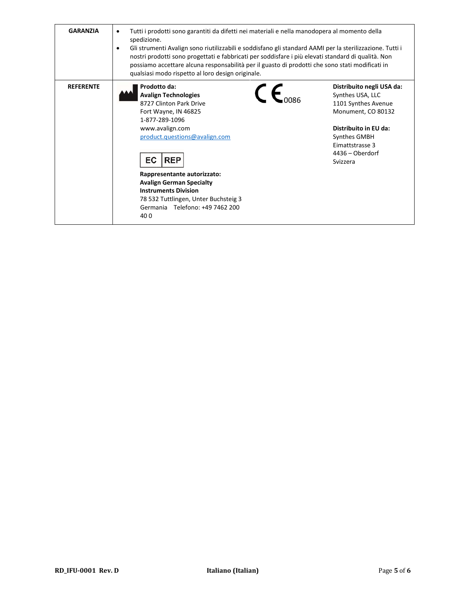| <b>GARANZIA</b>  | Tutti i prodotti sono garantiti da difetti nei materiali e nella manodopera al momento della<br>spedizione.<br>Gli strumenti Avalign sono riutilizzabili e soddisfano gli standard AAMI per la sterilizzazione. Tutti i<br>٠<br>nostri prodotti sono progettati e fabbricati per soddisfare i più elevati standard di qualità. Non<br>possiamo accettare alcuna responsabilità per il guasto di prodotti che sono stati modificati in<br>qualsiasi modo rispetto al loro design originale. |                                                                                                                                                                                       |  |  |
|------------------|--------------------------------------------------------------------------------------------------------------------------------------------------------------------------------------------------------------------------------------------------------------------------------------------------------------------------------------------------------------------------------------------------------------------------------------------------------------------------------------------|---------------------------------------------------------------------------------------------------------------------------------------------------------------------------------------|--|--|
| <b>REFERENTE</b> | Prodotto da:<br>$\mathsf{\Gamma} \mathsf{\in}$<br><b>Avalign Technologies</b><br>8727 Clinton Park Drive<br>Fort Wayne, IN 46825<br>1-877-289-1096<br>www.avalign.com<br>product.questions@avalign.com<br><b>EC</b><br><b>REP</b><br>Rappresentante autorizzato:<br><b>Avalign German Specialty</b><br><b>Instruments Division</b><br>78 532 Tuttlingen, Unter Buchsteig 3<br>Germania Telefono: +49 7462 200<br>400                                                                       | Distribuito negli USA da:<br>Synthes USA, LLC<br>1101 Synthes Avenue<br>Monument, CO 80132<br>Distribuito in EU da:<br>Synthes GMBH<br>Eimattstrasse 3<br>4436 - Oberdorf<br>Svizzera |  |  |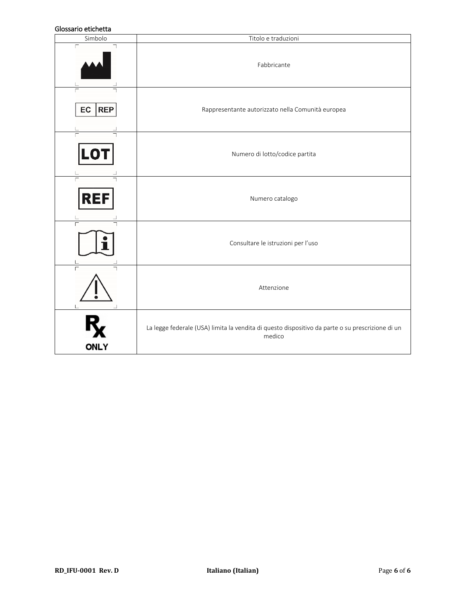### Glossario etichetta

| טוטטטעווט כנוטווכננע<br>Simbolo | Titolo e traduzioni                                                                                        |  |  |  |  |
|---------------------------------|------------------------------------------------------------------------------------------------------------|--|--|--|--|
|                                 | Fabbricante                                                                                                |  |  |  |  |
| <b>REP</b><br>EC                | Rappresentante autorizzato nella Comunità europea                                                          |  |  |  |  |
| LO                              | Numero di lotto/codice partita                                                                             |  |  |  |  |
| <b>REF</b>                      | Numero catalogo                                                                                            |  |  |  |  |
|                                 | Consultare le istruzioni per l'uso                                                                         |  |  |  |  |
|                                 | Attenzione                                                                                                 |  |  |  |  |
| <b>ONLY</b>                     | La legge federale (USA) limita la vendita di questo dispositivo da parte o su prescrizione di un<br>medico |  |  |  |  |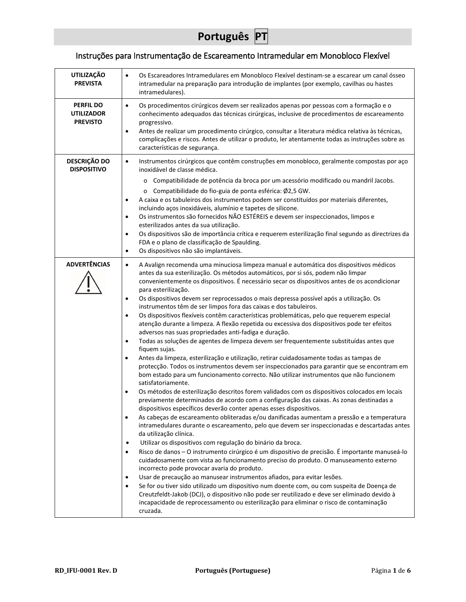## Instruções para Instrumentação de Escareamento Intramedular em Monobloco Flexível

| <b>UTILIZAÇÃO</b>                                        | Os Escareadores Intramedulares em Monobloco Flexível destinam-se a escarear um canal ósseo<br>$\bullet$                                                                                                                                                                                            |
|----------------------------------------------------------|----------------------------------------------------------------------------------------------------------------------------------------------------------------------------------------------------------------------------------------------------------------------------------------------------|
| <b>PREVISTA</b>                                          | intramedular na preparação para introdução de implantes (por exemplo, cavilhas ou hastes                                                                                                                                                                                                           |
|                                                          | intramedulares).                                                                                                                                                                                                                                                                                   |
| <b>PERFIL DO</b><br><b>UTILIZADOR</b><br><b>PREVISTO</b> | Os procedimentos cirúrgicos devem ser realizados apenas por pessoas com a formação e o<br>$\bullet$<br>conhecimento adequados das técnicas cirúrgicas, inclusive de procedimentos de escareamento<br>progressivo.                                                                                  |
|                                                          | Antes de realizar um procedimento cirúrgico, consultar a literatura médica relativa às técnicas,<br>$\bullet$                                                                                                                                                                                      |
|                                                          | complicações e riscos. Antes de utilizar o produto, ler atentamente todas as instruções sobre as<br>características de segurança.                                                                                                                                                                  |
| <b>DESCRIÇÃO DO</b><br><b>DISPOSITIVO</b>                | Instrumentos cirúrgicos que contêm construções em monobloco, geralmente compostas por aço<br>$\bullet$<br>inoxidável de classe médica.                                                                                                                                                             |
|                                                          | o Compatibilidade de potência da broca por um acessório modificado ou mandril Jacobs.                                                                                                                                                                                                              |
|                                                          | o Compatibilidade do fio-guia de ponta esférica: Ø2,5 GW.                                                                                                                                                                                                                                          |
|                                                          | A caixa e os tabuleiros dos instrumentos podem ser constituídos por materiais diferentes,<br>$\bullet$<br>incluindo aços inoxidáveis, alumínio e tapetes de silicone.                                                                                                                              |
|                                                          | Os instrumentos são fornecidos NÃO ESTÉREIS e devem ser inspeccionados, limpos e<br>$\bullet$                                                                                                                                                                                                      |
|                                                          | esterilizados antes da sua utilização.<br>Os dispositivos são de importância crítica e requerem esterilização final segundo as directrizes da<br>$\bullet$                                                                                                                                         |
|                                                          | FDA e o plano de classificação de Spaulding.                                                                                                                                                                                                                                                       |
|                                                          | Os dispositivos não são implantáveis.<br>$\bullet$                                                                                                                                                                                                                                                 |
| <b>ADVERTÊNCIAS</b>                                      | A Avalign recomenda uma minuciosa limpeza manual e automática dos dispositivos médicos<br>$\bullet$<br>antes da sua esterilização. Os métodos automáticos, por si sós, podem não limpar                                                                                                            |
|                                                          | convenientemente os dispositivos. É necessário secar os dispositivos antes de os acondicionar<br>para esterilização.                                                                                                                                                                               |
|                                                          | Os dispositivos devem ser reprocessados o mais depressa possível após a utilização. Os<br>$\bullet$                                                                                                                                                                                                |
|                                                          | instrumentos têm de ser limpos fora das caixas e dos tabuleiros.<br>Os dispositivos flexíveis contêm características problemáticas, pelo que requerem especial<br>$\bullet$                                                                                                                        |
|                                                          | atenção durante a limpeza. A flexão repetida ou excessiva dos dispositivos pode ter efeitos<br>adversos nas suas propriedades anti-fadiga e duração.                                                                                                                                               |
|                                                          | Todas as soluções de agentes de limpeza devem ser frequentemente substituídas antes que<br>$\bullet$<br>fiquem sujas.                                                                                                                                                                              |
|                                                          | Antes da limpeza, esterilização e utilização, retirar cuidadosamente todas as tampas de<br>$\bullet$                                                                                                                                                                                               |
|                                                          | protecção. Todos os instrumentos devem ser inspeccionados para garantir que se encontram em<br>bom estado para um funcionamento correcto. Não utilizar instrumentos que não funcionem<br>satisfatoriamente.                                                                                        |
|                                                          | Os métodos de esterilização descritos forem validados com os dispositivos colocados em locais<br>$\bullet$                                                                                                                                                                                         |
|                                                          | previamente determinados de acordo com a configuração das caixas. As zonas destinadas a                                                                                                                                                                                                            |
|                                                          | dispositivos especificos deverão conter apenas esses dispositivos.<br>As cabeças de escareamento obliteradas e/ou danificadas aumentam a pressão e a temperatura<br>$\bullet$                                                                                                                      |
|                                                          | intramedulares durante o escareamento, pelo que devem ser inspeccionadas e descartadas antes<br>da utilização clínica.                                                                                                                                                                             |
|                                                          | Utilizar os dispositivos com regulação do binário da broca.<br>$\bullet$                                                                                                                                                                                                                           |
|                                                          | Risco de danos - O instrumento cirúrgico é um dispositivo de precisão. É importante manuseá-lo<br>$\bullet$<br>cuidadosamente com vista ao funcionamento preciso do produto. O manuseamento externo                                                                                                |
|                                                          | incorrecto pode provocar avaria do produto.<br>Usar de precaução ao manusear instrumentos afiados, para evitar lesões.<br>$\bullet$                                                                                                                                                                |
|                                                          | Se for ou tiver sido utilizado um dispositivo num doente com, ou com suspeita de Doença de<br>$\bullet$<br>Creutzfeldt-Jakob (DCJ), o dispositivo não pode ser reutilizado e deve ser eliminado devido à<br>incapacidade de reprocessamento ou esterilização para eliminar o risco de contaminação |
|                                                          | cruzada.                                                                                                                                                                                                                                                                                           |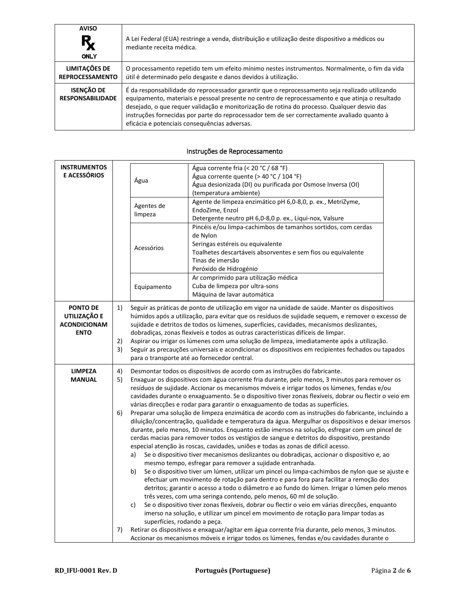| <b>AVISO</b><br>Ŗ<br><b>ONLY</b>               | A Lei Federal (EUA) restringe a venda, distribuição e utilização deste dispositivo a médicos ou<br>mediante receita médica.                                                                                                                                                                                                                                                                                                                       |
|------------------------------------------------|---------------------------------------------------------------------------------------------------------------------------------------------------------------------------------------------------------------------------------------------------------------------------------------------------------------------------------------------------------------------------------------------------------------------------------------------------|
| <b>LIMITAÇÕES DE</b><br><b>REPROCESSAMENTO</b> | O processamento repetido tem um efeito mínimo nestes instrumentos. Normalmente, o fim da vida<br>útil é determinado pelo desgaste e danos devidos à utilização.                                                                                                                                                                                                                                                                                   |
| <b>ISENÇÃO DE</b><br><b>RESPONSABILIDADE</b>   | É da responsabilidade do reprocessador garantir que o reprocessamento seja realizado utilizando<br>equipamento, materiais e pessoal presente no centro de reprocessamento e que atinja o resultado<br>desejado, o que requer validação e monitorização de rotina do processo. Qualquer desvio das<br>instruções fornecidas por parte do reprocessador tem de ser correctamente avaliado quanto à<br>eficácia e potenciais consequências adversas. |

#### **INSTRUMENTOS E ACESSÓRIOS Agua** Água corrente fria (< 20 °C / 68 °F) Água corrente quente (> 40 °C / 104 °F) Água desionizada (DI) ou purificada por Osmose Inversa (OI) (temperatura ambiente) Agentes de limpeza Agente de limpeza enzimático pH 6,0-8,0, p. ex., MetriZyme, EndoZime, Enzol Detergente neutro pH 6,0-8,0 p. ex., Liqui-nox, Valsure Acessórios Pincéis e/ou limpa-cachimbos de tamanhos sortidos, com cerdas de Nylon Seringas estéreis ou equivalente Toalhetes descartáveis absorventes e sem fios ou equivalente Tinas de imersão Peróxido de Hidrogénio Equipamento Ar comprimido para utilização médica Cuba de limpeza por ultra-sons Máquina de lavar automática **PONTO DE UTILIZAÇÃO E ACONDICIONAM ENTO** 1) Seguir as práticas de ponto de utilização em vigor na unidade de saúde. Manter os dispositivos húmidos após a utilização, para evitar que os resíduos de sujidade sequem, e remover o excesso de sujidade e detritos de todos os lúmenes, superfícies, cavidades, mecanismos deslizantes, dobradiças, zonas flexíveis e todos as outras características difíceis de limpar. 2) Aspirar ou irrigar os lúmenes com uma solução de limpeza, imediatamente após a utilização. 3) Seguir as precauções universais e acondicionar os dispositivos em recipientes fechados ou tapados para o transporte até ao fornecedor central. **LIMPEZA MANUAL** 4) Desmontar todos os dispositivos de acordo com as instruções do fabricante. 5) Enxaguar os dispositivos com água corrente fria durante, pelo menos, 3 minutos para remover os resíduos de sujidade. Accionar os mecanismos móveis e irrigar todos os lúmenes, fendas e/ou cavidades durante o enxaguamento. Se o dispositivo tiver zonas flexíveis, dobrar ou flectir o veio em várias direcções e rodar para garantir o enxaguamento de todas as superfícies. 6) Preparar uma solução de limpeza enzimática de acordo com as instruções do fabricante, incluindo a diluição/concentração, qualidade e temperatura da água. Mergulhar os dispositivos e deixar imersos durante, pelo menos, 10 minutos. Enquanto estão imersos na solução, esfregar com um pincel de cerdas macias para remover todos os vestígios de sangue e detritos do dispositivo, prestando especial atenção às roscas, cavidades, uniões e todas as zonas de difícil acesso. a) Se o dispositivo tiver mecanismos deslizantes ou dobradiças, accionar o dispositivo e, ao mesmo tempo, esfregar para remover a sujidade entranhada. b) Se o dispositivo tiver um lúmen, utilizar um pincel ou limpa-cachimbos de nylon que se ajuste e efectuar um movimento de rotação para dentro e para fora para facilitar a remoção dos detritos; garantir o acesso a todo o diâmetro e ao fundo do lúmen. Irrigar o lúmen pelo menos três vezes, com uma seringa contendo, pelo menos, 60 ml de solução. c) Se o dispositivo tiver zonas flexíveis, dobrar ou flectir o veio em várias direcções, enquanto imerso na solução, e utilizar um pincel em movimento de rotação para limpar todas as superfícies, rodando a peça. 7) Retirar os dispositivos e enxaguar/agitar em água corrente fria durante, pelo menos, 3 minutos. Accionar os mecanismos móveis e irrigar todos os lúmenes, fendas e/ou cavidades durante o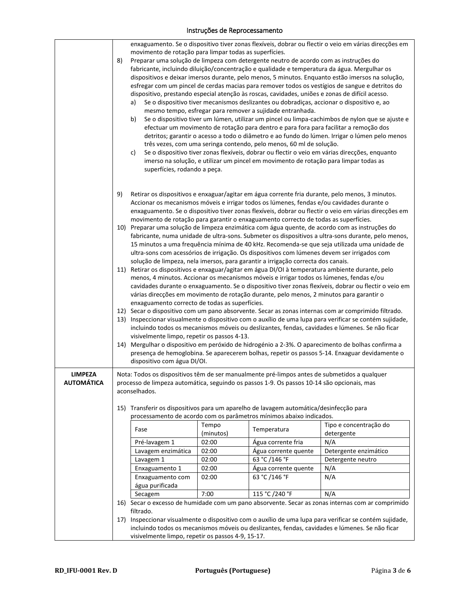|                   |    | enxaguamento. Se o dispositivo tiver zonas flexíveis, dobrar ou flectir o veio em várias direcções em                                                                                                                                             |                                                                                                       |                                                                                                 |                                                                                                                                                                                                    |  |  |  |  |
|-------------------|----|---------------------------------------------------------------------------------------------------------------------------------------------------------------------------------------------------------------------------------------------------|-------------------------------------------------------------------------------------------------------|-------------------------------------------------------------------------------------------------|----------------------------------------------------------------------------------------------------------------------------------------------------------------------------------------------------|--|--|--|--|
|                   |    | movimento de rotação para limpar todas as superfícies.                                                                                                                                                                                            |                                                                                                       |                                                                                                 |                                                                                                                                                                                                    |  |  |  |  |
|                   | 8) |                                                                                                                                                                                                                                                   |                                                                                                       | Preparar uma solução de limpeza com detergente neutro de acordo com as instruções do            | fabricante, incluindo diluição/concentração e qualidade e temperatura da água. Mergulhar os                                                                                                        |  |  |  |  |
|                   |    |                                                                                                                                                                                                                                                   |                                                                                                       |                                                                                                 | dispositivos e deixar imersos durante, pelo menos, 5 minutos. Enquanto estão imersos na solução,                                                                                                   |  |  |  |  |
|                   |    |                                                                                                                                                                                                                                                   |                                                                                                       |                                                                                                 | esfregar com um pincel de cerdas macias para remover todos os vestígios de sangue e detritos do                                                                                                    |  |  |  |  |
|                   |    |                                                                                                                                                                                                                                                   |                                                                                                       | dispositivo, prestando especial atenção às roscas, cavidades, uniões e zonas de difícil acesso. |                                                                                                                                                                                                    |  |  |  |  |
|                   |    | a)                                                                                                                                                                                                                                                |                                                                                                       | Se o dispositivo tiver mecanismos deslizantes ou dobradiças, accionar o dispositivo e, ao       |                                                                                                                                                                                                    |  |  |  |  |
|                   |    |                                                                                                                                                                                                                                                   | mesmo tempo, esfregar para remover a sujidade entranhada.                                             |                                                                                                 |                                                                                                                                                                                                    |  |  |  |  |
|                   |    | b)                                                                                                                                                                                                                                                |                                                                                                       |                                                                                                 | Se o dispositivo tiver um lúmen, utilizar um pincel ou limpa-cachimbos de nylon que se ajuste e                                                                                                    |  |  |  |  |
|                   |    |                                                                                                                                                                                                                                                   |                                                                                                       | efectuar um movimento de rotação para dentro e para fora para facilitar a remoção dos           | detritos; garantir o acesso a todo o diâmetro e ao fundo do lúmen. Irrigar o lúmen pelo menos                                                                                                      |  |  |  |  |
|                   |    |                                                                                                                                                                                                                                                   |                                                                                                       | três vezes, com uma seringa contendo, pelo menos, 60 ml de solução.                             |                                                                                                                                                                                                    |  |  |  |  |
|                   |    | c)                                                                                                                                                                                                                                                |                                                                                                       |                                                                                                 | Se o dispositivo tiver zonas flexíveis, dobrar ou flectir o veio em várias direcções, enquanto                                                                                                     |  |  |  |  |
|                   |    |                                                                                                                                                                                                                                                   |                                                                                                       | imerso na solução, e utilizar um pincel em movimento de rotação para limpar todas as            |                                                                                                                                                                                                    |  |  |  |  |
|                   |    | superfícies, rodando a peça.                                                                                                                                                                                                                      |                                                                                                       |                                                                                                 |                                                                                                                                                                                                    |  |  |  |  |
|                   |    |                                                                                                                                                                                                                                                   |                                                                                                       |                                                                                                 |                                                                                                                                                                                                    |  |  |  |  |
|                   | 9) |                                                                                                                                                                                                                                                   |                                                                                                       |                                                                                                 | Retirar os dispositivos e enxaguar/agitar em água corrente fria durante, pelo menos, 3 minutos.                                                                                                    |  |  |  |  |
|                   |    |                                                                                                                                                                                                                                                   |                                                                                                       | Accionar os mecanismos móveis e irrigar todos os lúmenes, fendas e/ou cavidades durante o       |                                                                                                                                                                                                    |  |  |  |  |
|                   |    |                                                                                                                                                                                                                                                   |                                                                                                       |                                                                                                 | enxaguamento. Se o dispositivo tiver zonas flexíveis, dobrar ou flectir o veio em várias direcções em                                                                                              |  |  |  |  |
|                   |    |                                                                                                                                                                                                                                                   |                                                                                                       | movimento de rotação para garantir o enxaguamento correcto de todas as superfícies.             |                                                                                                                                                                                                    |  |  |  |  |
|                   |    |                                                                                                                                                                                                                                                   |                                                                                                       |                                                                                                 | 10) Preparar uma solução de limpeza enzimática com água quente, de acordo com as instruções do                                                                                                     |  |  |  |  |
|                   |    |                                                                                                                                                                                                                                                   |                                                                                                       |                                                                                                 | fabricante, numa unidade de ultra-sons. Submeter os dispositivos a ultra-sons durante, pelo menos,<br>15 minutos a uma frequência mínima de 40 kHz. Recomenda-se que seja utilizada uma unidade de |  |  |  |  |
|                   |    |                                                                                                                                                                                                                                                   |                                                                                                       | ultra-sons com acessórios de irrigação. Os dispositivos com lúmenes devem ser irrigados com     |                                                                                                                                                                                                    |  |  |  |  |
|                   |    |                                                                                                                                                                                                                                                   |                                                                                                       | solução de limpeza, nela imersos, para garantir a irrigação correcta dos canais.                |                                                                                                                                                                                                    |  |  |  |  |
|                   |    |                                                                                                                                                                                                                                                   |                                                                                                       |                                                                                                 | 11) Retirar os dispositivos e enxaguar/agitar em água DI/OI à temperatura ambiente durante, pelo                                                                                                   |  |  |  |  |
|                   |    |                                                                                                                                                                                                                                                   |                                                                                                       | menos, 4 minutos. Accionar os mecanismos móveis e irrigar todos os lúmenes, fendas e/ou         |                                                                                                                                                                                                    |  |  |  |  |
|                   |    |                                                                                                                                                                                                                                                   | cavidades durante o enxaguamento. Se o dispositivo tiver zonas flexíveis, dobrar ou flectir o veio em |                                                                                                 |                                                                                                                                                                                                    |  |  |  |  |
|                   |    | várias direcções em movimento de rotação durante, pelo menos, 2 minutos para garantir o<br>enxaguamento correcto de todas as superfícies.<br>12) Secar o dispositivo com um pano absorvente. Secar as zonas internas com ar comprimido filtrado.  |                                                                                                       |                                                                                                 |                                                                                                                                                                                                    |  |  |  |  |
|                   |    |                                                                                                                                                                                                                                                   |                                                                                                       |                                                                                                 |                                                                                                                                                                                                    |  |  |  |  |
|                   |    | 13) Inspeccionar visualmente o dispositivo com o auxílio de uma lupa para verificar se contém sujidade,                                                                                                                                           |                                                                                                       |                                                                                                 |                                                                                                                                                                                                    |  |  |  |  |
|                   |    | incluindo todos os mecanismos móveis ou deslizantes, fendas, cavidades e lúmenes. Se não ficar                                                                                                                                                    |                                                                                                       |                                                                                                 |                                                                                                                                                                                                    |  |  |  |  |
|                   |    | visivelmente limpo, repetir os passos 4-13.<br>14) Mergulhar o dispositivo em peróxido de hidrogénio a 2-3%. O aparecimento de bolhas confirma a<br>presença de hemoglobina. Se aparecerem bolhas, repetir os passos 5-14. Enxaguar devidamente o |                                                                                                       |                                                                                                 |                                                                                                                                                                                                    |  |  |  |  |
|                   |    |                                                                                                                                                                                                                                                   |                                                                                                       |                                                                                                 |                                                                                                                                                                                                    |  |  |  |  |
|                   |    | dispositivo com água DI/OI.                                                                                                                                                                                                                       |                                                                                                       |                                                                                                 |                                                                                                                                                                                                    |  |  |  |  |
| <b>LIMPEZA</b>    |    | Nota: Todos os dispositivos têm de ser manualmente pré-limpos antes de submetidos a qualquer                                                                                                                                                      |                                                                                                       |                                                                                                 |                                                                                                                                                                                                    |  |  |  |  |
| <b>AUTOMATICA</b> |    |                                                                                                                                                                                                                                                   |                                                                                                       |                                                                                                 |                                                                                                                                                                                                    |  |  |  |  |
|                   |    | processo de limpeza automática, seguindo os passos 1-9. Os passos 10-14 são opcionais, mas<br>aconselhados.                                                                                                                                       |                                                                                                       |                                                                                                 |                                                                                                                                                                                                    |  |  |  |  |
|                   |    |                                                                                                                                                                                                                                                   |                                                                                                       |                                                                                                 |                                                                                                                                                                                                    |  |  |  |  |
|                   |    |                                                                                                                                                                                                                                                   |                                                                                                       | 15) Transferir os dispositivos para um aparelho de lavagem automática/desinfecção para          |                                                                                                                                                                                                    |  |  |  |  |
|                   |    |                                                                                                                                                                                                                                                   | Tempo                                                                                                 | processamento de acordo com os parâmetros mínimos abaixo indicados.                             | Tipo e concentração do                                                                                                                                                                             |  |  |  |  |
|                   |    | Fase                                                                                                                                                                                                                                              | (minutos)                                                                                             | Temperatura                                                                                     | detergente                                                                                                                                                                                         |  |  |  |  |
|                   |    | Pré-lavagem 1                                                                                                                                                                                                                                     | 02:00                                                                                                 | Água corrente fria                                                                              | N/A                                                                                                                                                                                                |  |  |  |  |
|                   |    | Lavagem enzimática                                                                                                                                                                                                                                | 02:00                                                                                                 | Água corrente quente                                                                            | Detergente enzimático                                                                                                                                                                              |  |  |  |  |
|                   |    | Lavagem 1                                                                                                                                                                                                                                         | 02:00                                                                                                 | 63 °C /146 °F                                                                                   | Detergente neutro                                                                                                                                                                                  |  |  |  |  |
|                   |    | Enxaguamento 1                                                                                                                                                                                                                                    | 02:00                                                                                                 | Água corrente quente                                                                            | N/A                                                                                                                                                                                                |  |  |  |  |
|                   |    | Enxaguamento com<br>água purificada                                                                                                                                                                                                               | 02:00                                                                                                 | 63 °C /146 °F                                                                                   | N/A                                                                                                                                                                                                |  |  |  |  |
|                   |    | Secagem                                                                                                                                                                                                                                           | 7:00                                                                                                  | 115 °C /240 °F                                                                                  | N/A                                                                                                                                                                                                |  |  |  |  |
|                   |    |                                                                                                                                                                                                                                                   |                                                                                                       |                                                                                                 | 16) Secar o excesso de humidade com um pano absorvente. Secar as zonas internas com ar comprimido                                                                                                  |  |  |  |  |
|                   |    | filtrado.                                                                                                                                                                                                                                         |                                                                                                       |                                                                                                 |                                                                                                                                                                                                    |  |  |  |  |
|                   |    | 17) Inspeccionar visualmente o dispositivo com o auxílio de uma lupa para verificar se contém sujidade,                                                                                                                                           |                                                                                                       |                                                                                                 |                                                                                                                                                                                                    |  |  |  |  |
|                   |    | incluindo todos os mecanismos móveis ou deslizantes, fendas, cavidades e lúmenes. Se não ficar<br>visivelmente limpo, repetir os passos 4-9, 15-17.                                                                                               |                                                                                                       |                                                                                                 |                                                                                                                                                                                                    |  |  |  |  |
|                   |    |                                                                                                                                                                                                                                                   |                                                                                                       |                                                                                                 |                                                                                                                                                                                                    |  |  |  |  |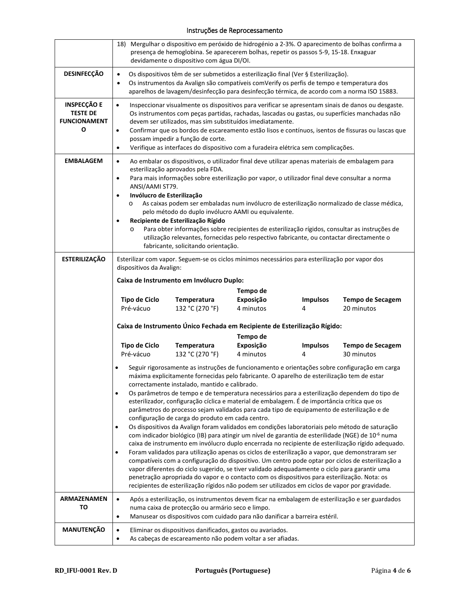|                                                                   | 18) Mergulhar o dispositivo em peróxido de hidrogénio a 2-3%. O aparecimento de bolhas confirma a<br>presença de hemoglobina. Se aparecerem bolhas, repetir os passos 5-9, 15-18. Enxaguar<br>devidamente o dispositivo com água DI/OI.                                                                                                                                                                                                                                                                                                                                                                                                                                                                                                                                                                                                                                                                                                                                                                                                                                                                                                                                                                                                                                                                                                                                 |                                                                                                                                 |                        |                      |                                                                                                 |
|-------------------------------------------------------------------|-------------------------------------------------------------------------------------------------------------------------------------------------------------------------------------------------------------------------------------------------------------------------------------------------------------------------------------------------------------------------------------------------------------------------------------------------------------------------------------------------------------------------------------------------------------------------------------------------------------------------------------------------------------------------------------------------------------------------------------------------------------------------------------------------------------------------------------------------------------------------------------------------------------------------------------------------------------------------------------------------------------------------------------------------------------------------------------------------------------------------------------------------------------------------------------------------------------------------------------------------------------------------------------------------------------------------------------------------------------------------|---------------------------------------------------------------------------------------------------------------------------------|------------------------|----------------------|-------------------------------------------------------------------------------------------------|
| <b>DESINFECÇÃO</b>                                                | Os dispositivos têm de ser submetidos a esterilização final (Ver § Esterilização).<br>$\bullet$<br>Os instrumentos da Avalign são compatíveis comVerify os perfis de tempo e temperatura dos<br>$\bullet$<br>aparelhos de lavagem/desinfecção para desinfecção térmica, de acordo com a norma ISO 15883.                                                                                                                                                                                                                                                                                                                                                                                                                                                                                                                                                                                                                                                                                                                                                                                                                                                                                                                                                                                                                                                                |                                                                                                                                 |                        |                      |                                                                                                 |
| <b>INSPECÇÃO E</b><br><b>TESTE DE</b><br><b>FUNCIONAMENT</b><br>Ο | Inspeccionar visualmente os dispositivos para verificar se apresentam sinais de danos ou desgaste.<br>$\bullet$<br>Os instrumentos com peças partidas, rachadas, lascadas ou gastas, ou superfícies manchadas não<br>devem ser utilizados, mas sim substituídos imediatamente.<br>Confirmar que os bordos de escareamento estão lisos e contínuos, isentos de fissuras ou lascas que<br>$\bullet$<br>possam impedir a função de corte.<br>Verifique as interfaces do dispositivo com a furadeira elétrica sem complicações.<br>$\bullet$                                                                                                                                                                                                                                                                                                                                                                                                                                                                                                                                                                                                                                                                                                                                                                                                                                |                                                                                                                                 |                        |                      |                                                                                                 |
| <b>EMBALAGEM</b>                                                  | Ao embalar os dispositivos, o utilizador final deve utilizar apenas materiais de embalagem para<br>$\bullet$<br>esterilização aprovados pela FDA.<br>Para mais informações sobre esterilização por vapor, o utilizador final deve consultar a norma<br>$\bullet$<br>ANSI/AAMI ST79.<br>Invólucro de Esterilização<br>$\bullet$<br>As caixas podem ser embaladas num invólucro de esterilização normalizado de classe médica,<br>O<br>pelo método do duplo invólucro AAMI ou equivalente.<br>Recipiente de Esterilização Rígido<br>Para obter informações sobre recipientes de esterilização rígidos, consultar as instruções de<br>O<br>utilização relevantes, fornecidas pelo respectivo fabricante, ou contactar directamente o<br>fabricante, solicitando orientação.                                                                                                                                                                                                                                                                                                                                                                                                                                                                                                                                                                                                |                                                                                                                                 |                        |                      |                                                                                                 |
| <b>ESTERILIZAÇÃO</b>                                              | Esterilizar com vapor. Seguem-se os ciclos mínimos necessários para esterilização por vapor dos<br>dispositivos da Avalign:<br>Caixa de Instrumento em Invólucro Duplo:<br>Tempo de<br><b>Tipo de Ciclo</b><br>Exposição<br>Temperatura<br><b>Impulsos</b><br><b>Tempo de Secagem</b><br>132 °C (270 °F)<br>4 minutos<br>Pré-vácuo<br>20 minutos<br>4                                                                                                                                                                                                                                                                                                                                                                                                                                                                                                                                                                                                                                                                                                                                                                                                                                                                                                                                                                                                                   |                                                                                                                                 |                        |                      |                                                                                                 |
|                                                                   |                                                                                                                                                                                                                                                                                                                                                                                                                                                                                                                                                                                                                                                                                                                                                                                                                                                                                                                                                                                                                                                                                                                                                                                                                                                                                                                                                                         | Caixa de Instrumento Único Fechada em Recipiente de Esterilização Rígido:                                                       |                        |                      |                                                                                                 |
|                                                                   |                                                                                                                                                                                                                                                                                                                                                                                                                                                                                                                                                                                                                                                                                                                                                                                                                                                                                                                                                                                                                                                                                                                                                                                                                                                                                                                                                                         |                                                                                                                                 | Tempo de               |                      |                                                                                                 |
|                                                                   | <b>Tipo de Ciclo</b><br>Pré-vácuo                                                                                                                                                                                                                                                                                                                                                                                                                                                                                                                                                                                                                                                                                                                                                                                                                                                                                                                                                                                                                                                                                                                                                                                                                                                                                                                                       | Temperatura<br>132 °C (270 °F)                                                                                                  | Exposição<br>4 minutos | <b>Impulsos</b><br>4 | <b>Tempo de Secagem</b><br>30 minutos                                                           |
|                                                                   | Seguir rigorosamente as instruções de funcionamento e orientações sobre configuração em carga<br>$\bullet$<br>máxima explicitamente fornecidas pelo fabricante. O aparelho de esterilização tem de estar<br>correctamente instalado, mantido e calibrado.<br>Os parâmetros de tempo e de temperatura necessários para a esterilização dependem do tipo de<br>$\bullet$<br>esterilizador, configuração cíclica e material de embalagem. É de importância crítica que os<br>parâmetros do processo sejam validados para cada tipo de equipamento de esterilização e de<br>configuração de carga do produto em cada centro.<br>Os dispositivos da Avalign foram validados em condições laboratoriais pelo método de saturação<br>$\bullet$<br>com indicador biológico (IB) para atingir um nível de garantia de esterilidade (NGE) de 10-6 numa<br>caixa de instrumento em invólucro duplo encerrada no recipiente de esterilização rígido adequado.<br>Foram validados para utilização apenas os ciclos de esterilização a vapor, que demonstraram ser<br>$\bullet$<br>compatíveis com a configuração do dispositivo. Um centro pode optar por ciclos de esterilização a<br>vapor diferentes do ciclo sugerido, se tiver validado adequadamente o ciclo para garantir uma<br>penetração apropriada do vapor e o contacto com os dispositivos para esterilização. Nota: os |                                                                                                                                 |                        |                      |                                                                                                 |
|                                                                   |                                                                                                                                                                                                                                                                                                                                                                                                                                                                                                                                                                                                                                                                                                                                                                                                                                                                                                                                                                                                                                                                                                                                                                                                                                                                                                                                                                         | recipientes de esterilização rígidos não podem ser utilizados em ciclos de vapor por gravidade.                                 |                        |                      |                                                                                                 |
| ARMAZENAMEN<br>то                                                 | $\bullet$<br>٠                                                                                                                                                                                                                                                                                                                                                                                                                                                                                                                                                                                                                                                                                                                                                                                                                                                                                                                                                                                                                                                                                                                                                                                                                                                                                                                                                          | numa caixa de protecção ou armário seco e limpo.<br>Manusear os dispositivos com cuidado para não danificar a barreira estéril. |                        |                      | Após a esterilização, os instrumentos devem ficar na embalagem de esterilização e ser guardados |
| MANUTENÇÃO                                                        | Eliminar os dispositivos danificados, gastos ou avariados.<br>$\bullet$<br>As cabeças de escareamento não podem voltar a ser afiadas.<br>$\bullet$                                                                                                                                                                                                                                                                                                                                                                                                                                                                                                                                                                                                                                                                                                                                                                                                                                                                                                                                                                                                                                                                                                                                                                                                                      |                                                                                                                                 |                        |                      |                                                                                                 |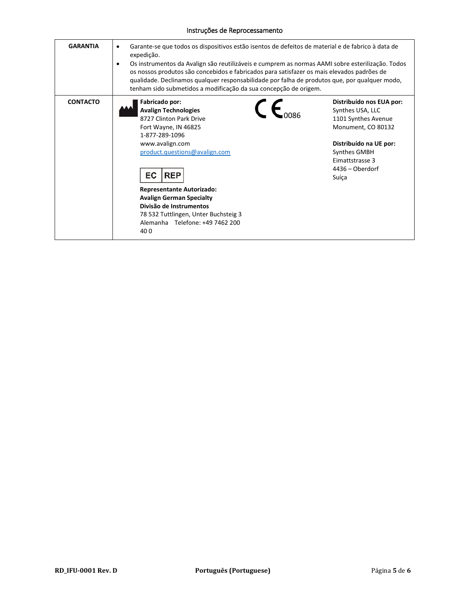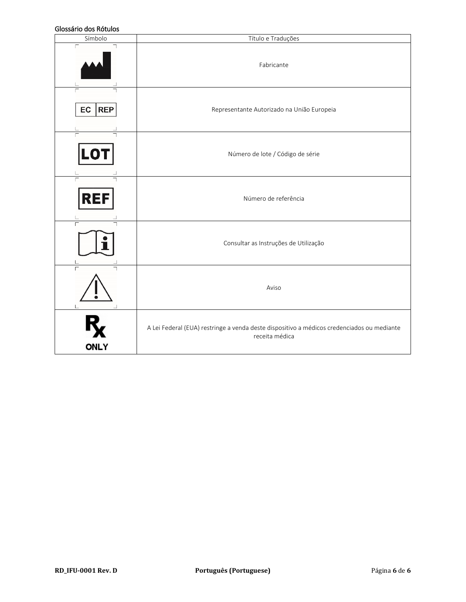### Glossário dos Rótulos

| טושטטו נטט טווסנכטוט<br>Símbolo | Título e Traduções                                                                                           |  |  |  |  |
|---------------------------------|--------------------------------------------------------------------------------------------------------------|--|--|--|--|
| $\Box$<br>┑                     | Fabricante                                                                                                   |  |  |  |  |
| <b>REP</b><br>EC                | Representante Autorizado na União Europeia                                                                   |  |  |  |  |
| LO                              | Número de lote / Código de série                                                                             |  |  |  |  |
| $\Gamma$<br>REF                 | Número de referência                                                                                         |  |  |  |  |
|                                 | Consultar as Instruções de Utilização                                                                        |  |  |  |  |
|                                 | Aviso                                                                                                        |  |  |  |  |
| <b>ONLY</b>                     | A Lei Federal (EUA) restringe a venda deste dispositivo a médicos credenciados ou mediante<br>receita médica |  |  |  |  |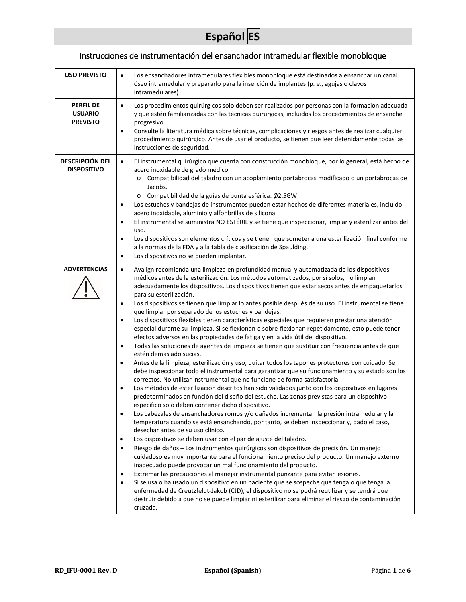# **Español ES**

## Instrucciones de instrumentación del ensanchador intramedular flexible monobloque

| <b>USO PREVISTO</b>                                   | Los ensanchadores intramedulares flexibles monobloque está destinados a ensanchar un canal<br>óseo intramedular y prepararlo para la inserción de implantes (p. e., agujas o clavos<br>intramedulares).                                                                                                                                                                                                                                                                                                                                                                                                                                                                                                                                                                                                                                                                                                                                                                                                                                                                                                                                                                                                                                                                                                                                                                                                                                                                                                                                                                                                                                                                                                                                                                                                                                                                                                                                                                                                                                                                                                                                                                                                                                                                                                                                                                                                                                                                                                                                                       |  |  |  |  |
|-------------------------------------------------------|---------------------------------------------------------------------------------------------------------------------------------------------------------------------------------------------------------------------------------------------------------------------------------------------------------------------------------------------------------------------------------------------------------------------------------------------------------------------------------------------------------------------------------------------------------------------------------------------------------------------------------------------------------------------------------------------------------------------------------------------------------------------------------------------------------------------------------------------------------------------------------------------------------------------------------------------------------------------------------------------------------------------------------------------------------------------------------------------------------------------------------------------------------------------------------------------------------------------------------------------------------------------------------------------------------------------------------------------------------------------------------------------------------------------------------------------------------------------------------------------------------------------------------------------------------------------------------------------------------------------------------------------------------------------------------------------------------------------------------------------------------------------------------------------------------------------------------------------------------------------------------------------------------------------------------------------------------------------------------------------------------------------------------------------------------------------------------------------------------------------------------------------------------------------------------------------------------------------------------------------------------------------------------------------------------------------------------------------------------------------------------------------------------------------------------------------------------------------------------------------------------------------------------------------------------------|--|--|--|--|
| <b>PERFIL DE</b><br><b>USUARIO</b><br><b>PREVISTO</b> | Los procedimientos quirúrgicos solo deben ser realizados por personas con la formación adecuada<br>$\bullet$<br>y que estén familiarizadas con las técnicas quirúrgicas, incluidos los procedimientos de ensanche<br>progresivo.<br>Consulte la literatura médica sobre técnicas, complicaciones y riesgos antes de realizar cualquier<br>$\bullet$<br>procedimiento quirúrgico. Antes de usar el producto, se tienen que leer detenidamente todas las<br>instrucciones de seguridad.                                                                                                                                                                                                                                                                                                                                                                                                                                                                                                                                                                                                                                                                                                                                                                                                                                                                                                                                                                                                                                                                                                                                                                                                                                                                                                                                                                                                                                                                                                                                                                                                                                                                                                                                                                                                                                                                                                                                                                                                                                                                         |  |  |  |  |
| <b>DESCRIPCIÓN DEL</b><br><b>DISPOSITIVO</b>          | El instrumental quirúrgico que cuenta con construcción monobloque, por lo general, está hecho de<br>$\bullet$<br>acero inoxidable de grado médico.<br>o Compatibilidad del taladro con un acoplamiento portabrocas modificado o un portabrocas de<br>Jacobs.<br>Compatibilidad de la guías de punta esférica: Ø2.5GW<br>Los estuches y bandejas de instrumentos pueden estar hechos de diferentes materiales, incluido<br>$\bullet$<br>acero inoxidable, aluminio y alfonbrillas de silicona.<br>El instrumental se suministra NO ESTÉRIL y se tiene que inspeccionar, limpiar y esterilizar antes del<br>$\bullet$<br>uso.<br>Los dispositivos son elementos críticos y se tienen que someter a una esterilización final conforme<br>$\bullet$<br>a la normas de la FDA y a la tabla de clasificación de Spaulding.<br>Los dispositivos no se pueden implantar.<br>$\bullet$                                                                                                                                                                                                                                                                                                                                                                                                                                                                                                                                                                                                                                                                                                                                                                                                                                                                                                                                                                                                                                                                                                                                                                                                                                                                                                                                                                                                                                                                                                                                                                                                                                                                                 |  |  |  |  |
| <b>ADVERTENCIAS</b>                                   | Avalign recomienda una limpieza en profundidad manual y automatizada de los dispositivos<br>$\bullet$<br>médicos antes de la esterilización. Los métodos automatizados, por sí solos, no limpian<br>adecuadamente los dispositivos. Los dispositivos tienen que estar secos antes de empaquetarlos<br>para su esterilización.<br>Los dispositivos se tienen que limpiar lo antes posible después de su uso. El instrumental se tiene<br>$\bullet$<br>que limpiar por separado de los estuches y bandejas.<br>Los dispositivos flexibles tienen características especiales que requieren prestar una atención<br>$\bullet$<br>especial durante su limpieza. Si se flexionan o sobre-flexionan repetidamente, esto puede tener<br>efectos adversos en las propiedades de fatiga y en la vida útil del dispositivo.<br>Todas las soluciones de agentes de limpieza se tienen que sustituir con frecuencia antes de que<br>$\bullet$<br>estén demasiado sucias.<br>Antes de la limpieza, esterilización y uso, quitar todos los tapones protectores con cuidado. Se<br>$\bullet$<br>debe inspeccionar todo el instrumental para garantizar que su funcionamiento y su estado son los<br>correctos. No utilizar instrumental que no funcione de forma satisfactoria.<br>Los métodos de esterilización descritos han sido validados junto con los dispositivos en lugares<br>$\bullet$<br>predeterminados en función del diseño del estuche. Las zonas previstas para un dispositivo<br>específico solo deben contener dicho dispositivo.<br>Los cabezales de ensanchadores romos y/o dañados incrementan la presión intramedular y la<br>$\bullet$<br>temperatura cuando se está ensanchando, por tanto, se deben inspeccionar y, dado el caso,<br>desechar antes de su uso clínico.<br>Los dispositivos se deben usar con el par de ajuste del taladro.<br>٠<br>Riesgo de daños - Los instrumentos quirúrgicos son dispositivos de precisión. Un manejo<br>$\bullet$<br>cuidadoso es muy importante para el funcionamiento preciso del producto. Un manejo externo<br>inadecuado puede provocar un mal funcionamiento del producto.<br>Extremar las precauciones al manejar instrumental punzante para evitar lesiones.<br>$\bullet$<br>Si se usa o ha usado un dispositivo en un paciente que se sospeche que tenga o que tenga la<br>$\bullet$<br>enfermedad de Creutzfeldt-Jakob (CJD), el dispositivo no se podrá reutilizar y se tendrá que<br>destruir debido a que no se puede limpiar ni esterilizar para eliminar el riesgo de contaminación<br>cruzada. |  |  |  |  |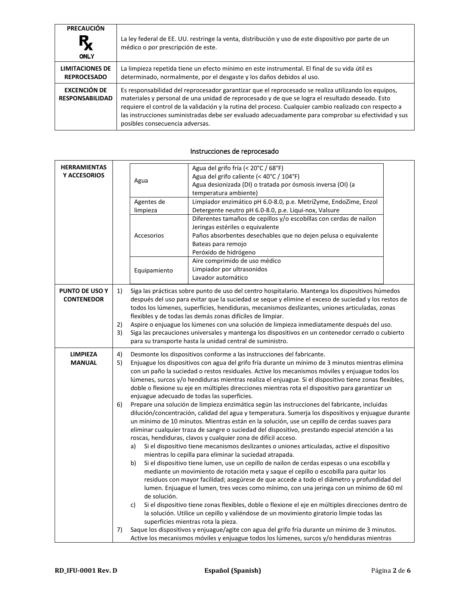| <b>PRECAUCIÓN</b><br>$R_{\chi}$<br><b>ONLY</b> | La ley federal de EE. UU. restringe la venta, distribución y uso de este dispositivo por parte de un<br>médico o por prescripción de este.                                                                                                                                                                                                                                                                                                                   |
|------------------------------------------------|--------------------------------------------------------------------------------------------------------------------------------------------------------------------------------------------------------------------------------------------------------------------------------------------------------------------------------------------------------------------------------------------------------------------------------------------------------------|
| <b>LIMITACIONES DE</b><br><b>REPROCESADO</b>   | La limpieza repetida tiene un efecto mínimo en este instrumental. El final de su vida útil es<br>determinado, normalmente, por el desgaste y los daños debidos al uso.                                                                                                                                                                                                                                                                                       |
| <b>EXCENCIÓN DE</b><br><b>RESPONSABILIDAD</b>  | Es responsabilidad del reprocesador garantizar que el reprocesado se realiza utilizando los equipos,<br>materiales y personal de una unidad de reprocesado y de que se logra el resultado deseado. Esto<br>requiere el control de la validación y la rutina del proceso. Cualquier cambio realizado con respecto a<br>las instrucciones suministradas debe ser evaluado adecuadamente para comprobar su efectividad y sus<br>posibles consecuencia adversas. |

## Instrucciones de reprocesado

| <b>HERRAMIENTAS</b><br>Y ACCESORIOS |                      | Agua<br>Agentes de<br>limpieza<br>Accesorios<br>Equipamiento | Agua del grifo fría (< 20°C / 68°F)<br>Agua del grifo caliente (< 40°C / 104°F)<br>Agua desionizada (DI) o tratada por ósmosis inversa (OI) (a<br>temperatura ambiente)<br>Limpiador enzimático pH 6.0-8.0, p.e. MetriZyme, EndoZime, Enzol<br>Detergente neutro pH 6.0-8.0, p.e. Liqui-nox, Valsure<br>Diferentes tamaños de cepillos y/o escobillas con cerdas de nailon<br>Jeringas estériles o equivalente<br>Paños absorbentes desechables que no dejen pelusa o equivalente<br>Bateas para remojo<br>Peróxido de hidrógeno<br>Aire comprimido de uso médico<br>Limpiador por ultrasonidos                                                                                                                                                                                                                                                                                                                                                                                                                                                                                                                                                                                                                                                                                                                                                                                                                                                                                                                                                                                                                                                                                                                                                                                                                                                                                                                                                                                                                  |  |  |  |
|-------------------------------------|----------------------|--------------------------------------------------------------|------------------------------------------------------------------------------------------------------------------------------------------------------------------------------------------------------------------------------------------------------------------------------------------------------------------------------------------------------------------------------------------------------------------------------------------------------------------------------------------------------------------------------------------------------------------------------------------------------------------------------------------------------------------------------------------------------------------------------------------------------------------------------------------------------------------------------------------------------------------------------------------------------------------------------------------------------------------------------------------------------------------------------------------------------------------------------------------------------------------------------------------------------------------------------------------------------------------------------------------------------------------------------------------------------------------------------------------------------------------------------------------------------------------------------------------------------------------------------------------------------------------------------------------------------------------------------------------------------------------------------------------------------------------------------------------------------------------------------------------------------------------------------------------------------------------------------------------------------------------------------------------------------------------------------------------------------------------------------------------------------------------|--|--|--|
| PUNTO DE USO Y<br><b>CONTENEDOR</b> | 1)<br>2)<br>3)       |                                                              | Lavador automático<br>Siga las prácticas sobre punto de uso del centro hospitalario. Mantenga los dispositivos húmedos<br>después del uso para evitar que la suciedad se seque y elimine el exceso de suciedad y los restos de<br>todos los lúmenes, superficies, hendiduras, mecanismos deslizantes, uniones articuladas, zonas<br>flexibles y de todas las demás zonas difíciles de limpiar.<br>Aspire o enjuague los lúmenes con una solución de limpieza inmediatamente después del uso.<br>Siga las precauciones universales y mantenga los dispositivos en un contenedor cerrado o cubierto<br>para su transporte hasta la unidad central de suministro.                                                                                                                                                                                                                                                                                                                                                                                                                                                                                                                                                                                                                                                                                                                                                                                                                                                                                                                                                                                                                                                                                                                                                                                                                                                                                                                                                   |  |  |  |
| <b>LIMPIEZA</b><br><b>MANUAL</b>    | 4)<br>5)<br>6)<br>7) | a)<br>b)<br>de solución.<br>c)                               | Desmonte los dispositivos conforme a las instrucciones del fabricante.<br>Enjuague los dispositivos con agua del grifo fría durante un mínimo de 3 minutos mientras elimina<br>con un paño la suciedad o restos residuales. Active los mecanismos móviles y enjuague todos los<br>lúmenes, surcos y/o hendiduras mientras realiza el enjuague. Si el dispositivo tiene zonas flexibles,<br>doble o flexione su eje en múltiples direcciones mientras rota el dispositivo para garantizar un<br>enjuague adecuado de todas las superficies.<br>Prepare una solución de limpieza enzimática según las instrucciones del fabricante, incluidas<br>dilución/concentración, calidad del agua y temperatura. Sumerja los dispositivos y enjuague durante<br>un mínimo de 10 minutos. Mientras están en la solución, use un cepillo de cerdas suaves para<br>eliminar cualquier traza de sangre o suciedad del dispositivo, prestando especial atención a las<br>roscas, hendiduras, clavos y cualquier zona de difícil acceso.<br>Si el dispositivo tiene mecanismos deslizantes o uniones articuladas, active el dispositivo<br>mientras lo cepilla para eliminar la suciedad atrapada.<br>Si el dispositivo tiene lumen, use un cepillo de nailon de cerdas espesas o una escobilla y<br>mediante un movimiento de rotación meta y saque el cepillo o escobilla para quitar los<br>residuos con mayor facilidad; asegúrese de que accede a todo el diámetro y profundidad del<br>lumen. Enjuague el lumen, tres veces como mínimo, con una jeringa con un mínimo de 60 ml<br>Si el dispositivo tiene zonas flexibles, doble o flexione el eje en múltiples direcciones dentro de<br>la solución. Utilice un cepillo y valiéndose de un movimiento giratorio limpie todas las<br>superficies mientras rota la pieza.<br>Saque los dispositivos y enjuague/agite con agua del grifo fría durante un mínimo de 3 minutos.<br>Active los mecanismos móviles y enjuague todos los lúmenes, surcos y/o hendiduras mientras |  |  |  |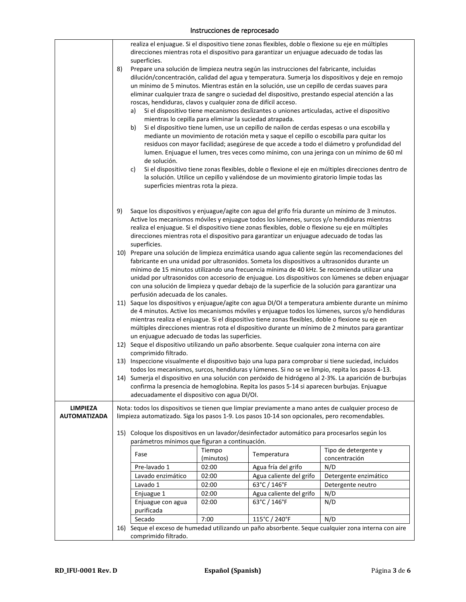## Instrucciones de reprocesado

|                                        |                      | realiza el enjuague. Si el dispositivo tiene zonas flexibles, doble o flexione su eje en múltiples<br>direcciones mientras rota el dispositivo para garantizar un enjuague adecuado de todas las<br>superficies.                                                                                                                                                                                                                                                                                           |                    |                                                                                                                                                                                                                                                                                                |                                                                                                                                                                                        |  |  |
|----------------------------------------|----------------------|------------------------------------------------------------------------------------------------------------------------------------------------------------------------------------------------------------------------------------------------------------------------------------------------------------------------------------------------------------------------------------------------------------------------------------------------------------------------------------------------------------|--------------------|------------------------------------------------------------------------------------------------------------------------------------------------------------------------------------------------------------------------------------------------------------------------------------------------|----------------------------------------------------------------------------------------------------------------------------------------------------------------------------------------|--|--|
|                                        | 8)                   |                                                                                                                                                                                                                                                                                                                                                                                                                                                                                                            |                    | Prepare una solución de limpieza neutra según las instrucciones del fabricante, incluidas                                                                                                                                                                                                      |                                                                                                                                                                                        |  |  |
|                                        |                      | dilución/concentración, calidad del agua y temperatura. Sumerja los dispositivos y deje en remojo<br>un mínimo de 5 minutos. Mientras están en la solución, use un cepillo de cerdas suaves para<br>eliminar cualquier traza de sangre o suciedad del dispositivo, prestando especial atención a las<br>roscas, hendiduras, clavos y cualquier zona de difícil acceso.                                                                                                                                     |                    |                                                                                                                                                                                                                                                                                                |                                                                                                                                                                                        |  |  |
|                                        |                      | a)                                                                                                                                                                                                                                                                                                                                                                                                                                                                                                         |                    | Si el dispositivo tiene mecanismos deslizantes o uniones articuladas, active el dispositivo                                                                                                                                                                                                    |                                                                                                                                                                                        |  |  |
|                                        |                      | mientras lo cepilla para eliminar la suciedad atrapada.<br>b)<br>de solución.                                                                                                                                                                                                                                                                                                                                                                                                                              |                    | Si el dispositivo tiene lumen, use un cepillo de nailon de cerdas espesas o una escobilla y<br>mediante un movimiento de rotación meta y saque el cepillo o escobilla para quitar los                                                                                                          | residuos con mayor facilidad; asegúrese de que accede a todo el diámetro y profundidad del<br>lumen. Enjuague el lumen, tres veces como mínimo, con una jeringa con un mínimo de 60 ml |  |  |
|                                        |                      | c)<br>superficies mientras rota la pieza.                                                                                                                                                                                                                                                                                                                                                                                                                                                                  |                    | la solución. Utilice un cepillo y valiéndose de un movimiento giratorio limpie todas las                                                                                                                                                                                                       | Si el dispositivo tiene zonas flexibles, doble o flexione el eje en múltiples direcciones dentro de                                                                                    |  |  |
|                                        | 9)                   | superficies.                                                                                                                                                                                                                                                                                                                                                                                                                                                                                               |                    | Active los mecanismos móviles y enjuague todos los lúmenes, surcos y/o hendiduras mientras<br>realiza el enjuague. Si el dispositivo tiene zonas flexibles, doble o flexione su eje en múltiples<br>direcciones mientras rota el dispositivo para garantizar un enjuague adecuado de todas las | Saque los dispositivos y enjuague/agite con agua del grifo fría durante un mínimo de 3 minutos.                                                                                        |  |  |
|                                        |                      | 10) Prepare una solución de limpieza enzimática usando agua caliente según las recomendaciones del<br>fabricante en una unidad por ultrasonidos. Someta los dispositivos a ultrasonidos durante un<br>mínimo de 15 minutos utilizando una frecuencia mínima de 40 kHz. Se recomienda utilizar una<br>unidad por ultrasonidos con accesorio de enjuague. Los dispositivos con lúmenes se deben enjuagar<br>con una solución de limpieza y quedar debajo de la superficie de la solución para garantizar una |                    |                                                                                                                                                                                                                                                                                                |                                                                                                                                                                                        |  |  |
|                                        |                      | perfusión adecuada de los canales.<br>11) Saque los dispositivos y enjuague/agite con agua DI/OI a temperatura ambiente durante un mínimo<br>de 4 minutos. Active los mecanismos móviles y enjuague todos los lúmenes, surcos y/o hendiduras<br>mientras realiza el enjuague. Si el dispositivo tiene zonas flexibles, doble o flexione su eje en<br>múltiples direcciones mientras rota el dispositivo durante un mínimo de 2 minutos para garantizar<br>un enjuague adecuado de todas las superficies.   |                    |                                                                                                                                                                                                                                                                                                |                                                                                                                                                                                        |  |  |
|                                        |                      | 12) Seque el dispositivo utilizando un paño absorbente. Seque cualquier zona interna con aire<br>comprimido filtrado.                                                                                                                                                                                                                                                                                                                                                                                      |                    |                                                                                                                                                                                                                                                                                                |                                                                                                                                                                                        |  |  |
|                                        |                      | 13) Inspeccione visualmente el dispositivo bajo una lupa para comprobar si tiene suciedad, incluidos                                                                                                                                                                                                                                                                                                                                                                                                       |                    |                                                                                                                                                                                                                                                                                                |                                                                                                                                                                                        |  |  |
|                                        |                      | todos los mecanismos, surcos, hendiduras y lúmenes. Si no se ve limpio, repita los pasos 4-13.<br>14) Sumerja el dispositivo en una solución con peróxido de hidrógeno al 2-3%. La aparición de burbujas                                                                                                                                                                                                                                                                                                   |                    |                                                                                                                                                                                                                                                                                                |                                                                                                                                                                                        |  |  |
|                                        |                      | confirma la presencia de hemoglobina. Repita los pasos 5-14 si aparecen burbujas. Enjuague<br>adecuadamente el dispositivo con agua DI/OI.                                                                                                                                                                                                                                                                                                                                                                 |                    |                                                                                                                                                                                                                                                                                                |                                                                                                                                                                                        |  |  |
| <b>LIMPIEZA</b><br><b>AUTOMATIZADA</b> |                      | Nota: todos los dispositivos se tienen que limpiar previamente a mano antes de cualquier proceso de<br>limpieza automatizado. Siga los pasos 1-9. Los pasos 10-14 son opcionales, pero recomendables.                                                                                                                                                                                                                                                                                                      |                    |                                                                                                                                                                                                                                                                                                |                                                                                                                                                                                        |  |  |
|                                        |                      | 15) Coloque los dispositivos en un lavador/desinfectador automático para procesarlos según los<br>parámetros mínimos que figuran a continuación.                                                                                                                                                                                                                                                                                                                                                           |                    |                                                                                                                                                                                                                                                                                                |                                                                                                                                                                                        |  |  |
|                                        |                      | Fase                                                                                                                                                                                                                                                                                                                                                                                                                                                                                                       | Tiempo             | Temperatura                                                                                                                                                                                                                                                                                    | Tipo de detergente y<br>concentración                                                                                                                                                  |  |  |
|                                        |                      | Pre-lavado 1                                                                                                                                                                                                                                                                                                                                                                                                                                                                                               | (minutos)<br>02:00 | Agua fría del grifo                                                                                                                                                                                                                                                                            | N/D                                                                                                                                                                                    |  |  |
|                                        |                      | Lavado enzimático                                                                                                                                                                                                                                                                                                                                                                                                                                                                                          | 02:00              | Agua caliente del grifo                                                                                                                                                                                                                                                                        | Detergente enzimático                                                                                                                                                                  |  |  |
|                                        |                      | Lavado 1                                                                                                                                                                                                                                                                                                                                                                                                                                                                                                   | 02:00              | 63°C / 146°F                                                                                                                                                                                                                                                                                   | Detergente neutro                                                                                                                                                                      |  |  |
|                                        |                      | Enjuague 1                                                                                                                                                                                                                                                                                                                                                                                                                                                                                                 | 02:00              | Agua caliente del grifo                                                                                                                                                                                                                                                                        | N/D                                                                                                                                                                                    |  |  |
|                                        |                      | Enjuague con agua<br>purificada                                                                                                                                                                                                                                                                                                                                                                                                                                                                            | 02:00              | 63°C / 146°F                                                                                                                                                                                                                                                                                   | N/D                                                                                                                                                                                    |  |  |
|                                        |                      | Secado                                                                                                                                                                                                                                                                                                                                                                                                                                                                                                     | 7:00               | 115°C / 240°F                                                                                                                                                                                                                                                                                  | N/D                                                                                                                                                                                    |  |  |
|                                        |                      |                                                                                                                                                                                                                                                                                                                                                                                                                                                                                                            |                    |                                                                                                                                                                                                                                                                                                | 16) Seque el exceso de humedad utilizando un paño absorbente. Seque cualquier zona interna con aire                                                                                    |  |  |
|                                        | comprimido filtrado. |                                                                                                                                                                                                                                                                                                                                                                                                                                                                                                            |                    |                                                                                                                                                                                                                                                                                                |                                                                                                                                                                                        |  |  |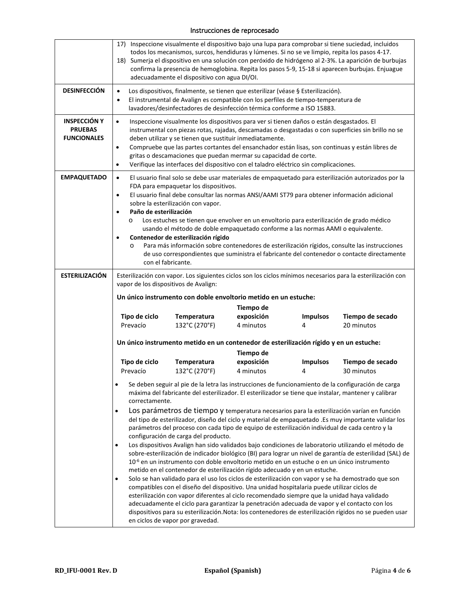## Instrucciones de reprocesado

|                                                             | 17) Inspeccione visualmente el dispositivo bajo una lupa para comprobar si tiene suciedad, incluidos<br>todos los mecanismos, surcos, hendiduras y lúmenes. Si no se ve limpio, repita los pasos 4-17.<br>18) Sumerja el dispositivo en una solución con peróxido de hidrógeno al 2-3%. La aparición de burbujas<br>confirma la presencia de hemoglobina. Repita los pasos 5-9, 15-18 si aparecen burbujas. Enjuague<br>adecuadamente el dispositivo con agua DI/OI.                                                                                                                                                                                                                                                                                                                                            |                                                                                        |                         |                      |                                                                                                                                                                                                             |
|-------------------------------------------------------------|-----------------------------------------------------------------------------------------------------------------------------------------------------------------------------------------------------------------------------------------------------------------------------------------------------------------------------------------------------------------------------------------------------------------------------------------------------------------------------------------------------------------------------------------------------------------------------------------------------------------------------------------------------------------------------------------------------------------------------------------------------------------------------------------------------------------|----------------------------------------------------------------------------------------|-------------------------|----------------------|-------------------------------------------------------------------------------------------------------------------------------------------------------------------------------------------------------------|
| <b>DESINFECCIÓN</b>                                         | Los dispositivos, finalmente, se tienen que esterilizar (véase § Esterilización).<br>$\bullet$<br>El instrumental de Avalign es compatible con los perfiles de tiempo-temperatura de<br>$\bullet$<br>lavadores/desinfectadores de desinfección térmica conforme a ISO 15883.                                                                                                                                                                                                                                                                                                                                                                                                                                                                                                                                    |                                                                                        |                         |                      |                                                                                                                                                                                                             |
| <b>INSPECCIÓN Y</b><br><b>PRUEBAS</b><br><b>FUNCIONALES</b> | Inspeccione visualmente los dispositivos para ver si tienen daños o están desgastados. El<br>$\bullet$<br>instrumental con piezas rotas, rajadas, descamadas o desgastadas o con superficies sin brillo no se<br>deben utilizar y se tienen que sustituir inmediatamente.<br>Compruebe que las partes cortantes del ensanchador están lisas, son continuas y están libres de<br>$\bullet$<br>gritas o descamaciones que puedan mermar su capacidad de corte.<br>Verifique las interfaces del dispositivo con el taladro eléctrico sin complicaciones.<br>$\bullet$                                                                                                                                                                                                                                              |                                                                                        |                         |                      |                                                                                                                                                                                                             |
| <b>EMPAQUETADO</b>                                          | El usuario final solo se debe usar materiales de empaquetado para esterilización autorizados por la<br>$\bullet$<br>FDA para empaquetar los dispositivos.<br>El usuario final debe consultar las normas ANSI/AAMI ST79 para obtener información adicional<br>$\bullet$<br>sobre la esterilización con vapor.<br>Paño de esterilización<br>Los estuches se tienen que envolver en un envoltorio para esterilización de grado médico<br>O<br>usando el método de doble empaquetado conforme a las normas AAMI o equivalente.<br>Contenedor de esterilización rígido<br>$\bullet$<br>Para más información sobre contenedores de esterilización rígidos, consulte las instrucciones<br>$\circ$<br>de uso correspondientes que suministra el fabricante del contenedor o contacte directamente<br>con el fabricante. |                                                                                        |                         |                      |                                                                                                                                                                                                             |
| <b>ESTERILIZACIÓN</b>                                       |                                                                                                                                                                                                                                                                                                                                                                                                                                                                                                                                                                                                                                                                                                                                                                                                                 | vapor de los dispositivos de Avalign:                                                  |                         |                      | Esterilización con vapor. Los siguientes ciclos son los ciclos mínimos necesarios para la esterilización con                                                                                                |
|                                                             |                                                                                                                                                                                                                                                                                                                                                                                                                                                                                                                                                                                                                                                                                                                                                                                                                 | Un único instrumento con doble envoltorio metido en un estuche:                        |                         |                      |                                                                                                                                                                                                             |
|                                                             |                                                                                                                                                                                                                                                                                                                                                                                                                                                                                                                                                                                                                                                                                                                                                                                                                 |                                                                                        | Tiempo de               |                      |                                                                                                                                                                                                             |
|                                                             | Tipo de ciclo<br>Prevacío                                                                                                                                                                                                                                                                                                                                                                                                                                                                                                                                                                                                                                                                                                                                                                                       | Temperatura<br>132°C (270°F)                                                           | exposición<br>4 minutos | <b>Impulsos</b><br>4 | Tiempo de secado<br>20 minutos                                                                                                                                                                              |
|                                                             |                                                                                                                                                                                                                                                                                                                                                                                                                                                                                                                                                                                                                                                                                                                                                                                                                 | Un único instrumento metido en un contenedor de esterilización rígido y en un estuche: |                         |                      |                                                                                                                                                                                                             |
|                                                             |                                                                                                                                                                                                                                                                                                                                                                                                                                                                                                                                                                                                                                                                                                                                                                                                                 |                                                                                        | Tiempo de               |                      |                                                                                                                                                                                                             |
|                                                             | Tipo de ciclo<br>Prevacío                                                                                                                                                                                                                                                                                                                                                                                                                                                                                                                                                                                                                                                                                                                                                                                       | Temperatura<br>132°C (270°F)                                                           | exposición<br>4 minutos | <b>Impulsos</b><br>4 | Tiempo de secado<br>30 minutos                                                                                                                                                                              |
|                                                             | $\bullet$<br>correctamente.                                                                                                                                                                                                                                                                                                                                                                                                                                                                                                                                                                                                                                                                                                                                                                                     |                                                                                        |                         |                      | Se deben seguir al pie de la letra las instrucciones de funcionamiento de la configuración de carga<br>máxima del fabricante del esterilizador. El esterilizador se tiene que instalar, mantener y calibrar |
|                                                             | Los parámetros de tiempo y temperatura necesarios para la esterilización varían en función<br>$\bullet$<br>del tipo de esterilizador, diseño del ciclo y material de empaquetado .Es muy importante validar los<br>parámetros del proceso con cada tipo de equipo de esterilización individual de cada centro y la<br>configuración de carga del producto.<br>Los dispositivos Avalign han sido validados bajo condiciones de laboratorio utilizando el método de<br>sobre-esterilización de indicador biológico (BI) para lograr un nivel de garantía de esterilidad (SAL) de                                                                                                                                                                                                                                  |                                                                                        |                         |                      |                                                                                                                                                                                                             |
|                                                             | 10 <sup>-6</sup> en un instrumento con doble envoltorio metido en un estuche o en un único instrumento<br>metido en el contenedor de esterilización rígido adecuado y en un estuche.<br>Solo se han validado para el uso los ciclos de esterilización con vapor y se ha demostrado que son<br>compatibles con el diseño del dispositivo. Una unidad hospitalaria puede utilizar ciclos de<br>esterilización con vapor diferentes al ciclo recomendado siempre que la unidad haya validado<br>adecuadamente el ciclo para garantizar la penetración adecuada de vapor y el contacto con los<br>dispositivos para su esterilización. Nota: los contenedores de esterilización rígidos no se pueden usar<br>en ciclos de vapor por gravedad.                                                                       |                                                                                        |                         |                      |                                                                                                                                                                                                             |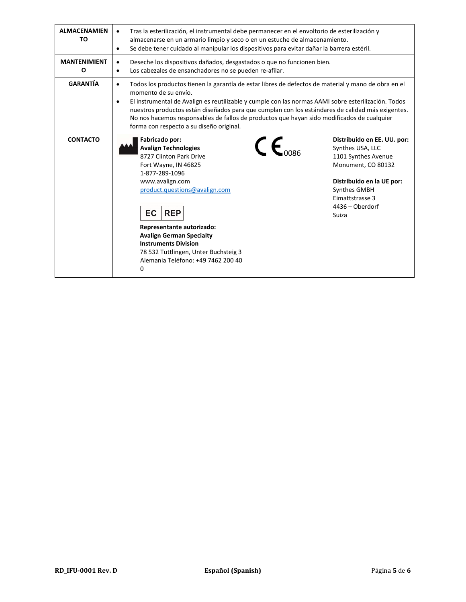| <b>ALMACENAMIEN</b><br>TO | Tras la esterilización, el instrumental debe permanecer en el envoltorio de esterilización y<br>٠<br>almacenarse en un armario limpio y seco o en un estuche de almacenamiento.<br>Se debe tener cuidado al manipular los dispositivos para evitar dañar la barrera estéril.<br>٠                                                                                                                                                                                                          |                                                                                                                                                                                          |  |  |
|---------------------------|--------------------------------------------------------------------------------------------------------------------------------------------------------------------------------------------------------------------------------------------------------------------------------------------------------------------------------------------------------------------------------------------------------------------------------------------------------------------------------------------|------------------------------------------------------------------------------------------------------------------------------------------------------------------------------------------|--|--|
| <b>MANTENIMIENT</b><br>O  | Deseche los dispositivos dañados, desgastados o que no funcionen bien.<br>$\bullet$<br>Los cabezales de ensanchadores no se pueden re-afilar.<br>$\bullet$                                                                                                                                                                                                                                                                                                                                 |                                                                                                                                                                                          |  |  |
| <b>GARANTÍA</b>           | Todos los productos tienen la garantía de estar libres de defectos de material y mano de obra en el<br>٠<br>momento de su envío.<br>El instrumental de Avalign es reutilizable y cumple con las normas AAMI sobre esterilización. Todos<br>٠<br>nuestros productos están diseñados para que cumplan con los estándares de calidad más exigentes.<br>No nos hacemos responsables de fallos de productos que hayan sido modificados de cualquier<br>forma con respecto a su diseño original. |                                                                                                                                                                                          |  |  |
| <b>CONTACTO</b>           | Fabricado por:<br>$\mathsf{c}_{\mathsf{c}}$<br><b>Avalign Technologies</b><br>8727 Clinton Park Drive<br>Fort Wayne, IN 46825<br>1-877-289-1096<br>www.avalign.com<br>product.questions@avalign.com<br>EC<br><b>REP</b><br>Representante autorizado:<br><b>Avalign German Specialty</b><br><b>Instruments Division</b><br>78 532 Tuttlingen, Unter Buchsteig 3<br>Alemania Teléfono: +49 7462 200 40<br>0                                                                                  | Distribuido en EE. UU. por:<br>Synthes USA, LLC<br>1101 Synthes Avenue<br>Monument, CO 80132<br>Distribuido en la UE por:<br>Synthes GMBH<br>Eimattstrasse 3<br>4436 - Oberdorf<br>Suiza |  |  |